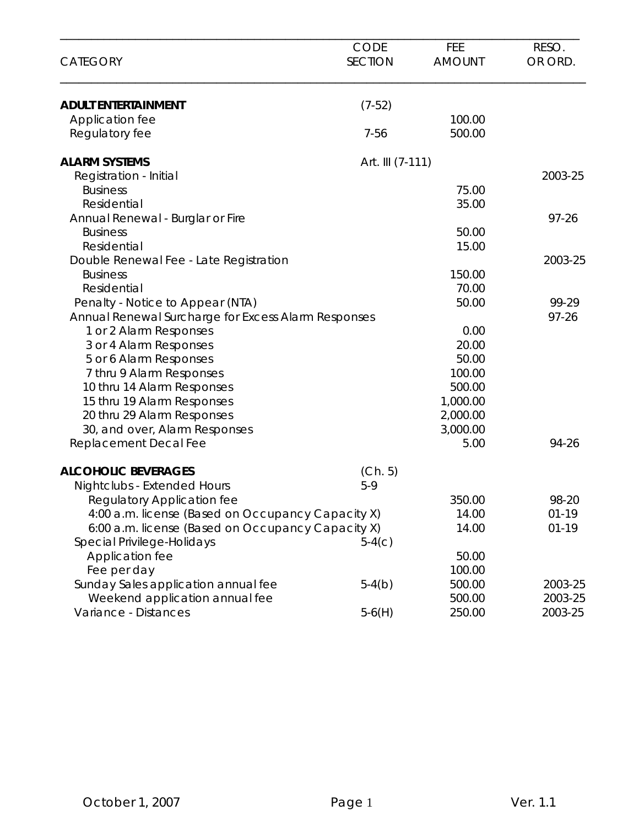| <b>CATEGORY</b>                                     | <b>CODE</b><br><b>SECTION</b> | FEE<br><b>AMOUNT</b> | RESO.<br>OR ORD. |
|-----------------------------------------------------|-------------------------------|----------------------|------------------|
| <b>ADULT ENTERTAINMENT</b>                          | $(7-52)$                      |                      |                  |
| Application fee                                     |                               | 100.00               |                  |
| Regulatory fee                                      | $7 - 56$                      | 500.00               |                  |
| <b>ALARM SYSTEMS</b>                                | Art. III (7-111)              |                      |                  |
| Registration - Initial                              |                               |                      | 2003-25          |
| <b>Business</b>                                     |                               | 75.00                |                  |
| Residential                                         |                               | 35.00                |                  |
| Annual Renewal - Burglar or Fire                    |                               |                      | $97 - 26$        |
| <b>Business</b>                                     |                               | 50.00                |                  |
| Residential                                         |                               | 15.00                |                  |
| Double Renewal Fee - Late Registration              |                               |                      | 2003-25          |
| <b>Business</b>                                     |                               | 150.00               |                  |
| Residential                                         |                               | 70.00                |                  |
| Penalty - Notice to Appear (NTA)                    |                               | 50.00                | 99-29            |
| Annual Renewal Surcharge for Excess Alarm Responses |                               |                      | $97 - 26$        |
| 1 or 2 Alarm Responses                              |                               | 0.00                 |                  |
| 3 or 4 Alarm Responses                              |                               | 20.00                |                  |
| 5 or 6 Alarm Responses                              |                               | 50.00                |                  |
| 7 thru 9 Alarm Responses                            |                               | 100.00               |                  |
| 10 thru 14 Alarm Responses                          |                               | 500.00               |                  |
| 15 thru 19 Alarm Responses                          |                               | 1,000.00             |                  |
| 20 thru 29 Alarm Responses                          |                               | 2,000.00             |                  |
| 30, and over, Alarm Responses                       |                               | 3,000.00             |                  |
| Replacement Decal Fee                               |                               | 5.00                 | 94-26            |
| <b>ALCOHOLIC BEVERAGES</b>                          | (Ch. 5)                       |                      |                  |
| Nightclubs - Extended Hours                         | $5-9$                         |                      |                  |
| Regulatory Application fee                          |                               | 350.00               | 98-20            |
| 4:00 a.m. license (Based on Occupancy Capacity X)   |                               | 14.00                | $01 - 19$        |
| 6:00 a.m. license (Based on Occupancy Capacity X)   |                               | 14.00                | $01 - 19$        |
| Special Privilege-Holidays                          | $5-4(c)$                      |                      |                  |
| Application fee                                     |                               | 50.00                |                  |
| Fee per day                                         |                               | 100.00               |                  |
| Sunday Sales application annual fee                 | $5-4(b)$                      | 500.00               | 2003-25          |
| Weekend application annual fee                      |                               | 500.00               | 2003-25          |
| Variance - Distances                                | $5-6(H)$                      | 250.00               | 2003-25          |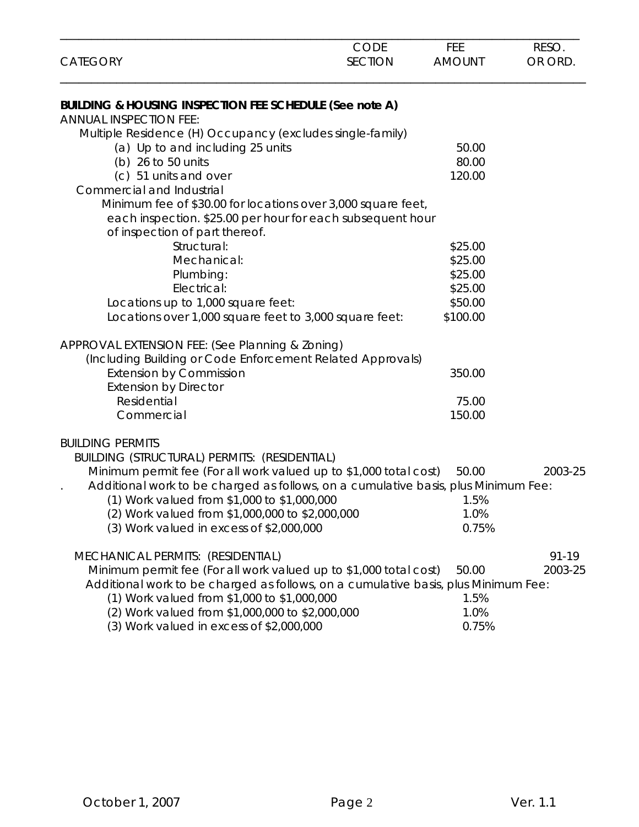| <b>CATEGORY</b>                                                                    | CODE<br><b>SECTION</b> | <b>FEE</b><br><b>AMOUNT</b> | RESO.<br>OR ORD. |
|------------------------------------------------------------------------------------|------------------------|-----------------------------|------------------|
| BUILDING & HOUSING INSPECTION FEE SCHEDULE (See note A)                            |                        |                             |                  |
| <b>ANNUAL INSPECTION FEE:</b>                                                      |                        |                             |                  |
| Multiple Residence (H) Occupancy (excludes single-family)                          |                        |                             |                  |
| (a) Up to and including 25 units                                                   |                        | 50.00                       |                  |
| (b) 26 to 50 units                                                                 |                        | 80.00                       |                  |
| (c) 51 units and over                                                              |                        | 120.00                      |                  |
| Commercial and Industrial                                                          |                        |                             |                  |
| Minimum fee of \$30.00 for locations over 3,000 square feet,                       |                        |                             |                  |
| each inspection. \$25.00 per hour for each subsequent hour                         |                        |                             |                  |
| of inspection of part thereof.                                                     |                        |                             |                  |
| Structural:                                                                        |                        | \$25.00                     |                  |
| Mechanical:                                                                        |                        | \$25.00                     |                  |
| Plumbing:                                                                          |                        | \$25.00                     |                  |
| Electrical:                                                                        |                        | \$25.00                     |                  |
| Locations up to 1,000 square feet:                                                 |                        | \$50.00                     |                  |
| Locations over 1,000 square feet to 3,000 square feet:                             |                        | \$100.00                    |                  |
| APPROVAL EXTENSION FEE: (See Planning & Zoning)                                    |                        |                             |                  |
| (Including Building or Code Enforcement Related Approvals)                         |                        |                             |                  |
| <b>Extension by Commission</b>                                                     |                        | 350.00                      |                  |
| <b>Extension by Director</b>                                                       |                        |                             |                  |
| Residential                                                                        |                        | 75.00                       |                  |
| Commercial                                                                         |                        | 150.00                      |                  |
|                                                                                    |                        |                             |                  |
| <b>BUILDING PERMITS</b>                                                            |                        |                             |                  |
| <b>BUILDING (STRUCTURAL) PERMITS: (RESIDENTIAL)</b>                                |                        |                             |                  |
| Minimum permit fee (For all work valued up to \$1,000 total cost)                  |                        | 50.00                       | 2003-25          |
| Additional work to be charged as follows, on a cumulative basis, plus Minimum Fee: |                        |                             |                  |
| (1) Work valued from \$1,000 to \$1,000,000                                        |                        | 1.5%                        |                  |
| (2) Work valued from \$1,000,000 to \$2,000,000                                    |                        | 1.0%                        |                  |
| $(3)$ Work valued in excess of \$2,000,000                                         |                        | 0.75%                       |                  |
| MECHANICAL PERMITS: (RESIDENTIAL)                                                  |                        |                             | $91 - 19$        |
| Minimum permit fee (For all work valued up to \$1,000 total cost)                  |                        | 50.00                       | 2003-25          |
| Additional work to be charged as follows, on a cumulative basis, plus Minimum Fee: |                        |                             |                  |
| (1) Work valued from \$1,000 to \$1,000,000                                        |                        | 1.5%                        |                  |
| (2) Work valued from \$1,000,000 to \$2,000,000                                    |                        | 1.0%                        |                  |
| (3) Work valued in excess of \$2,000,000                                           |                        | 0.75%                       |                  |
|                                                                                    |                        |                             |                  |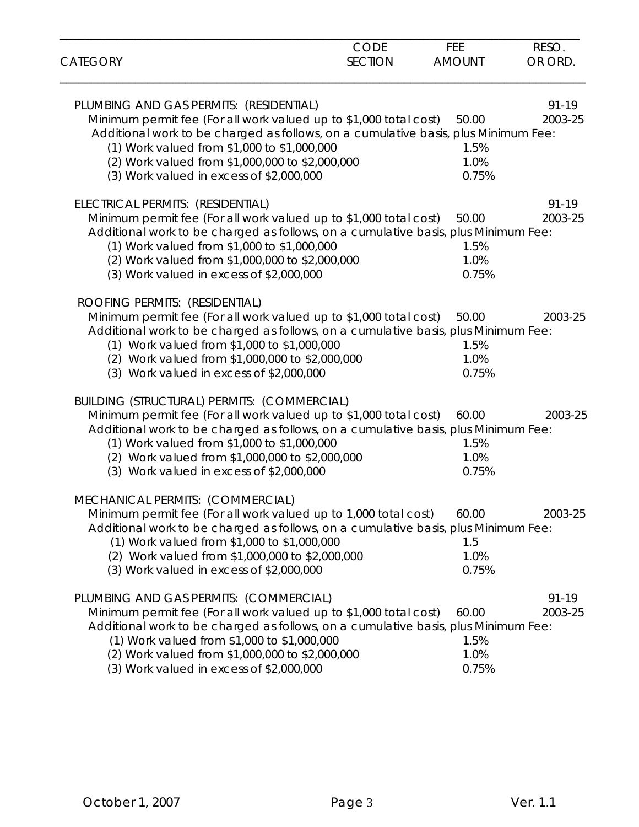| <b>CATEGORY</b>                                                                                                                                                                                                                                                                                                                                             | CODE<br><b>SECTION</b> | FEE<br><b>AMOUNT</b>           | RESO.<br>OR ORD.     |
|-------------------------------------------------------------------------------------------------------------------------------------------------------------------------------------------------------------------------------------------------------------------------------------------------------------------------------------------------------------|------------------------|--------------------------------|----------------------|
| PLUMBING AND GAS PERMITS: (RESIDENTIAL)<br>Minimum permit fee (For all work valued up to \$1,000 total cost)<br>Additional work to be charged as follows, on a cumulative basis, plus Minimum Fee:<br>(1) Work valued from \$1,000 to \$1,000,000<br>(2) Work valued from \$1,000,000 to \$2,000,000<br>(3) Work valued in excess of \$2,000,000            |                        | 50.00<br>1.5%<br>1.0%<br>0.75% | $91 - 19$<br>2003-25 |
| ELECTRICAL PERMITS: (RESIDENTIAL)<br>Minimum permit fee (For all work valued up to \$1,000 total cost)<br>Additional work to be charged as follows, on a cumulative basis, plus Minimum Fee:<br>(1) Work valued from \$1,000 to \$1,000,000<br>(2) Work valued from \$1,000,000 to \$2,000,000<br>(3) Work valued in excess of \$2,000,000                  |                        | 50.00<br>1.5%<br>1.0%<br>0.75% | 91-19<br>2003-25     |
| ROOFING PERMITS: (RESIDENTIAL)<br>Minimum permit fee (For all work valued up to \$1,000 total cost)<br>Additional work to be charged as follows, on a cumulative basis, plus Minimum Fee:<br>(1) Work valued from \$1,000 to \$1,000,000<br>(2) Work valued from \$1,000,000 to \$2,000,000<br>(3) Work valued in excess of \$2,000,000                     |                        | 50.00<br>1.5%<br>1.0%<br>0.75% | 2003-25              |
| <b>BUILDING (STRUCTURAL) PERMITS: (COMMERCIAL)</b><br>Minimum permit fee (For all work valued up to \$1,000 total cost)<br>Additional work to be charged as follows, on a cumulative basis, plus Minimum Fee:<br>(1) Work valued from \$1,000 to \$1,000,000<br>(2) Work valued from \$1,000,000 to \$2,000,000<br>(3) Work valued in excess of \$2,000,000 |                        | 60.00<br>1.5%<br>1.0%<br>0.75% | 2003-25              |
| MECHANICAL PERMITS: (COMMERCIAL)<br>Minimum permit fee (For all work valued up to 1,000 total cost)<br>Additional work to be charged as follows, on a cumulative basis, plus Minimum Fee:<br>(1) Work valued from \$1,000 to \$1,000,000<br>(2) Work valued from \$1,000,000 to \$2,000,000<br>(3) Work valued in excess of \$2,000,000                     |                        | 60.00<br>1.5<br>1.0%<br>0.75%  | 2003-25              |
| PLUMBING AND GAS PERMITS: (COMMERCIAL)<br>Minimum permit fee (For all work valued up to \$1,000 total cost)<br>Additional work to be charged as follows, on a cumulative basis, plus Minimum Fee:<br>(1) Work valued from \$1,000 to \$1,000,000<br>(2) Work valued from \$1,000,000 to \$2,000,000<br>(3) Work valued in excess of \$2,000,000             |                        | 60.00<br>1.5%<br>1.0%<br>0.75% | 91-19<br>2003-25     |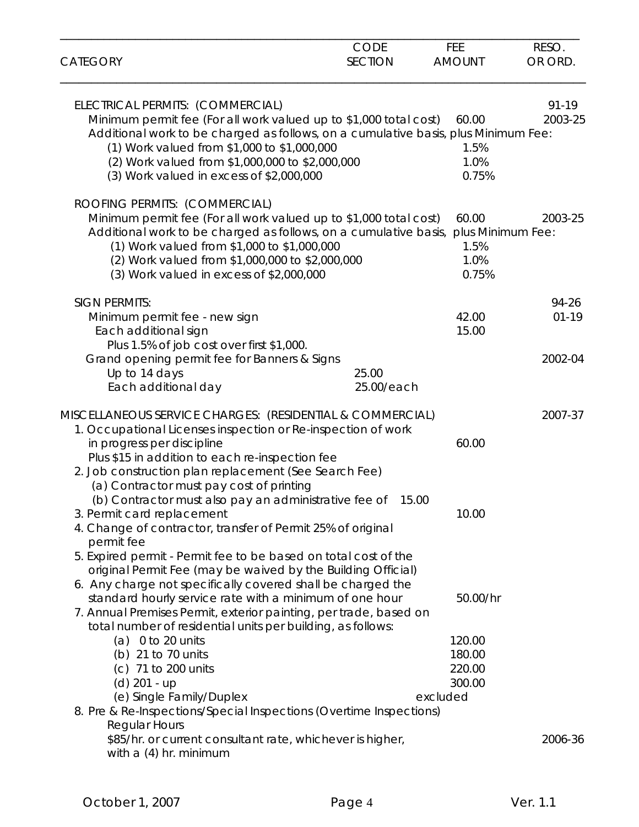|                                                                                                                                  | <b>CODE</b>    | FEE           | RESO.     |
|----------------------------------------------------------------------------------------------------------------------------------|----------------|---------------|-----------|
| <b>CATEGORY</b>                                                                                                                  | <b>SECTION</b> | <b>AMOUNT</b> | OR ORD.   |
| ELECTRICAL PERMITS: (COMMERCIAL)                                                                                                 |                |               | 91-19     |
| Minimum permit fee (For all work valued up to \$1,000 total cost)                                                                |                | 60.00         | 2003-25   |
| Additional work to be charged as follows, on a cumulative basis, plus Minimum Fee:                                               |                | 1.5%          |           |
| (1) Work valued from \$1,000 to \$1,000,000<br>(2) Work valued from \$1,000,000 to \$2,000,000                                   |                | 1.0%          |           |
| (3) Work valued in excess of \$2,000,000                                                                                         |                | 0.75%         |           |
| ROOFING PERMITS: (COMMERCIAL)                                                                                                    |                |               |           |
| Minimum permit fee (For all work valued up to \$1,000 total cost)                                                                |                | 60.00         | 2003-25   |
| Additional work to be charged as follows, on a cumulative basis, plus Minimum Fee:                                               |                |               |           |
| (1) Work valued from \$1,000 to \$1,000,000                                                                                      |                | 1.5%          |           |
| (2) Work valued from \$1,000,000 to \$2,000,000<br>(3) Work valued in excess of \$2,000,000                                      |                | 1.0%<br>0.75% |           |
|                                                                                                                                  |                |               |           |
| <b>SIGN PERMITS:</b>                                                                                                             |                |               | 94-26     |
| Minimum permit fee - new sign                                                                                                    |                | 42.00         | $01 - 19$ |
| Each additional sign<br>Plus 1.5% of job cost over first \$1,000.                                                                |                | 15.00         |           |
| Grand opening permit fee for Banners & Signs                                                                                     |                |               | 2002-04   |
| Up to 14 days                                                                                                                    | 25.00          |               |           |
| Each additional day                                                                                                              | 25.00/each     |               |           |
| MISCELLANEOUS SERVICE CHARGES: (RESIDENTIAL & COMMERCIAL)                                                                        |                |               | 2007-37   |
| 1. Occupational Licenses inspection or Re-inspection of work                                                                     |                |               |           |
| in progress per discipline                                                                                                       |                | 60.00         |           |
| Plus \$15 in addition to each re-inspection fee                                                                                  |                |               |           |
| 2. Job construction plan replacement (See Search Fee)<br>(a) Contractor must pay cost of printing                                |                |               |           |
| (b) Contractor must also pay an administrative fee of 15.00                                                                      |                |               |           |
| 3. Permit card replacement                                                                                                       |                | 10.00         |           |
| 4. Change of contractor, transfer of Permit 25% of original                                                                      |                |               |           |
| permit fee                                                                                                                       |                |               |           |
| 5. Expired permit - Permit fee to be based on total cost of the                                                                  |                |               |           |
| original Permit Fee (may be waived by the Building Official)                                                                     |                |               |           |
| 6. Any charge not specifically covered shall be charged the                                                                      |                |               |           |
| standard hourly service rate with a minimum of one hour                                                                          |                | 50.00/hr      |           |
| 7. Annual Premises Permit, exterior painting, per trade, based on<br>total number of residential units per building, as follows: |                |               |           |
| (a) $0$ to 20 units                                                                                                              |                | 120.00        |           |
| (b) 21 to 70 units                                                                                                               |                | 180.00        |           |
| (c) 71 to 200 units                                                                                                              |                | 220.00        |           |
| $(d)$ 201 - up                                                                                                                   |                | 300.00        |           |
| (e) Single Family/Duplex                                                                                                         |                | excluded      |           |
| 8. Pre & Re-Inspections/Special Inspections (Overtime Inspections)                                                               |                |               |           |
| <b>Regular Hours</b>                                                                                                             |                |               |           |
| \$85/hr. or current consultant rate, whichever is higher,                                                                        |                |               | 2006-36   |
| with a (4) hr. minimum                                                                                                           |                |               |           |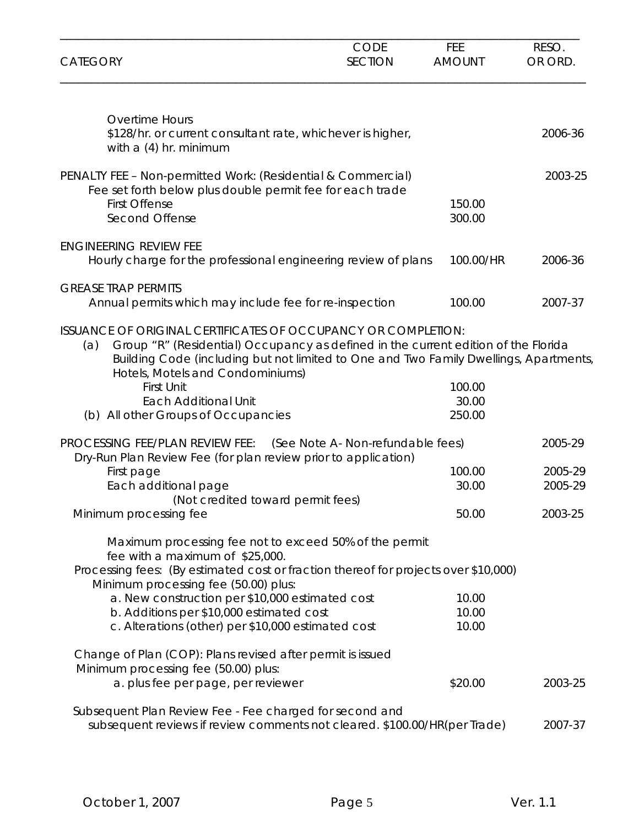| <b>CATEGORY</b>                                                                                                                                                                                                                                                                                                                                                                           | <b>CODE</b><br><b>SECTION</b>     | <b>FEE</b><br><b>AMOUNT</b> | RESO.<br>OR ORD.   |
|-------------------------------------------------------------------------------------------------------------------------------------------------------------------------------------------------------------------------------------------------------------------------------------------------------------------------------------------------------------------------------------------|-----------------------------------|-----------------------------|--------------------|
| <b>Overtime Hours</b><br>\$128/hr. or current consultant rate, whichever is higher,<br>with $a(4)$ hr. minimum                                                                                                                                                                                                                                                                            |                                   |                             | 2006-36            |
| PENALTY FEE - Non-permitted Work: (Residential & Commercial)<br>Fee set forth below plus double permit fee for each trade<br><b>First Offense</b><br>Second Offense                                                                                                                                                                                                                       |                                   | 150.00<br>300.00            | 2003-25            |
| <b>ENGINEERING REVIEW FEE</b><br>Hourly charge for the professional engineering review of plans                                                                                                                                                                                                                                                                                           |                                   | 100.00/HR                   | 2006-36            |
| <b>GREASE TRAP PERMITS</b><br>Annual permits which may include fee for re-inspection                                                                                                                                                                                                                                                                                                      |                                   | 100.00                      | 2007-37            |
| <b>ISSUANCE OF ORIGINAL CERTIFICATES OF OCCUPANCY OR COMPLETION:</b><br>Group "R" (Residential) Occupancy as defined in the current edition of the Florida<br>(a)<br>Building Code (including but not limited to One and Two Family Dwellings, Apartments,<br>Hotels, Motels and Condominiums)<br><b>First Unit</b><br><b>Each Additional Unit</b><br>(b) All other Groups of Occupancies |                                   | 100.00<br>30.00<br>250.00   |                    |
| PROCESSING FEE/PLAN REVIEW FEE:<br>Dry-Run Plan Review Fee (for plan review prior to application)                                                                                                                                                                                                                                                                                         | (See Note A- Non-refundable fees) |                             | 2005-29            |
| First page<br>Each additional page<br>(Not credited toward permit fees)                                                                                                                                                                                                                                                                                                                   |                                   | 100.00<br>30.00             | 2005-29<br>2005-29 |
| Minimum processing fee                                                                                                                                                                                                                                                                                                                                                                    |                                   | 50.00                       | 2003-25            |
| Maximum processing fee not to exceed 50% of the permit<br>fee with a maximum of \$25,000.<br>Processing fees: (By estimated cost or fraction thereof for projects over \$10,000)<br>Minimum processing fee (50.00) plus:                                                                                                                                                                  |                                   |                             |                    |
| a. New construction per \$10,000 estimated cost<br>b. Additions per \$10,000 estimated cost<br>c. Alterations (other) per \$10,000 estimated cost                                                                                                                                                                                                                                         |                                   | 10.00<br>10.00<br>10.00     |                    |
| Change of Plan (COP): Plans revised after permit is issued<br>Minimum processing fee (50.00) plus:<br>a. plus fee per page, per reviewer                                                                                                                                                                                                                                                  |                                   | \$20.00                     | 2003-25            |
| Subsequent Plan Review Fee - Fee charged for second and<br>subsequent reviews if review comments not cleared. \$100.00/HR(per Trade)                                                                                                                                                                                                                                                      |                                   |                             | 2007-37            |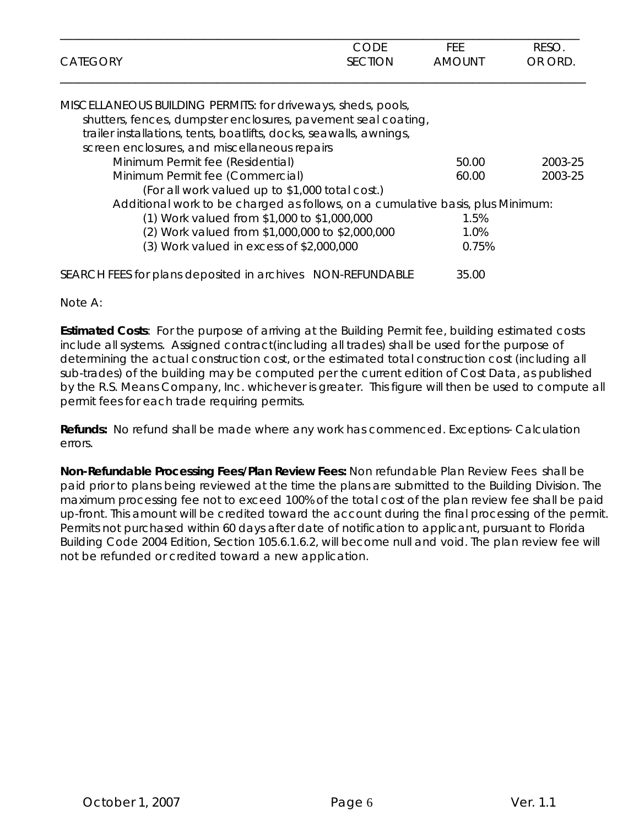|                 | CODE           | FEE           | <b>RESO</b> |
|-----------------|----------------|---------------|-------------|
| <b>CATEGORY</b> | <b>SECTION</b> | <b>AMOUNT</b> | OR ORD.     |
|                 |                |               |             |

| MISCELLANEOUS BUILDING PERMITS: for driveways, sheds, pools,                   |       |         |
|--------------------------------------------------------------------------------|-------|---------|
| shutters, fences, dumpster enclosures, pavement seal coating,                  |       |         |
| trailer installations, tents, boatlifts, docks, seawalls, awnings,             |       |         |
| screen enclosures, and miscellaneous repairs                                   |       |         |
| Minimum Permit fee (Residential)                                               | 50.00 | 2003-25 |
| Minimum Permit fee (Commercial)                                                | 60.00 | 2003-25 |
| (For all work valued up to \$1,000 total cost.)                                |       |         |
| Additional work to be charged as follows, on a cumulative basis, plus Minimum: |       |         |
| (1) Work valued from \$1,000 to \$1,000,000                                    | 1.5%  |         |
| (2) Work valued from \$1,000,000 to \$2,000,000                                | 1.0%  |         |
| $(3)$ Work valued in excess of \$2,000,000                                     | 0.75% |         |
| SEARCH FEES for plans deposited in archives NON-REFUNDABLE                     | 35.00 |         |

Note A:

**Estimated Costs**: For the purpose of arriving at the Building Permit fee, building estimated costs include all systems. Assigned contract(including all trades) shall be used for the purpose of determining the actual construction cost, or the estimated total construction cost (including all sub-trades) of the building may be computed per the current edition of Cost Data, as published by the R.S. Means Company, Inc. whichever is greater. This figure will then be used to compute all permit fees for each trade requiring permits.

**Refunds:** No refund shall be made where any work has commenced. Exceptions- Calculation errors.

**Non-Refundable Processing Fees/Plan Review Fees:** Non refundable Plan Review Fees shall be paid prior to plans being reviewed at the time the plans are submitted to the Building Division. The maximum processing fee not to exceed 100% of the total cost of the plan review fee shall be paid up-front. This amount will be credited toward the account during the final processing of the permit. Permits not purchased within 60 days after date of notification to applicant, pursuant to Florida Building Code 2004 Edition, Section 105.6.1.6.2, will become null and void. The plan review fee will not be refunded or credited toward a new application.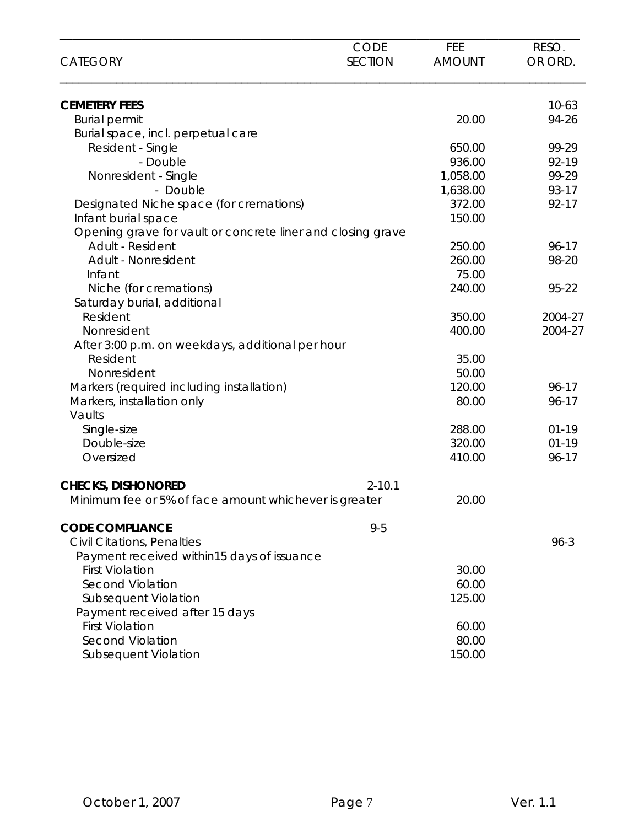| <b>CATEGORY</b>                                             | <b>CODE</b><br><b>SECTION</b> | FEE<br><b>AMOUNT</b> | RESO.<br>OR ORD. |
|-------------------------------------------------------------|-------------------------------|----------------------|------------------|
|                                                             |                               |                      |                  |
| <b>CEMETERY FEES</b>                                        |                               |                      | $10-63$          |
| <b>Burial permit</b>                                        |                               | 20.00                | 94-26            |
| Burial space, incl. perpetual care                          |                               |                      |                  |
| Resident - Single                                           |                               | 650.00               | 99-29            |
| - Double                                                    |                               | 936.00               | 92-19            |
| Nonresident - Single                                        |                               | 1,058.00             | 99-29            |
| - Double                                                    |                               | 1,638.00             | 93-17            |
| Designated Niche space (for cremations)                     |                               | 372.00               | 92-17            |
| Infant burial space                                         |                               | 150.00               |                  |
| Opening grave for vault or concrete liner and closing grave |                               |                      |                  |
| Adult - Resident                                            |                               | 250.00               | 96-17            |
| Adult - Nonresident                                         |                               | 260.00               | 98-20            |
| Infant                                                      |                               | 75.00                |                  |
| Niche (for cremations)                                      |                               | 240.00               | 95-22            |
| Saturday burial, additional                                 |                               |                      |                  |
| Resident                                                    |                               | 350.00               | 2004-27          |
| Nonresident                                                 |                               | 400.00               | 2004-27          |
| After 3:00 p.m. on weekdays, additional per hour            |                               |                      |                  |
| Resident                                                    |                               | 35.00                |                  |
| Nonresident                                                 |                               | 50.00                |                  |
| Markers (required including installation)                   |                               | 120.00               | $96 - 17$        |
| Markers, installation only                                  |                               | 80.00                | 96-17            |
| Vaults                                                      |                               |                      |                  |
| Single-size                                                 |                               | 288.00               | $01 - 19$        |
| Double-size                                                 |                               | 320.00               | $01-19$          |
| Oversized                                                   |                               | 410.00               | 96-17            |
| <b>CHECKS, DISHONORED</b>                                   | $2 - 10.1$                    |                      |                  |
| Minimum fee or 5% of face amount whichever is greater       |                               | 20.00                |                  |
| <b>CODE COMPLIANCE</b>                                      | $9 - 5$                       |                      |                  |
| <b>Civil Citations, Penalties</b>                           |                               |                      | $96 - 3$         |
| Payment received within15 days of issuance                  |                               |                      |                  |
| <b>First Violation</b>                                      |                               | 30.00                |                  |
| <b>Second Violation</b>                                     |                               | 60.00                |                  |
| Subsequent Violation                                        |                               | 125.00               |                  |
| Payment received after 15 days                              |                               |                      |                  |
| <b>First Violation</b>                                      |                               | 60.00                |                  |
| <b>Second Violation</b>                                     |                               | 80.00                |                  |
| Subsequent Violation                                        |                               | 150.00               |                  |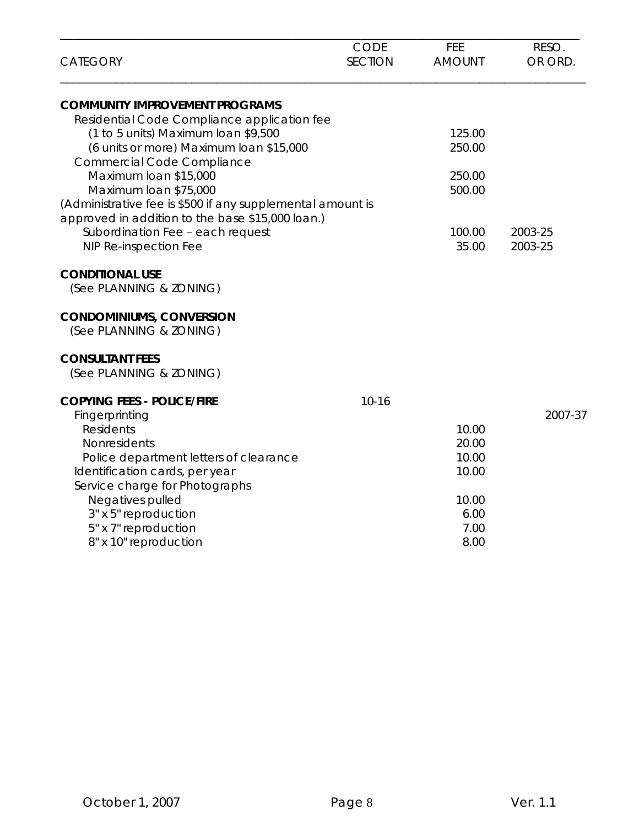| <b>CATEGORY</b>                                                                                                                                                                                                                                                                                    | <b>CODE</b><br><b>SECTION</b> | FEE<br><b>AMOUNT</b>                                              | RESO.<br>OR ORD.   |
|----------------------------------------------------------------------------------------------------------------------------------------------------------------------------------------------------------------------------------------------------------------------------------------------------|-------------------------------|-------------------------------------------------------------------|--------------------|
| <b>COMMUNITY IMPROVEMENT PROGRAMS</b>                                                                                                                                                                                                                                                              |                               |                                                                   |                    |
| Residential Code Compliance application fee<br>(1 to 5 units) Maximum loan \$9,500<br>(6 units or more) Maximum loan \$15,000<br><b>Commercial Code Compliance</b>                                                                                                                                 |                               | 125.00<br>250.00                                                  |                    |
| Maximum loan \$15,000<br>Maximum loan \$75,000<br>(Administrative fee is \$500 if any supplemental amount is                                                                                                                                                                                       |                               | 250.00<br>500.00                                                  |                    |
| approved in addition to the base \$15,000 loan.)<br>Subordination Fee - each request<br>NIP Re-inspection Fee                                                                                                                                                                                      |                               | 100.00<br>35.00                                                   | 2003-25<br>2003-25 |
| <b>CONDITIONAL USE</b><br>(See PLANNING & ZONING)                                                                                                                                                                                                                                                  |                               |                                                                   |                    |
| <b>CONDOMINIUMS, CONVERSION</b><br>(See PLANNING & ZONING)                                                                                                                                                                                                                                         |                               |                                                                   |                    |
| <b>CONSULTANT FEES</b><br>(See PLANNING & ZONING)                                                                                                                                                                                                                                                  |                               |                                                                   |                    |
| <b>COPYING FEES - POLICE/FIRE</b><br>Fingerprinting<br><b>Residents</b><br>Nonresidents<br>Police department letters of clearance<br>Identification cards, per year<br>Service charge for Photographs<br>Negatives pulled<br>3" x 5" reproduction<br>5" x 7" reproduction<br>8" x 10" reproduction | $10 - 16$                     | 10.00<br>20.00<br>10.00<br>10.00<br>10.00<br>6.00<br>7.00<br>8.00 | 2007-37            |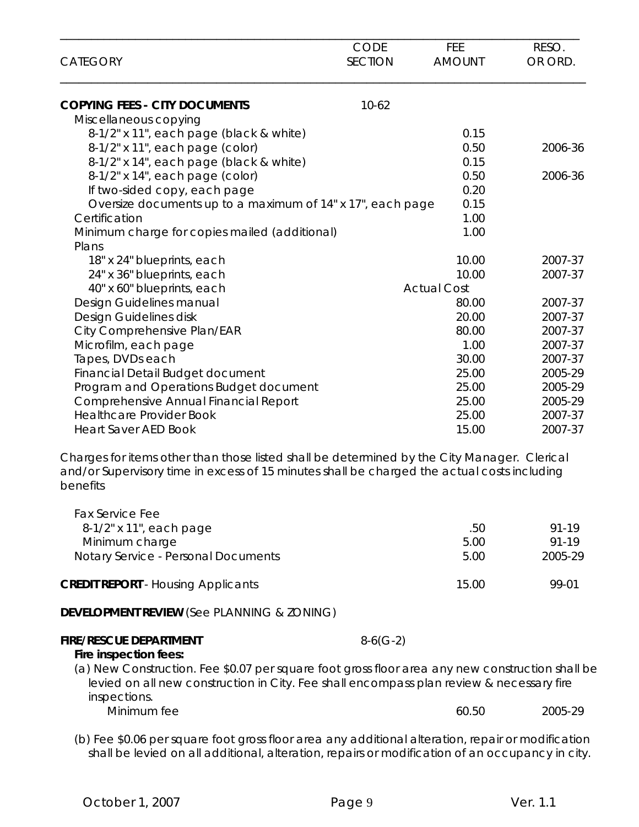| <b>CATEGORY</b>                                                                                                                                                                                        | <b>CODE</b><br><b>SECTION</b> | FEE<br><b>AMOUNT</b> | RESO.<br>OR ORD.   |
|--------------------------------------------------------------------------------------------------------------------------------------------------------------------------------------------------------|-------------------------------|----------------------|--------------------|
| <b>COPYING FEES - CITY DOCUMENTS</b>                                                                                                                                                                   | $10-62$                       |                      |                    |
| Miscellaneous copying                                                                                                                                                                                  |                               |                      |                    |
| 8-1/2" x 11", each page (black & white)                                                                                                                                                                |                               | 0.15                 |                    |
| 8-1/2" x 11", each page (color)                                                                                                                                                                        |                               | 0.50                 | 2006-36            |
| 8-1/2" x 14", each page (black & white)                                                                                                                                                                |                               | 0.15                 |                    |
| 8-1/2" x 14", each page (color)                                                                                                                                                                        |                               | 0.50                 | 2006-36            |
| If two-sided copy, each page                                                                                                                                                                           |                               | 0.20                 |                    |
| Oversize documents up to a maximum of 14" x 17", each page                                                                                                                                             |                               | 0.15                 |                    |
| Certification                                                                                                                                                                                          |                               | 1.00                 |                    |
| Minimum charge for copies mailed (additional)                                                                                                                                                          |                               | 1.00                 |                    |
| Plans                                                                                                                                                                                                  |                               |                      |                    |
| 18" x 24" blueprints, each                                                                                                                                                                             |                               | 10.00                | 2007-37            |
| 24" x 36" blueprints, each                                                                                                                                                                             |                               | 10.00                | 2007-37            |
| 40" x 60" blueprints, each                                                                                                                                                                             |                               | <b>Actual Cost</b>   |                    |
| Design Guidelines manual                                                                                                                                                                               |                               | 80.00                | 2007-37            |
| Design Guidelines disk                                                                                                                                                                                 |                               | 20.00                | 2007-37            |
| City Comprehensive Plan/EAR                                                                                                                                                                            |                               | 80.00                | 2007-37            |
| Microfilm, each page                                                                                                                                                                                   |                               | 1.00                 | 2007-37            |
| Tapes, DVDs each                                                                                                                                                                                       |                               | 30.00<br>25.00       | 2007-37<br>2005-29 |
| Financial Detail Budget document                                                                                                                                                                       |                               |                      |                    |
| Program and Operations Budget document                                                                                                                                                                 |                               | 25.00                | 2005-29            |
| Comprehensive Annual Financial Report                                                                                                                                                                  |                               | 25.00                | 2005-29<br>2007-37 |
| <b>Healthcare Provider Book</b>                                                                                                                                                                        |                               | 25.00                |                    |
| <b>Heart Saver AED Book</b>                                                                                                                                                                            |                               | 15.00                | 2007-37            |
| Charges for items other than those listed shall be determined by the City Manager. Clerical<br>and/or Supervisory time in excess of 15 minutes shall be charged the actual costs including<br>benefits |                               |                      |                    |
| <b>Fax Service Fee</b><br>8-1/2" x 11", each page                                                                                                                                                      |                               | .50                  | 91-19              |
| Minimum charge                                                                                                                                                                                         |                               | 5.00                 | 91-19              |
| Notary Service - Personal Documents                                                                                                                                                                    |                               | 5.00                 | 2005-29            |

**CREDIT REPORT** - Housing Applicants 15.00 99-01

**DEVELOPMENT REVIEW** (See PLANNING & ZONING)

## **FIRE/RESCUE DEPARTMENT** 8-6(G-2)

## **Fire inspection fees:**

 (a) New Construction. Fee \$0.07 per square foot gross floor area any new construction shall be levied on all new construction in City. Fee shall encompass plan review & necessary fire inspections. Minimum fee 2005-29

 (b) Fee \$0.06 per square foot gross floor area any additional alteration, repair or modification shall be levied on all additional, alteration, repairs or modification of an occupancy in city.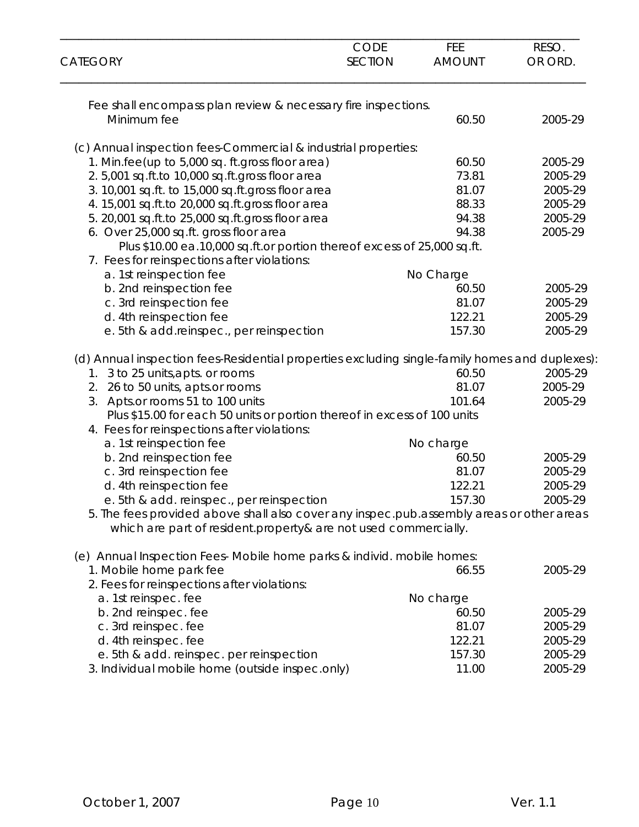| <b>CATEGORY</b>                                                                                | CODE<br><b>SECTION</b> | <b>FEE</b><br><b>AMOUNT</b> | RESO.<br>OR ORD. |
|------------------------------------------------------------------------------------------------|------------------------|-----------------------------|------------------|
|                                                                                                |                        |                             |                  |
| Fee shall encompass plan review & necessary fire inspections.<br>Minimum fee                   |                        | 60.50                       | 2005-29          |
|                                                                                                |                        |                             |                  |
| (c) Annual inspection fees-Commercial & industrial properties:                                 |                        |                             |                  |
| 1. Min.fee(up to 5,000 sq. ft.gross floor area)                                                |                        | 60.50                       | 2005-29          |
| 2.5,001 sq.ft.to 10,000 sq.ft.gross floor area                                                 |                        | 73.81                       | 2005-29          |
| 3. 10,001 sq.ft. to 15,000 sq.ft.gross floor area                                              |                        | 81.07                       | 2005-29          |
| 4. 15,001 sq.ft.to 20,000 sq.ft.gross floor area                                               |                        | 88.33                       | 2005-29          |
| 5. 20,001 sq.ft.to 25,000 sq.ft.gross floor area                                               |                        | 94.38                       | 2005-29          |
| 6. Over 25,000 sq.ft. gross floor area                                                         |                        | 94.38                       | 2005-29          |
| Plus \$10.00 ea.10,000 sq.ft.or portion thereof excess of 25,000 sq.ft.                        |                        |                             |                  |
| 7. Fees for reinspections after violations:                                                    |                        |                             |                  |
| a. 1st reinspection fee                                                                        |                        | No Charge                   |                  |
| b. 2nd reinspection fee                                                                        |                        | 60.50                       | 2005-29          |
| c. 3rd reinspection fee                                                                        |                        | 81.07                       | 2005-29          |
| d. 4th reinspection fee                                                                        |                        | 122.21                      | 2005-29          |
| e. 5th & add.reinspec., per reinspection                                                       |                        | 157.30                      | 2005-29          |
| (d) Annual inspection fees-Residential properties excluding single-family homes and duplexes): |                        |                             |                  |
| 3 to 25 units, apts. or rooms<br>1.                                                            |                        | 60.50                       | 2005-29          |
| 26 to 50 units, apts.or rooms<br>2.                                                            |                        | 81.07                       | 2005-29          |
| 3.<br>Apts.or rooms 51 to 100 units                                                            |                        | 101.64                      | 2005-29          |
| Plus \$15.00 for each 50 units or portion thereof in excess of 100 units                       |                        |                             |                  |
| 4. Fees for reinspections after violations:                                                    |                        |                             |                  |
| a. 1st reinspection fee                                                                        |                        | No charge                   |                  |
| b. 2nd reinspection fee                                                                        |                        | 60.50                       | 2005-29          |
| c. 3rd reinspection fee                                                                        |                        | 81.07                       | 2005-29          |
| d. 4th reinspection fee                                                                        |                        | 122.21                      | 2005-29          |
| e. 5th & add. reinspec., per reinspection                                                      |                        | 157.30                      | 2005-29          |
| 5. The fees provided above shall also cover any inspec.pub.assembly areas or other areas       |                        |                             |                  |
| which are part of resident property & are not used commercially.                               |                        |                             |                  |
| (e) Annual Inspection Fees- Mobile home parks & individ. mobile homes:                         |                        |                             |                  |
| 1. Mobile home park fee                                                                        |                        | 66.55                       | 2005-29          |
| 2. Fees for reinspections after violations:                                                    |                        |                             |                  |
| a. 1st reinspec. fee                                                                           |                        | No charge                   |                  |
| b. 2nd reinspec. fee                                                                           |                        | 60.50                       | 2005-29          |
| c. 3rd reinspec. fee                                                                           |                        | 81.07                       | 2005-29          |
| d. 4th reinspec. fee                                                                           |                        | 122.21                      | 2005-29          |
| e. 5th & add. reinspec. per reinspection                                                       |                        | 157.30                      | 2005-29          |
| 3. Individual mobile home (outside inspec.only)                                                |                        | 11.00                       | 2005-29          |
|                                                                                                |                        |                             |                  |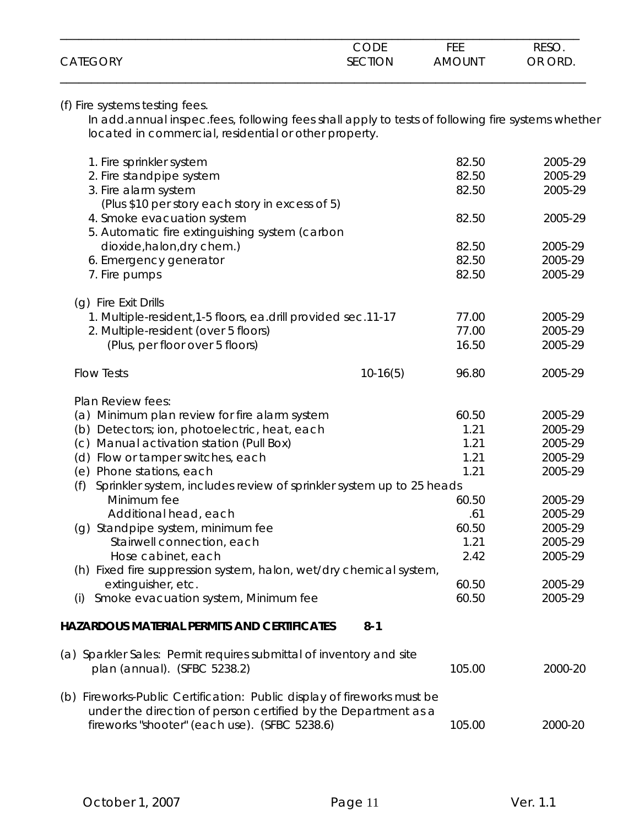|                 | <b>CODE</b> | FEE           | RESO.   |
|-----------------|-------------|---------------|---------|
| <b>CATEGORY</b> | SECTION     | <b>AMOUNT</b> | OR ORD. |
|                 |             |               |         |

#### (f) Fire systems testing fees.

 In add.annual inspec.fees, following fees shall apply to tests of following fire systems whether located in commercial, residential or other property.

| 1. Fire sprinkler system<br>2. Fire standpipe system<br>3. Fire alarm system<br>(Plus \$10 per story each story in excess of 5)           |            | 82.50<br>82.50<br>82.50 | 2005-29<br>2005-29<br>2005-29 |
|-------------------------------------------------------------------------------------------------------------------------------------------|------------|-------------------------|-------------------------------|
| 4. Smoke evacuation system                                                                                                                |            | 82.50                   | 2005-29                       |
| 5. Automatic fire extinguishing system (carbon                                                                                            |            |                         |                               |
| dioxide, halon, dry chem.)                                                                                                                |            | 82.50                   | 2005-29                       |
| 6. Emergency generator                                                                                                                    |            | 82.50                   | 2005-29                       |
| 7. Fire pumps                                                                                                                             |            | 82.50                   | 2005-29                       |
| (q) Fire Exit Drills                                                                                                                      |            |                         |                               |
| 1. Multiple-resident, 1-5 floors, ea.drill provided sec.11-17                                                                             |            | 77.00                   | 2005-29                       |
| 2. Multiple-resident (over 5 floors)                                                                                                      |            | 77.00                   | 2005-29                       |
| (Plus, per floor over 5 floors)                                                                                                           |            | 16.50                   | 2005-29                       |
| <b>Flow Tests</b>                                                                                                                         | $10-16(5)$ | 96.80                   | 2005-29                       |
| Plan Review fees:                                                                                                                         |            |                         |                               |
| (a) Minimum plan review for fire alarm system                                                                                             |            | 60.50                   | 2005-29                       |
| (b) Detectors; ion, photoelectric, heat, each                                                                                             |            | 1.21                    | 2005-29                       |
| (c) Manual activation station (Pull Box)                                                                                                  |            | 1.21                    | 2005-29                       |
| (d) Flow or tamper switches, each                                                                                                         |            | 1.21                    | 2005-29                       |
| (e) Phone stations, each                                                                                                                  |            | 1.21                    | 2005-29                       |
| Sprinkler system, includes review of sprinkler system up to 25 heads<br>(f)                                                               |            |                         |                               |
| Minimum fee                                                                                                                               |            | 60.50                   | 2005-29                       |
| Additional head, each                                                                                                                     |            | .61                     | 2005-29                       |
| (g) Standpipe system, minimum fee                                                                                                         |            | 60.50                   | 2005-29                       |
| Stairwell connection, each                                                                                                                |            | 1.21                    | 2005-29                       |
| Hose cabinet, each                                                                                                                        |            | 2.42                    | 2005-29                       |
| (h) Fixed fire suppression system, halon, wet/dry chemical system,                                                                        |            |                         |                               |
| extinguisher, etc.                                                                                                                        |            | 60.50                   | 2005-29                       |
| Smoke evacuation system, Minimum fee<br>(i)                                                                                               |            | 60.50                   | 2005-29                       |
| HAZARDOUS MATERIAL PERMITS AND CERTIFICATES                                                                                               | $8 - 1$    |                         |                               |
| (a) Sparkler Sales: Permit requires submittal of inventory and site                                                                       |            |                         |                               |
| plan (annual). (SFBC 5238.2)                                                                                                              |            | 105.00                  | 2000-20                       |
| (b) Fireworks-Public Certification: Public display of fireworks must be<br>under the direction of person certified by the Department as a |            |                         |                               |
| fireworks "shooter" (each use). (SFBC 5238.6)                                                                                             |            | 105.00                  | 2000-20                       |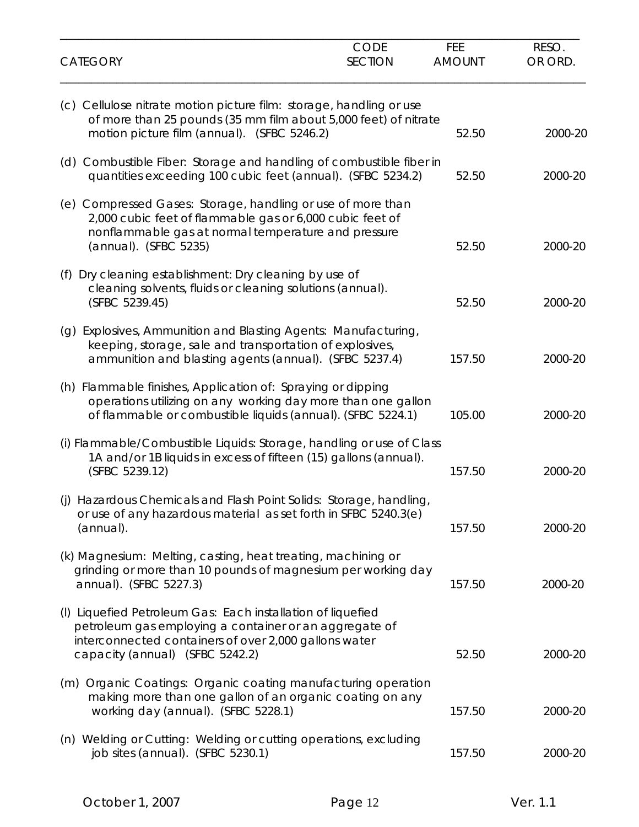| <b>CATEGORY</b>                                                                                                                                                                                                   | CODE<br><b>SECTION</b> | FEE<br><b>AMOUNT</b> | RESO.<br>OR ORD. |
|-------------------------------------------------------------------------------------------------------------------------------------------------------------------------------------------------------------------|------------------------|----------------------|------------------|
| (c) Cellulose nitrate motion picture film: storage, handling or use<br>of more than 25 pounds (35 mm film about 5,000 feet) of nitrate<br>motion picture film (annual). (SFBC 5246.2)                             |                        | 52.50                | 2000-20          |
| (d) Combustible Fiber: Storage and handling of combustible fiber in<br>quantities exceeding 100 cubic feet (annual). (SFBC 5234.2)                                                                                |                        | 52.50                | 2000-20          |
| (e) Compressed Gases: Storage, handling or use of more than<br>2,000 cubic feet of flammable gas or 6,000 cubic feet of<br>nonflammable gas at normal temperature and pressure<br>(annual). (SFBC 5235)           |                        | 52.50                | 2000-20          |
| Dry cleaning establishment: Dry cleaning by use of<br>(f)<br>cleaning solvents, fluids or cleaning solutions (annual).<br>(SFBC 5239.45)                                                                          |                        | 52.50                | 2000-20          |
| Explosives, Ammunition and Blasting Agents: Manufacturing,<br>(g)<br>keeping, storage, sale and transportation of explosives,<br>ammunition and blasting agents (annual). (SFBC 5237.4)                           |                        | 157.50               | 2000-20          |
| (h) Flammable finishes, Application of: Spraying or dipping<br>operations utilizing on any working day more than one gallon<br>of flammable or combustible liquids (annual). (SFBC 5224.1)                        |                        | 105.00               | 2000-20          |
| (i) Flammable/Combustible Liquids: Storage, handling or use of Class<br>1A and/or 1B liquids in excess of fifteen (15) gallons (annual).<br>(SFBC 5239.12)                                                        |                        | 157.50               | 2000-20          |
| Hazardous Chemicals and Flash Point Solids: Storage, handling,<br>(i)<br>or use of any hazardous material as set forth in SFBC 5240.3(e)<br>(annual).                                                             |                        | 157.50               | 2000-20          |
| (k) Magnesium: Melting, casting, heat treating, machining or<br>grinding or more than 10 pounds of magnesium per working day<br>annual). (SFBC 5227.3)                                                            |                        | 157.50               | 2000-20          |
| (I) Liquefied Petroleum Gas: Each installation of liquefied<br>petroleum gas employing a container or an aggregate of<br>interconnected containers of over 2,000 gallons water<br>capacity (annual) (SFBC 5242.2) |                        | 52.50                | 2000-20          |
| (m) Organic Coatings: Organic coating manufacturing operation<br>making more than one gallon of an organic coating on any<br>working day (annual). (SFBC 5228.1)                                                  |                        | 157.50               | 2000-20          |
| (n) Welding or Cutting: Welding or cutting operations, excluding<br>job sites (annual). (SFBC 5230.1)                                                                                                             |                        | 157.50               | 2000-20          |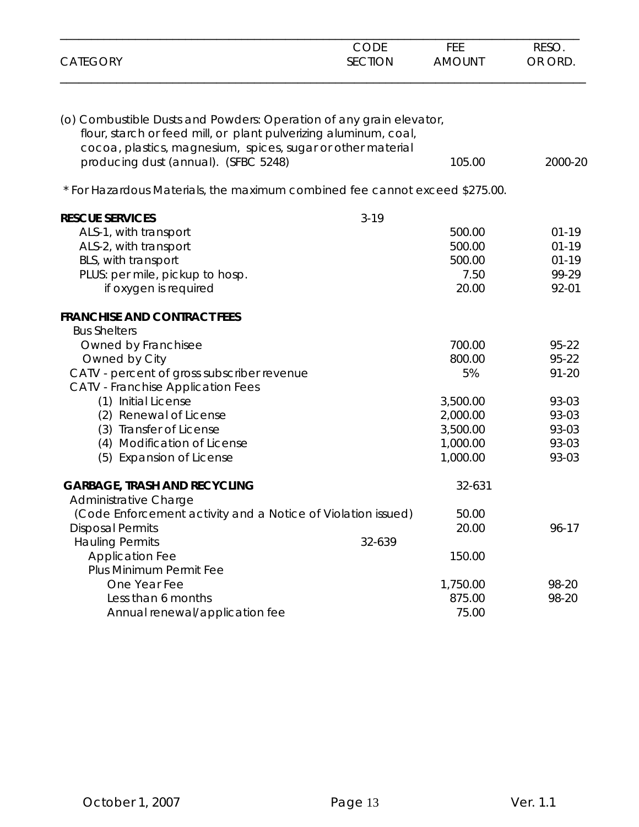| <b>CATEGORY</b>                                                                                                                         | <b>CODE</b><br><b>SECTION</b> | <b>FEE</b><br><b>AMOUNT</b> | RESO.<br>OR ORD. |
|-----------------------------------------------------------------------------------------------------------------------------------------|-------------------------------|-----------------------------|------------------|
|                                                                                                                                         |                               |                             |                  |
| (o) Combustible Dusts and Powders: Operation of any grain elevator,<br>flour, starch or feed mill, or plant pulverizing aluminum, coal, |                               |                             |                  |
| cocoa, plastics, magnesium, spices, sugar or other material                                                                             |                               |                             |                  |
| producing dust (annual). (SFBC 5248)                                                                                                    |                               | 105.00                      | 2000-20          |
|                                                                                                                                         |                               |                             |                  |
| * For Hazardous Materials, the maximum combined fee cannot exceed \$275.00.                                                             |                               |                             |                  |
| <b>RESCUE SERVICES</b>                                                                                                                  | $3 - 19$                      |                             |                  |
| ALS-1, with transport                                                                                                                   |                               | 500.00                      | $01 - 19$        |
| ALS-2, with transport                                                                                                                   |                               | 500.00                      | $01 - 19$        |
| BLS, with transport                                                                                                                     |                               | 500.00                      | $01-19$          |
| PLUS: per mile, pickup to hosp.                                                                                                         |                               | 7.50                        | 99-29            |
| if oxygen is required                                                                                                                   |                               | 20.00                       | 92-01            |
| <b>FRANCHISE AND CONTRACT FEES</b>                                                                                                      |                               |                             |                  |
| <b>Bus Shelters</b>                                                                                                                     |                               |                             |                  |
| Owned by Franchisee                                                                                                                     |                               | 700.00                      | 95-22            |
| Owned by City                                                                                                                           |                               | 800.00                      | 95-22            |
| CATV - percent of gross subscriber revenue                                                                                              |                               | 5%                          | $91 - 20$        |
| <b>CATV</b> - Franchise Application Fees                                                                                                |                               |                             |                  |
| (1) Initial License                                                                                                                     |                               | 3,500.00                    | 93-03            |
| (2) Renewal of License                                                                                                                  |                               | 2,000.00                    | 93-03            |
| (3) Transfer of License                                                                                                                 |                               | 3,500.00                    | 93-03            |
| (4) Modification of License                                                                                                             |                               | 1,000.00                    | 93-03            |
| (5) Expansion of License                                                                                                                |                               | 1,000.00                    | 93-03            |
| <b>GARBAGE, TRASH AND RECYCLING</b>                                                                                                     |                               | 32-631                      |                  |
| Administrative Charge                                                                                                                   |                               |                             |                  |
| (Code Enforcement activity and a Notice of Violation issued)                                                                            |                               | 50.00                       |                  |
| <b>Disposal Permits</b>                                                                                                                 |                               | 20.00                       | 96-17            |
| <b>Hauling Permits</b>                                                                                                                  | 32-639                        |                             |                  |
| <b>Application Fee</b>                                                                                                                  |                               | 150.00                      |                  |
| Plus Minimum Permit Fee                                                                                                                 |                               |                             |                  |
| One Year Fee                                                                                                                            |                               | 1,750.00                    | 98-20            |
| Less than 6 months                                                                                                                      |                               | 875.00                      | 98-20            |
| Annual renewal/application fee                                                                                                          |                               | 75.00                       |                  |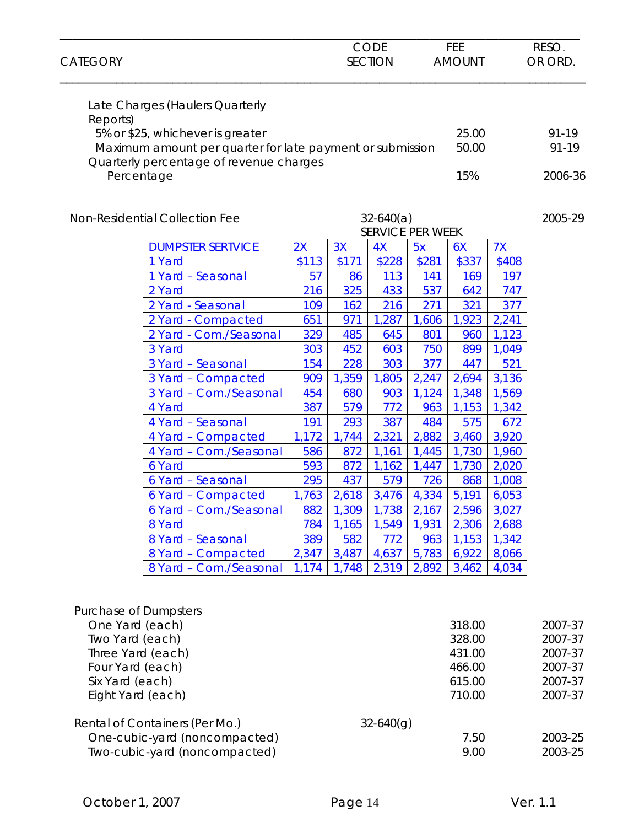| <b>CATEGORY</b>                     |                                                                                               |              |            | <b>CODE</b><br><b>SECTION</b>          |              | FEE<br><b>AMOUNT</b> |                | RESO.<br>OR ORD.   |
|-------------------------------------|-----------------------------------------------------------------------------------------------|--------------|------------|----------------------------------------|--------------|----------------------|----------------|--------------------|
| Reports)                            | Late Charges (Haulers Quarterly                                                               |              |            |                                        |              |                      |                |                    |
|                                     | 5% or \$25, whichever is greater<br>Maximum amount per quarter for late payment or submission |              |            |                                        |              | 25.00<br>50.00       |                | 91-19<br>91-19     |
|                                     | Quarterly percentage of revenue charges<br>Percentage                                         |              |            |                                        |              | 15%                  |                | 2006-36            |
|                                     | Non-Residential Collection Fee                                                                |              |            | $32-640(a)$<br><b>SERVICE PER WEEK</b> |              |                      |                | 2005-29            |
|                                     | <b>DUMPSTER SERTVICE</b>                                                                      | 2X           | 3X         | 4X                                     | 5x           | 6X                   | 7X             |                    |
|                                     | 1 Yard                                                                                        | \$113        | \$171      | \$228                                  | \$281        | \$337                | \$408          |                    |
|                                     | 1 Yard - Seasonal                                                                             | 57           | 86         | 113                                    | 141          | 169                  | 197            |                    |
|                                     | 2 Yard                                                                                        | 216          | 325        | 433                                    | 537          | 642                  | 747            |                    |
|                                     | 2 Yard - Seasonal                                                                             | 109          | 162        | 216                                    | 271          | 321                  | 377            |                    |
|                                     | 2 Yard - Compacted                                                                            | 651          | 971        | 1,287                                  | 1,606        | 1,923                | 2,241          |                    |
|                                     | 2 Yard - Com./Seasonal                                                                        | 329          | 485        | 645                                    | 801          | 960                  | 1,123          |                    |
|                                     | 3 Yard                                                                                        | 303          | 452        | 603                                    | 750          | 899                  | 1,049          |                    |
|                                     | 3 Yard - Seasonal                                                                             | 154          | 228        | 303                                    | 377          | 447                  | 521            |                    |
|                                     | 3 Yard - Compacted                                                                            | 909          | 1,359      | 1,805                                  | 2,247        | 2,694                | 3,136          |                    |
|                                     | 3 Yard - Com./Seasonal                                                                        | 454          | 680        | 903                                    | 1,124        | 1,348                | 1,569          |                    |
|                                     | 4 Yard                                                                                        | 387          | 579        | 772                                    | 963          | 1,153                | 1,342          |                    |
|                                     | 4 Yard - Seasonal                                                                             | 191          | 293        | 387                                    | 484          | 575                  | 672            |                    |
|                                     | 4 Yard - Compacted                                                                            | 1,172        | 1,744      | 2,321                                  | 2,882        | 3,460                | 3,920          |                    |
|                                     | 4 Yard - Com./Seasonal                                                                        | 586          | 872        | 1,161                                  | 1,445        | 1,730                | 1,960          |                    |
|                                     | 6 Yard                                                                                        | 593          | 872<br>437 | 1,162                                  | 1,447        | 1,730                | 2,020          |                    |
|                                     | 6 Yard - Seasonal<br>6 Yard - Compacted                                                       | 295<br>1,763 | 2,618      | 579<br>3,476                           | 726<br>4,334 | 868<br>5,191         | 1,008<br>6,053 |                    |
|                                     | 6 Yard - Com./Seasonal                                                                        | 882          | 1,309      | 1,738                                  | 2,167        | 2,596                | 3,027          |                    |
|                                     | 8 Yard                                                                                        | 784          | 1,165      | 1,549                                  | 1,931        | 2,306                | 2,688          |                    |
|                                     | 8 Yard - Seasonal                                                                             | 389          | 582        | 772                                    | 963          | 1,153                | 1,342          |                    |
|                                     | 8 Yard - Compacted                                                                            | 2,347        | 3,487      | 4,637                                  | 5,783        | 6,922                | 8,066          |                    |
|                                     | 8 Yard - Com./Seasonal                                                                        | 1,174        | 1,748      | 2,319                                  | 2,892        | 3,462                | 4,034          |                    |
| <b>Purchase of Dumpsters</b>        |                                                                                               |              |            |                                        |              |                      |                |                    |
| One Yard (each)                     |                                                                                               |              |            |                                        |              | 318.00               |                | 2007-37            |
| Two Yard (each)                     |                                                                                               |              |            |                                        |              | 328.00               |                | 2007-37            |
| Three Yard (each)                   |                                                                                               |              |            |                                        |              | 431.00               |                | 2007-37            |
| Four Yard (each)<br>Six Yard (each) |                                                                                               |              |            |                                        |              | 466.00<br>615.00     |                | 2007-37<br>2007-37 |
| Eight Yard (each)                   |                                                                                               |              |            |                                        |              | 710.00               |                | 2007-37            |
|                                     | Rental of Containers (Per Mo.)                                                                |              |            | $32 - 640(g)$                          |              |                      |                |                    |
|                                     | One-cubic-yard (noncompacted)<br>Two-cubic-yard (noncompacted)                                |              |            |                                        |              | 7.50<br>9.00         |                | 2003-25<br>2003-25 |
|                                     |                                                                                               |              |            |                                        |              |                      |                |                    |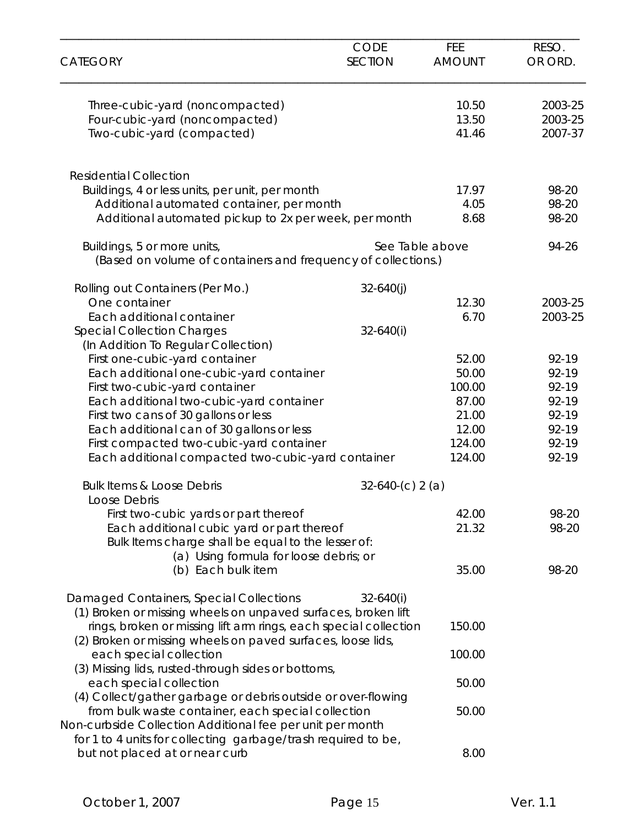| <b>CATEGORY</b>                                                                                                                                                                  | <b>CODE</b><br><b>SECTION</b> | <b>FEE</b><br><b>AMOUNT</b> | RESO.<br>OR ORD.              |
|----------------------------------------------------------------------------------------------------------------------------------------------------------------------------------|-------------------------------|-----------------------------|-------------------------------|
| Three-cubic-yard (noncompacted)<br>Four-cubic-yard (noncompacted)<br>Two-cubic-yard (compacted)                                                                                  |                               | 10.50<br>13.50<br>41.46     | 2003-25<br>2003-25<br>2007-37 |
| <b>Residential Collection</b>                                                                                                                                                    |                               |                             |                               |
| Buildings, 4 or less units, per unit, per month<br>Additional automated container, per month<br>Additional automated pickup to 2x per week, per month                            |                               | 17.97<br>4.05<br>8.68       | 98-20<br>98-20<br>98-20       |
| Buildings, 5 or more units,<br>(Based on volume of containers and frequency of collections.)                                                                                     | See Table above               |                             | 94-26                         |
| Rolling out Containers (Per Mo.)                                                                                                                                                 | $32 - 640(j)$                 |                             |                               |
| One container<br>Each additional container                                                                                                                                       | $32 - 640(i)$                 | 12.30<br>6.70               | 2003-25<br>2003-25            |
| <b>Special Collection Charges</b><br>(In Addition To Regular Collection)                                                                                                         |                               |                             |                               |
| First one-cubic-yard container                                                                                                                                                   |                               | 52.00                       | $92 - 19$                     |
| Each additional one-cubic-yard container                                                                                                                                         |                               | 50.00                       | 92-19                         |
| First two-cubic-yard container                                                                                                                                                   |                               | 100.00                      | 92-19                         |
| Each additional two-cubic-yard container                                                                                                                                         |                               | 87.00                       | 92-19                         |
| First two cans of 30 gallons or less                                                                                                                                             |                               | 21.00                       | 92-19                         |
| Each additional can of 30 gallons or less                                                                                                                                        |                               | 12.00                       | 92-19                         |
| First compacted two-cubic-yard container<br>Each additional compacted two-cubic-yard container                                                                                   |                               | 124.00<br>124.00            | 92-19<br>92-19                |
| <b>Bulk Items &amp; Loose Debris</b><br>Loose Debris                                                                                                                             | $32-640-(c) 2(a)$             |                             |                               |
| First two-cubic yards or part thereof                                                                                                                                            |                               | 42.00                       | 98-20                         |
| Each additional cubic yard or part thereof<br>Bulk Items charge shall be equal to the lesser of:                                                                                 |                               | 21.32                       | 98-20                         |
| (a) Using formula for loose debris; or<br>(b) Each bulk item                                                                                                                     |                               | 35.00                       | 98-20                         |
| Damaged Containers, Special Collections<br>(1) Broken or missing wheels on unpaved surfaces, broken lift                                                                         | $32 - 640(i)$                 |                             |                               |
| rings, broken or missing lift arm rings, each special collection<br>(2) Broken or missing wheels on paved surfaces, loose lids,                                                  |                               | 150.00                      |                               |
| each special collection<br>(3) Missing lids, rusted-through sides or bottoms,                                                                                                    |                               | 100.00                      |                               |
| each special collection<br>(4) Collect/gather garbage or debris outside or over-flowing                                                                                          |                               | 50.00                       |                               |
| from bulk waste container, each special collection<br>Non-curbside Collection Additional fee per unit per month<br>for 1 to 4 units for collecting garbage/trash required to be, |                               | 50.00                       |                               |
| but not placed at or near curb                                                                                                                                                   |                               | 8.00                        |                               |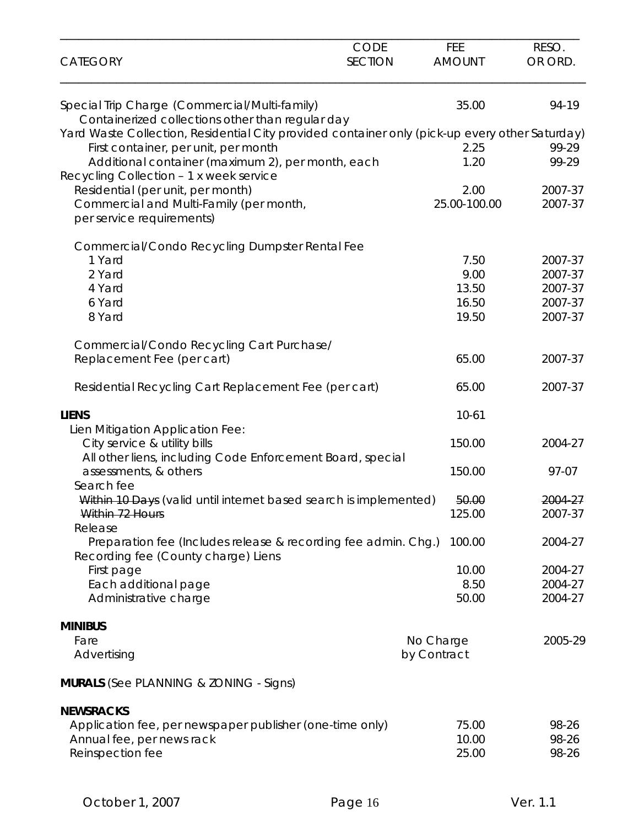| <b>CATEGORY</b>                                                                                       | CODE<br><b>SECTION</b> | FEE<br><b>AMOUNT</b> | RESO.<br>OR ORD. |
|-------------------------------------------------------------------------------------------------------|------------------------|----------------------|------------------|
| Special Trip Charge (Commercial/Multi-family)                                                         |                        | 35.00                | 94-19            |
| Containerized collections other than regular day                                                      |                        |                      |                  |
| Yard Waste Collection, Residential City provided container only (pick-up every other Saturday)        |                        |                      |                  |
| First container, per unit, per month<br>Additional container (maximum 2), per month, each             |                        | 2.25<br>1.20         | 99-29<br>99-29   |
| Recycling Collection - 1 x week service                                                               |                        |                      |                  |
| Residential (per unit, per month)                                                                     |                        | 2.00                 | 2007-37          |
| Commercial and Multi-Family (per month,                                                               |                        | 25.00-100.00         | 2007-37          |
| per service requirements)                                                                             |                        |                      |                  |
| Commercial/Condo Recycling Dumpster Rental Fee                                                        |                        |                      |                  |
| 1 Yard                                                                                                |                        | 7.50                 | 2007-37          |
| 2 Yard                                                                                                |                        | 9.00                 | 2007-37          |
| 4 Yard                                                                                                |                        | 13.50                | 2007-37          |
| 6 Yard                                                                                                |                        | 16.50                | 2007-37          |
| 8 Yard                                                                                                |                        | 19.50                | 2007-37          |
| Commercial/Condo Recycling Cart Purchase/                                                             |                        |                      |                  |
| Replacement Fee (per cart)                                                                            |                        | 65.00                | 2007-37          |
| Residential Recycling Cart Replacement Fee (per cart)                                                 |                        | 65.00                | 2007-37          |
| <b>LIENS</b>                                                                                          |                        | $10 - 61$            |                  |
| Lien Mitigation Application Fee:                                                                      |                        |                      |                  |
| City service & utility bills                                                                          |                        | 150.00               | 2004-27          |
| All other liens, including Code Enforcement Board, special                                            |                        |                      |                  |
| assessments, & others<br>Search fee                                                                   |                        | 150.00               | 97-07            |
| Within 10 Days (valid until internet based search is implemented)                                     |                        | 50.00                | 2004-27          |
| Within 72 Hours                                                                                       |                        | 125.00               | 2007-37          |
| Release                                                                                               |                        |                      |                  |
| Preparation fee (Includes release & recording fee admin. Chg.)<br>Recording fee (County charge) Liens |                        | 100.00               | 2004-27          |
| First page                                                                                            |                        | 10.00                | 2004-27          |
| Each additional page                                                                                  |                        | 8.50                 | 2004-27          |
| Administrative charge                                                                                 |                        | 50.00                | 2004-27          |
|                                                                                                       |                        |                      |                  |
| <b>MINIBUS</b><br>Fare                                                                                |                        | No Charge            | 2005-29          |
| Advertising                                                                                           |                        | by Contract          |                  |
| <b>MURALS</b> (See PLANNING & ZONING - Signs)                                                         |                        |                      |                  |
| <b>NEWSRACKS</b>                                                                                      |                        |                      |                  |
| Application fee, per newspaper publisher (one-time only)                                              |                        | 75.00                | 98-26            |
| Annual fee, per news rack                                                                             |                        | 10.00                | 98-26            |
| Reinspection fee                                                                                      |                        | 25.00                | 98-26            |
|                                                                                                       |                        |                      |                  |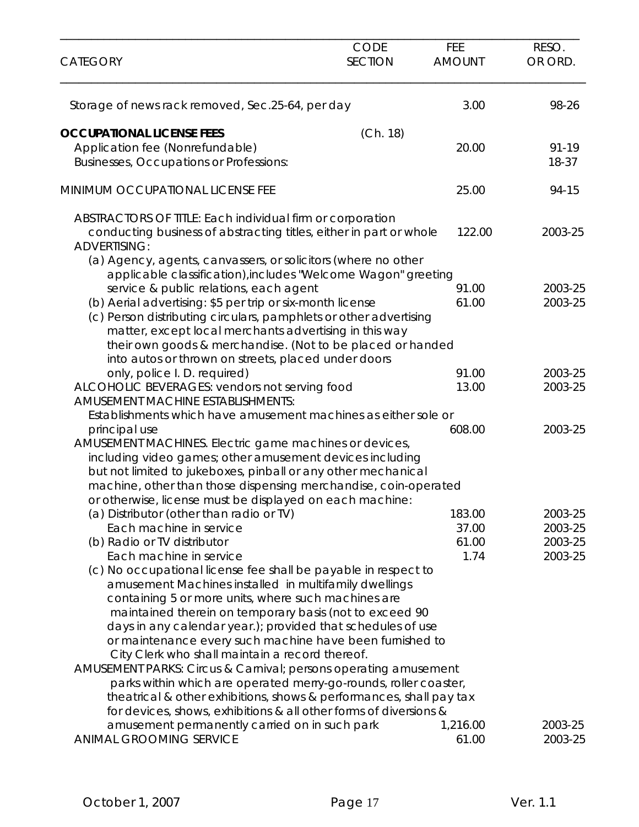| <b>CATEGORY</b>                                                                                             | <b>CODE</b><br><b>SECTION</b> | FEE<br><b>AMOUNT</b> | RESO.<br>OR ORD. |
|-------------------------------------------------------------------------------------------------------------|-------------------------------|----------------------|------------------|
| Storage of news rack removed, Sec.25-64, per day                                                            |                               | 3.00                 | 98-26            |
| <b>OCCUPATIONAL LICENSE FEES</b>                                                                            | (Ch. 18)                      |                      |                  |
| Application fee (Nonrefundable)                                                                             |                               | 20.00                | 91-19            |
| Businesses, Occupations or Professions:                                                                     |                               |                      | 18-37            |
| MINIMUM OCCUPATIONAL LICENSE FEE                                                                            |                               | 25.00                | 94-15            |
| ABSTRACTORS OF TITLE: Each individual firm or corporation                                                   |                               |                      |                  |
| conducting business of abstracting titles, either in part or whole<br><b>ADVERTISING:</b>                   |                               | 122.00               | 2003-25          |
| (a) Agency, agents, canvassers, or solicitors (where no other                                               |                               |                      |                  |
| applicable classification), includes "Welcome Wagon" greeting                                               |                               |                      |                  |
| service & public relations, each agent                                                                      |                               | 91.00                | 2003-25          |
| (b) Aerial advertising: \$5 per trip or six-month license                                                   |                               | 61.00                | 2003-25          |
| (c) Person distributing circulars, pamphlets or other advertising                                           |                               |                      |                  |
| matter, except local merchants advertising in this way                                                      |                               |                      |                  |
| their own goods & merchandise. (Not to be placed or handed                                                  |                               |                      |                  |
| into autos or thrown on streets, placed under doors                                                         |                               |                      |                  |
| only, police I. D. required)                                                                                |                               | 91.00                | 2003-25          |
| ALCOHOLIC BEVERAGES: vendors not serving food                                                               |                               | 13.00                | 2003-25          |
| <b>AMUSEMENT MACHINE ESTABLISHMENTS:</b>                                                                    |                               |                      |                  |
| Establishments which have amusement machines as either sole or                                              |                               |                      |                  |
| principal use                                                                                               |                               | 608.00               | 2003-25          |
| AMUSEMENT MACHINES. Electric game machines or devices,                                                      |                               |                      |                  |
| including video games; other amusement devices including                                                    |                               |                      |                  |
| but not limited to jukeboxes, pinball or any other mechanical                                               |                               |                      |                  |
| machine, other than those dispensing merchandise, coin-operated                                             |                               |                      |                  |
| or otherwise, license must be displayed on each machine:                                                    |                               |                      |                  |
| (a) Distributor (other than radio or TV)                                                                    |                               | 183.00               | 2003-25          |
| Each machine in service                                                                                     |                               | 37.00                | 2003-25          |
| (b) Radio or TV distributor                                                                                 |                               | 61.00                | 2003-25          |
| Each machine in service                                                                                     |                               | 1.74                 | 2003-25          |
| (c) No occupational license fee shall be payable in respect to                                              |                               |                      |                  |
| amusement Machines installed in multifamily dwellings                                                       |                               |                      |                  |
| containing 5 or more units, where such machines are                                                         |                               |                      |                  |
| maintained therein on temporary basis (not to exceed 90                                                     |                               |                      |                  |
| days in any calendar year.); provided that schedules of use                                                 |                               |                      |                  |
| or maintenance every such machine have been furnished to<br>City Clerk who shall maintain a record thereof. |                               |                      |                  |
| AMUSEMENT PARKS: Circus & Carnival; persons operating amusement                                             |                               |                      |                  |
| parks within which are operated merry-go-rounds, roller coaster,                                            |                               |                      |                  |
| theatrical & other exhibitions, shows & performances, shall pay tax                                         |                               |                      |                  |
| for devices, shows, exhibitions & all other forms of diversions &                                           |                               |                      |                  |
| amusement permanently carried on in such park                                                               |                               | 1,216.00             | 2003-25          |
| <b>ANIMAL GROOMING SERVICE</b>                                                                              |                               | 61.00                | 2003-25          |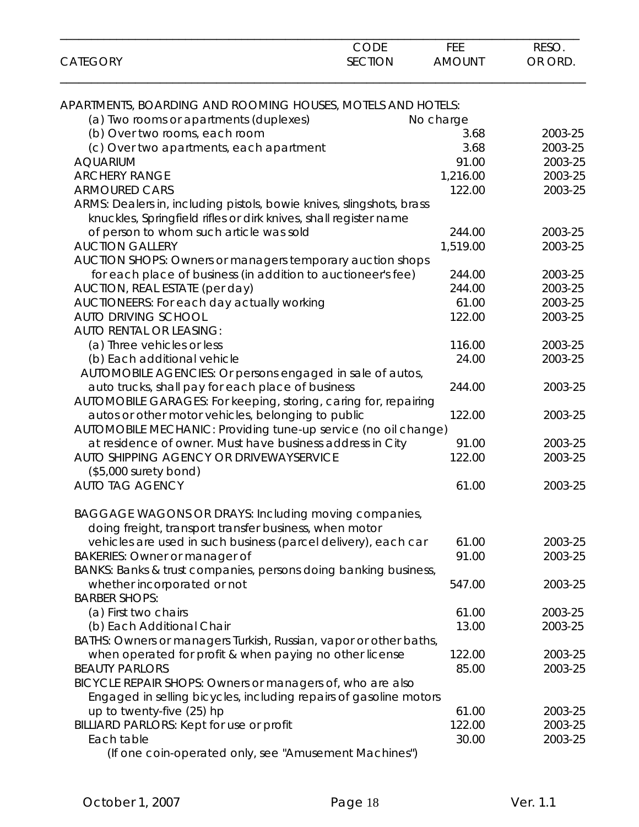| <b>CATEGORY</b>                                                      | <b>CODE</b><br><b>SECTION</b> | FEE<br><b>AMOUNT</b> | RESO.<br>OR ORD. |
|----------------------------------------------------------------------|-------------------------------|----------------------|------------------|
| APARTMENTS, BOARDING AND ROOMING HOUSES, MOTELS AND HOTELS:          |                               |                      |                  |
| (a) Two rooms or apartments (duplexes)                               |                               | No charge            |                  |
| (b) Over two rooms, each room                                        |                               | 3.68                 | 2003-25          |
| (c) Over two apartments, each apartment                              |                               | 3.68                 | 2003-25          |
| <b>AQUARIUM</b>                                                      |                               | 91.00                | 2003-25          |
| <b>ARCHERY RANGE</b>                                                 |                               | 1,216.00             | 2003-25          |
| <b>ARMOURED CARS</b>                                                 |                               | 122.00               | 2003-25          |
| ARMS: Dealers in, including pistols, bowie knives, slingshots, brass |                               |                      |                  |
| knuckles, Springfield rifles or dirk knives, shall register name     |                               |                      |                  |
| of person to whom such article was sold                              |                               | 244.00               | 2003-25          |
| <b>AUCTION GALLERY</b>                                               |                               | 1,519.00             | 2003-25          |
| AUCTION SHOPS: Owners or managers temporary auction shops            |                               |                      |                  |
| for each place of business (in addition to auctioneer's fee)         |                               | 244.00               | 2003-25          |
| AUCTION, REAL ESTATE (per day)                                       |                               | 244.00               | 2003-25          |
| AUCTIONEERS: For each day actually working                           |                               | 61.00                | 2003-25          |
| <b>AUTO DRIVING SCHOOL</b>                                           |                               | 122.00               | 2003-25          |
| <b>AUTO RENTAL OR LEASING:</b>                                       |                               |                      |                  |
| (a) Three vehicles or less                                           |                               | 116.00               | 2003-25          |
| (b) Each additional vehicle                                          |                               | 24.00                | 2003-25          |
|                                                                      |                               |                      |                  |
| AUTOMOBILE AGENCIES: Or persons engaged in sale of autos,            |                               |                      |                  |
| auto trucks, shall pay for each place of business                    |                               | 244.00               | 2003-25          |
| AUTOMOBILE GARAGES: For keeping, storing, caring for, repairing      |                               | 122.00               |                  |
| autos or other motor vehicles, belonging to public                   |                               |                      | 2003-25          |
| AUTOMOBILE MECHANIC: Providing tune-up service (no oil change)       |                               |                      |                  |
| at residence of owner. Must have business address in City            |                               | 91.00                | 2003-25          |
| AUTO SHIPPING AGENCY OR DRIVEWAYSERVICE                              |                               | 122.00               | 2003-25          |
| $($5,000$ surety bond)                                               |                               |                      |                  |
| <b>AUTO TAG AGENCY</b>                                               |                               | 61.00                | 2003-25          |
| BAGGAGE WAGONS OR DRAYS: Including moving companies,                 |                               |                      |                  |
| doing freight, transport transfer business, when motor               |                               |                      |                  |
| vehicles are used in such business (parcel delivery), each car       |                               | 61.00                | 2003-25          |
| <b>BAKERIES: Owner or manager of</b>                                 |                               | 91.00                | 2003-25          |
| BANKS: Banks & trust companies, persons doing banking business,      |                               |                      |                  |
| whether incorporated or not                                          |                               | 547.00               | 2003-25          |
| <b>BARBER SHOPS:</b>                                                 |                               |                      |                  |
| (a) First two chairs                                                 |                               | 61.00                | 2003-25          |
| (b) Each Additional Chair                                            |                               | 13.00                | 2003-25          |
| BATHS: Owners or managers Turkish, Russian, vapor or other baths,    |                               |                      |                  |
| when operated for profit & when paying no other license              |                               | 122.00               | 2003-25          |
| <b>BEAUTY PARLORS</b>                                                |                               | 85.00                | 2003-25          |
| BICYCLE REPAIR SHOPS: Owners or managers of, who are also            |                               |                      |                  |
| Engaged in selling bicycles, including repairs of gasoline motors    |                               |                      |                  |
| up to twenty-five (25) hp                                            |                               | 61.00                | 2003-25          |
| BILLIARD PARLORS: Kept for use or profit                             |                               | 122.00               | 2003-25          |
| Each table                                                           |                               | 30.00                | 2003-25          |
| (If one coin-operated only, see "Amusement Machines")                |                               |                      |                  |

\_\_\_\_\_\_\_\_\_\_\_\_\_\_\_\_\_\_\_\_\_\_\_\_\_\_\_\_\_\_\_\_\_\_\_\_\_\_\_\_\_\_\_\_\_\_\_\_\_\_\_\_\_\_\_\_\_\_\_\_\_\_\_\_\_\_\_\_\_\_\_\_\_\_\_\_\_\_\_\_\_\_\_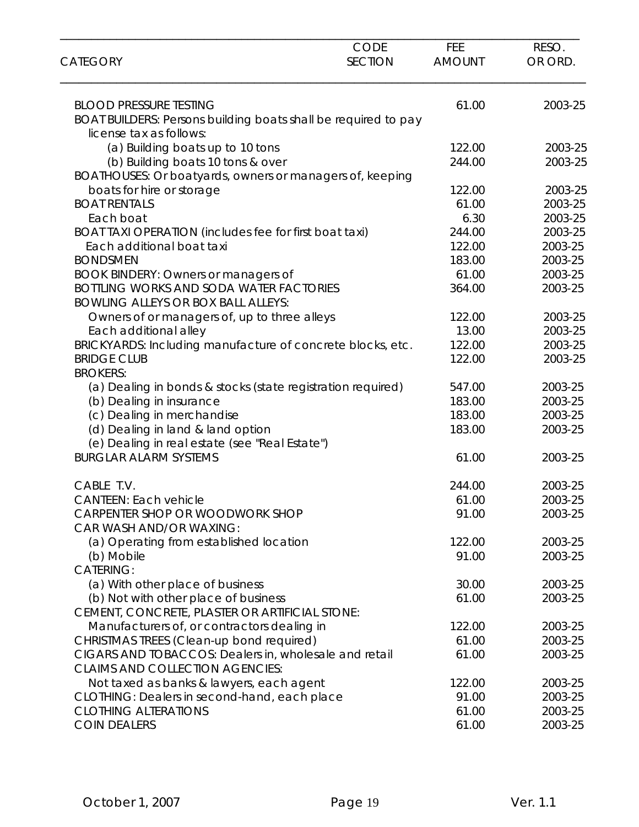|                                                                                                 | <b>CODE</b><br><b>SECTION</b> | <b>FEE</b>    | RESO.   |
|-------------------------------------------------------------------------------------------------|-------------------------------|---------------|---------|
| <b>CATEGORY</b>                                                                                 |                               | <b>AMOUNT</b> | OR ORD. |
| <b>BLOOD PRESSURE TESTING</b>                                                                   |                               | 61.00         | 2003-25 |
| BOAT BUILDERS: Persons building boats shall be required to pay                                  |                               |               |         |
| license tax as follows:                                                                         |                               |               |         |
| (a) Building boats up to 10 tons                                                                |                               | 122.00        | 2003-25 |
| (b) Building boats 10 tons & over                                                               |                               | 244.00        | 2003-25 |
| BOATHOUSES: Or boatyards, owners or managers of, keeping                                        |                               |               |         |
| boats for hire or storage                                                                       |                               | 122.00        | 2003-25 |
| <b>BOAT RENTALS</b>                                                                             |                               | 61.00         | 2003-25 |
| Each boat                                                                                       |                               | 6.30          | 2003-25 |
| BOAT TAXI OPERATION (includes fee for first boat taxi)                                          |                               | 244.00        | 2003-25 |
| Each additional boat taxi                                                                       |                               | 122.00        | 2003-25 |
| <b>BONDSMEN</b>                                                                                 |                               | 183.00        | 2003-25 |
| BOOK BINDERY: Owners or managers of                                                             |                               | 61.00         | 2003-25 |
| <b>BOTTLING WORKS AND SODA WATER FACTORIES</b><br><b>BOWLING ALLEYS OR BOX BALL ALLEYS:</b>     |                               | 364.00        | 2003-25 |
| Owners of or managers of, up to three alleys                                                    |                               | 122.00        | 2003-25 |
| Each additional alley                                                                           |                               | 13.00         | 2003-25 |
| BRICKYARDS: Including manufacture of concrete blocks, etc.                                      |                               | 122.00        | 2003-25 |
| <b>BRIDGE CLUB</b>                                                                              |                               | 122.00        | 2003-25 |
| <b>BROKERS:</b>                                                                                 |                               |               |         |
| (a) Dealing in bonds & stocks (state registration required)                                     |                               | 547.00        | 2003-25 |
| (b) Dealing in insurance                                                                        |                               | 183.00        | 2003-25 |
| (c) Dealing in merchandise                                                                      |                               | 183.00        | 2003-25 |
| (d) Dealing in land & land option                                                               |                               | 183.00        | 2003-25 |
| (e) Dealing in real estate (see "Real Estate")                                                  |                               |               |         |
| <b>BURGLAR ALARM SYSTEMS</b>                                                                    |                               | 61.00         | 2003-25 |
| CABLE T.V.                                                                                      |                               | 244.00        | 2003-25 |
| <b>CANTEEN: Each vehicle</b>                                                                    |                               | 61.00         | 2003-25 |
| CARPENTER SHOP OR WOODWORK SHOP                                                                 |                               | 91.00         | 2003-25 |
| CAR WASH AND/OR WAXING:                                                                         |                               |               |         |
| (a) Operating from established location                                                         |                               | 122.00        | 2003-25 |
| (b) Mobile                                                                                      |                               | 91.00         | 2003-25 |
| <b>CATERING:</b>                                                                                |                               |               |         |
| (a) With other place of business                                                                |                               | 30.00         | 2003-25 |
| (b) Not with other place of business                                                            |                               | 61.00         | 2003-25 |
| CEMENT, CONCRETE, PLASTER OR ARTIFICIAL STONE:                                                  |                               |               |         |
| Manufacturers of, or contractors dealing in                                                     |                               | 122.00        | 2003-25 |
| CHRISTMAS TREES (Clean-up bond required)                                                        |                               | 61.00         | 2003-25 |
| CIGARS AND TOBACCOS: Dealers in, wholesale and retail<br><b>CLAIMS AND COLLECTION AGENCIES:</b> |                               | 61.00         | 2003-25 |
| Not taxed as banks & lawyers, each agent                                                        |                               | 122.00        | 2003-25 |
| CLOTHING: Dealers in second-hand, each place                                                    |                               | 91.00         | 2003-25 |
| <b>CLOTHING ALTERATIONS</b>                                                                     |                               | 61.00         | 2003-25 |
| <b>COIN DEALERS</b>                                                                             |                               | 61.00         | 2003-25 |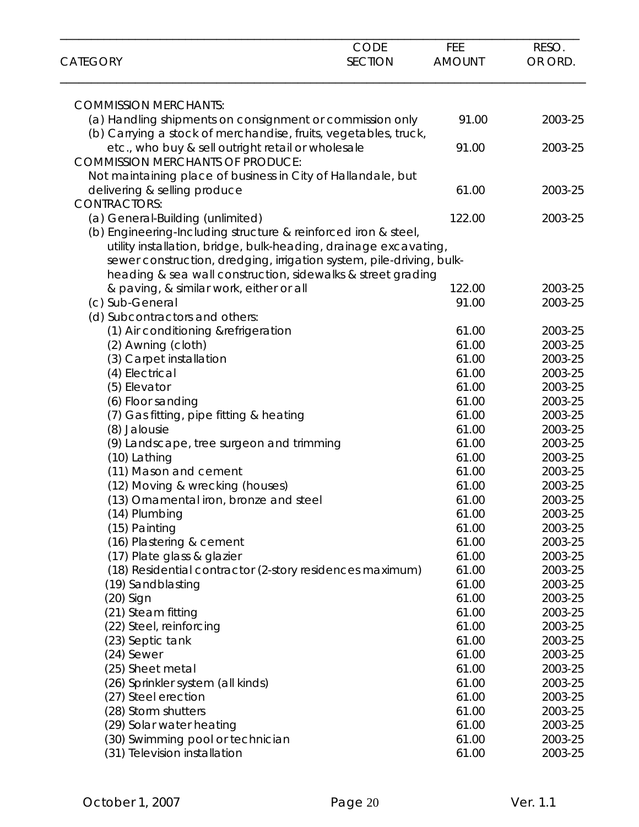| <b>CATEGORY</b>                                                                                                                                                                                                                                                           | <b>CODE</b><br><b>SECTION</b> | FEE<br><b>AMOUNT</b> | RESO.<br>OR ORD.   |
|---------------------------------------------------------------------------------------------------------------------------------------------------------------------------------------------------------------------------------------------------------------------------|-------------------------------|----------------------|--------------------|
| <b>COMMISSION MERCHANTS:</b>                                                                                                                                                                                                                                              |                               |                      |                    |
| (a) Handling shipments on consignment or commission only<br>(b) Carrying a stock of merchandise, fruits, vegetables, truck,                                                                                                                                               |                               | 91.00                | 2003-25            |
| etc., who buy & sell outright retail or wholesale<br><b>COMMISSION MERCHANTS OF PRODUCE:</b>                                                                                                                                                                              |                               | 91.00                | 2003-25            |
| Not maintaining place of business in City of Hallandale, but                                                                                                                                                                                                              |                               |                      |                    |
| delivering & selling produce<br><b>CONTRACTORS:</b>                                                                                                                                                                                                                       |                               | 61.00                | 2003-25            |
| (a) General-Building (unlimited)                                                                                                                                                                                                                                          |                               | 122.00               | 2003-25            |
| (b) Engineering-Including structure & reinforced iron & steel,<br>utility installation, bridge, bulk-heading, drainage excavating,<br>sewer construction, dredging, irrigation system, pile-driving, bulk-<br>heading & sea wall construction, sidewalks & street grading |                               |                      |                    |
| & paving, & similar work, either or all                                                                                                                                                                                                                                   |                               | 122.00               | 2003-25            |
| (c) Sub-General                                                                                                                                                                                                                                                           |                               | 91.00                | 2003-25            |
| (d) Subcontractors and others:                                                                                                                                                                                                                                            |                               |                      |                    |
| (1) Air conditioning &refrigeration                                                                                                                                                                                                                                       |                               | 61.00                | 2003-25            |
| (2) Awning (cloth)                                                                                                                                                                                                                                                        |                               | 61.00                | 2003-25            |
| (3) Carpet installation                                                                                                                                                                                                                                                   |                               | 61.00                | 2003-25            |
| (4) Electrical                                                                                                                                                                                                                                                            |                               | 61.00                | 2003-25            |
| (5) Elevator                                                                                                                                                                                                                                                              |                               | 61.00                | 2003-25            |
| (6) Floor sanding                                                                                                                                                                                                                                                         |                               | 61.00                | 2003-25            |
| (7) Gas fitting, pipe fitting & heating                                                                                                                                                                                                                                   |                               | 61.00                | 2003-25            |
| (8) Jalousie                                                                                                                                                                                                                                                              |                               | 61.00                | 2003-25            |
| (9) Landscape, tree surgeon and trimming                                                                                                                                                                                                                                  |                               | 61.00                | 2003-25            |
| (10) Lathing                                                                                                                                                                                                                                                              |                               | 61.00                | 2003-25            |
| (11) Mason and cement                                                                                                                                                                                                                                                     |                               | 61.00                | 2003-25            |
| (12) Moving & wrecking (houses)                                                                                                                                                                                                                                           |                               | 61.00                | 2003-25            |
| (13) Ornamental iron, bronze and steel                                                                                                                                                                                                                                    |                               | 61.00                | 2003-25            |
| (14) Plumbing                                                                                                                                                                                                                                                             |                               | 61.00                | 2003-25            |
| (15) Painting                                                                                                                                                                                                                                                             |                               | 61.00<br>61.00       | 2003-25            |
| (16) Plastering & cement<br>(17) Plate glass & glazier                                                                                                                                                                                                                    |                               | 61.00                | 2003-25<br>2003-25 |
| (18) Residential contractor (2-story residences maximum)                                                                                                                                                                                                                  |                               | 61.00                | 2003-25            |
| (19) Sandblasting                                                                                                                                                                                                                                                         |                               | 61.00                | 2003-25            |
| $(20)$ Sign                                                                                                                                                                                                                                                               |                               | 61.00                | 2003-25            |
| (21) Steam fitting                                                                                                                                                                                                                                                        |                               | 61.00                | 2003-25            |
| (22) Steel, reinforcing                                                                                                                                                                                                                                                   |                               | 61.00                | 2003-25            |
| (23) Septic tank                                                                                                                                                                                                                                                          |                               | 61.00                | 2003-25            |
| (24) Sewer                                                                                                                                                                                                                                                                |                               | 61.00                | 2003-25            |
| (25) Sheet metal                                                                                                                                                                                                                                                          |                               | 61.00                | 2003-25            |
| (26) Sprinkler system (all kinds)                                                                                                                                                                                                                                         |                               | 61.00                | 2003-25            |
| (27) Steel erection                                                                                                                                                                                                                                                       |                               | 61.00                | 2003-25            |
| (28) Storm shutters                                                                                                                                                                                                                                                       |                               | 61.00                | 2003-25            |
| (29) Solar water heating                                                                                                                                                                                                                                                  |                               | 61.00                | 2003-25            |
| (30) Swimming pool or technician                                                                                                                                                                                                                                          |                               | 61.00                | 2003-25            |
| (31) Television installation                                                                                                                                                                                                                                              |                               | 61.00                | 2003-25            |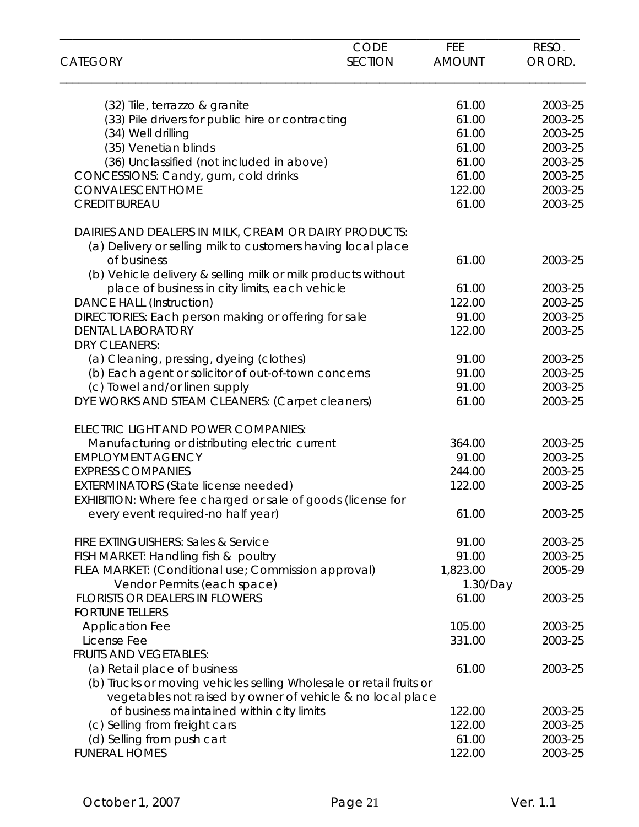| <b>CATEGORY</b>                                                     | <b>CODE</b><br><b>SECTION</b> | FEE<br><b>AMOUNT</b> | RESO.<br>OR ORD. |
|---------------------------------------------------------------------|-------------------------------|----------------------|------------------|
|                                                                     |                               |                      |                  |
| (32) Tile, terrazzo & granite                                       |                               | 61.00                | 2003-25          |
| (33) Pile drivers for public hire or contracting                    |                               | 61.00                | 2003-25          |
| (34) Well drilling                                                  |                               | 61.00                | 2003-25          |
| (35) Venetian blinds                                                |                               | 61.00                | 2003-25          |
| (36) Unclassified (not included in above)                           |                               | 61.00                | 2003-25          |
| CONCESSIONS: Candy, gum, cold drinks                                |                               | 61.00                | 2003-25          |
| <b>CONVALESCENT HOME</b>                                            |                               | 122.00               | 2003-25          |
| <b>CREDIT BUREAU</b>                                                |                               | 61.00                | 2003-25          |
| DAIRIES AND DEALERS IN MILK, CREAM OR DAIRY PRODUCTS:               |                               |                      |                  |
| (a) Delivery or selling milk to customers having local place        |                               |                      |                  |
| of business                                                         |                               | 61.00                | 2003-25          |
| (b) Vehicle delivery & selling milk or milk products without        |                               |                      |                  |
| place of business in city limits, each vehicle                      |                               | 61.00                | 2003-25          |
| <b>DANCE HALL (Instruction)</b>                                     |                               | 122.00               | 2003-25          |
| DIRECTORIES: Each person making or offering for sale                |                               | 91.00                | 2003-25          |
| <b>DENTAL LABORATORY</b><br><b>DRY CLEANERS:</b>                    |                               | 122.00               | 2003-25          |
| (a) Cleaning, pressing, dyeing (clothes)                            |                               | 91.00                | 2003-25          |
| (b) Each agent or solicitor of out-of-town concerns                 |                               | 91.00                | 2003-25          |
| (c) Towel and/or linen supply                                       |                               | 91.00                | 2003-25          |
| DYE WORKS AND STEAM CLEANERS: (Carpet cleaners)                     |                               | 61.00                | 2003-25          |
| ELECTRIC LIGHT AND POWER COMPANIES:                                 |                               |                      |                  |
| Manufacturing or distributing electric current                      |                               | 364.00               | 2003-25          |
| <b>EMPLOYMENT AGENCY</b>                                            |                               | 91.00                | 2003-25          |
| <b>EXPRESS COMPANIES</b>                                            |                               | 244.00               | 2003-25          |
| <b>EXTERMINATORS (State license needed)</b>                         |                               | 122.00               | 2003-25          |
| EXHIBITION: Where fee charged or sale of goods (license for         |                               |                      |                  |
| every event required-no half year)                                  |                               | 61.00                | 2003-25          |
| <b>FIRE EXTINGUISHERS: Sales &amp; Service</b>                      |                               | 91.00                | 2003-25          |
| FISH MARKET: Handling fish & poultry                                |                               | 91.00                | 2003-25          |
| FLEA MARKET: (Conditional use; Commission approval)                 |                               | 1,823.00             | 2005-29          |
| Vendor Permits (each space)                                         |                               | 1.30/Day             |                  |
| <b>FLORISTS OR DEALERS IN FLOWERS</b>                               |                               | 61.00                | 2003-25          |
| <b>FORTUNE TELLERS</b>                                              |                               |                      |                  |
| <b>Application Fee</b>                                              |                               | 105.00               | 2003-25          |
| License Fee                                                         |                               | 331.00               | 2003-25          |
| <b>FRUITS AND VEGETABLES:</b>                                       |                               |                      |                  |
| (a) Retail place of business                                        |                               | 61.00                | 2003-25          |
| (b) Trucks or moving vehicles selling Wholesale or retail fruits or |                               |                      |                  |
| vegetables not raised by owner of vehicle & no local place          |                               |                      |                  |
| of business maintained within city limits                           |                               | 122.00               | 2003-25          |
| (c) Selling from freight cars                                       |                               | 122.00               | 2003-25          |
| (d) Selling from push cart                                          |                               | 61.00                | 2003-25          |
| <b>FUNERAL HOMES</b>                                                |                               | 122.00               | 2003-25          |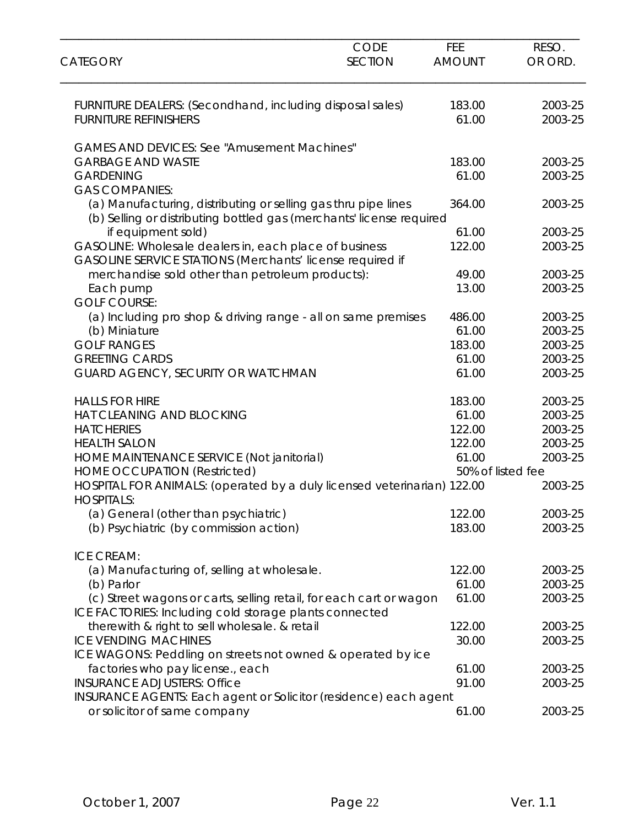| <b>CATEGORY</b>                                                                                                                        | <b>CODE</b><br><b>SECTION</b> | FEE<br><b>AMOUNT</b> | RESO.<br>OR ORD. |
|----------------------------------------------------------------------------------------------------------------------------------------|-------------------------------|----------------------|------------------|
| FURNITURE DEALERS: (Secondhand, including disposal sales)                                                                              |                               | 183.00               | 2003-25          |
| <b>FURNITURE REFINISHERS</b>                                                                                                           |                               | 61.00                | 2003-25          |
| <b>GAMES AND DEVICES: See "Amusement Machines"</b>                                                                                     |                               |                      |                  |
| <b>GARBAGE AND WASTE</b>                                                                                                               |                               | 183.00               | 2003-25          |
| <b>GARDENING</b>                                                                                                                       |                               | 61.00                | 2003-25          |
| <b>GAS COMPANIES:</b>                                                                                                                  |                               |                      |                  |
| (a) Manufacturing, distributing or selling gas thru pipe lines<br>(b) Selling or distributing bottled gas (merchants' license required |                               | 364.00               | 2003-25          |
| if equipment sold)                                                                                                                     |                               | 61.00                | 2003-25          |
| GASOLINE: Wholesale dealers in, each place of business                                                                                 |                               | 122.00               | 2003-25          |
| GASOLINE SERVICE STATIONS (Merchants' license required if                                                                              |                               |                      |                  |
| merchandise sold other than petroleum products):                                                                                       |                               | 49.00                | 2003-25          |
| Each pump                                                                                                                              |                               | 13.00                | 2003-25          |
| <b>GOLF COURSE:</b>                                                                                                                    |                               |                      |                  |
| (a) Including pro shop & driving range - all on same premises                                                                          |                               | 486.00               | 2003-25          |
| (b) Miniature                                                                                                                          |                               | 61.00                | 2003-25          |
| <b>GOLF RANGES</b>                                                                                                                     |                               | 183.00               | 2003-25          |
| <b>GREETING CARDS</b>                                                                                                                  |                               | 61.00                | 2003-25          |
| GUARD AGENCY, SECURITY OR WATCHMAN                                                                                                     |                               | 61.00                | 2003-25          |
| <b>HALLS FOR HIRE</b>                                                                                                                  |                               | 183.00               | 2003-25          |
| HAT CLEANING AND BLOCKING                                                                                                              |                               | 61.00                | 2003-25          |
| <b>HATCHERIES</b>                                                                                                                      |                               | 122.00               | 2003-25          |
| <b>HEALTH SALON</b>                                                                                                                    |                               | 122.00               | 2003-25          |
| HOME MAINTENANCE SERVICE (Not janitorial)                                                                                              |                               | 61.00                | 2003-25          |
| <b>HOME OCCUPATION (Restricted)</b>                                                                                                    |                               | 50% of listed fee    |                  |
| HOSPITAL FOR ANIMALS: (operated by a duly licensed veterinarian) 122.00                                                                |                               |                      | 2003-25          |
| <b>HOSPITALS:</b><br>(a) General (other than psychiatric)                                                                              |                               | 122.00               | 2003-25          |
| (b) Psychiatric (by commission action)                                                                                                 |                               | 183.00               | 2003-25          |
|                                                                                                                                        |                               |                      |                  |
| <b>ICE CREAM:</b>                                                                                                                      |                               |                      |                  |
| (a) Manufacturing of, selling at wholesale.                                                                                            |                               | 122.00               | 2003-25          |
| (b) Parlor                                                                                                                             |                               | 61.00                | 2003-25          |
| (c) Street wagons or carts, selling retail, for each cart or wagon                                                                     |                               | 61.00                | 2003-25          |
| ICE FACTORIES: Including cold storage plants connected                                                                                 |                               |                      |                  |
| therewith & right to sell wholesale. & retail                                                                                          |                               | 122.00               | 2003-25          |
| <b>ICE VENDING MACHINES</b>                                                                                                            |                               | 30.00                | 2003-25          |
| ICE WAGONS: Peddling on streets not owned & operated by ice                                                                            |                               |                      |                  |
| factories who pay license., each                                                                                                       |                               | 61.00                | 2003-25          |
| <b>INSURANCE ADJUSTERS: Office</b>                                                                                                     |                               | 91.00                | 2003-25          |
| INSURANCE AGENTS: Each agent or Solicitor (residence) each agent                                                                       |                               |                      |                  |
| or solicitor of same company                                                                                                           |                               | 61.00                | 2003-25          |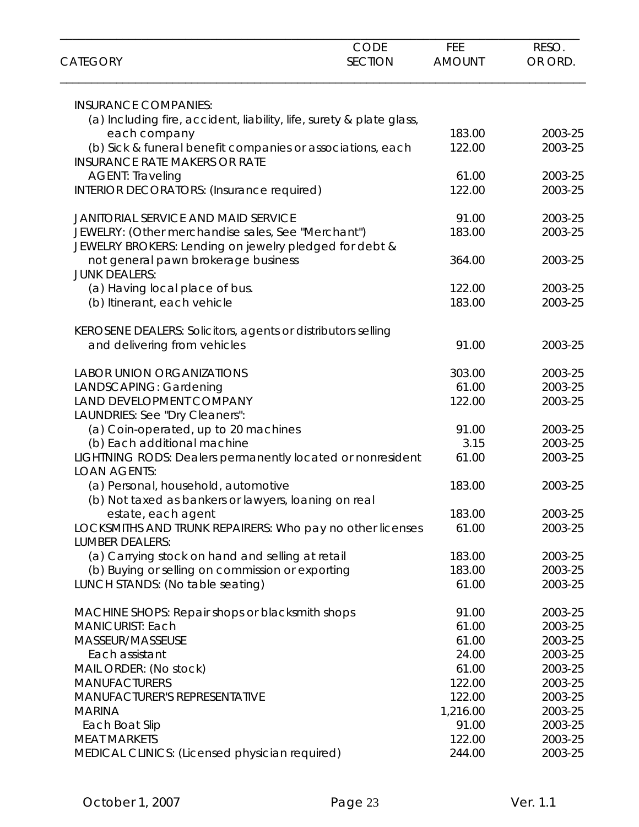| <b>CATEGORY</b>                                                                   | <b>CODE</b><br><b>SECTION</b> | <b>FEE</b><br><b>AMOUNT</b> | RESO.<br>OR ORD. |
|-----------------------------------------------------------------------------------|-------------------------------|-----------------------------|------------------|
| <b>INSURANCE COMPANIES:</b>                                                       |                               |                             |                  |
| (a) Including fire, accident, liability, life, surety & plate glass,              |                               |                             |                  |
| each company                                                                      |                               | 183.00                      | 2003-25          |
| (b) Sick & funeral benefit companies or associations, each                        |                               | 122.00                      | 2003-25          |
| <b>INSURANCE RATE MAKERS OR RATE</b>                                              |                               |                             |                  |
| <b>AGENT: Traveling</b>                                                           |                               | 61.00                       | 2003-25          |
| INTERIOR DECORATORS: (Insurance required)                                         |                               | 122.00                      | 2003-25          |
| <b>JANITORIAL SERVICE AND MAID SERVICE</b>                                        |                               | 91.00                       | 2003-25          |
| JEWELRY: (Other merchandise sales, See "Merchant")                                |                               | 183.00                      | 2003-25          |
| JEWELRY BROKERS: Lending on jewelry pledged for debt &                            |                               |                             |                  |
| not general pawn brokerage business                                               |                               | 364.00                      | 2003-25          |
| <b>JUNK DEALERS:</b>                                                              |                               |                             |                  |
| (a) Having local place of bus.                                                    |                               | 122.00                      | 2003-25          |
| (b) Itinerant, each vehicle                                                       |                               | 183.00                      | 2003-25          |
| KEROSENE DEALERS: Solicitors, agents or distributors selling                      |                               |                             |                  |
| and delivering from vehicles                                                      |                               | 91.00                       | 2003-25          |
| <b>LABOR UNION ORGANIZATIONS</b>                                                  |                               | 303.00                      | 2003-25          |
| LANDSCAPING: Gardening                                                            |                               | 61.00                       | 2003-25          |
| LAND DEVELOPMENT COMPANY                                                          |                               | 122.00                      | 2003-25          |
| LAUNDRIES: See "Dry Cleaners":                                                    |                               |                             |                  |
| (a) Coin-operated, up to 20 machines                                              |                               | 91.00                       | 2003-25          |
| (b) Each additional machine                                                       |                               | 3.15                        | 2003-25          |
| LIGHTNING RODS: Dealers permanently located or nonresident<br><b>LOAN AGENTS:</b> |                               | 61.00                       | 2003-25          |
|                                                                                   |                               | 183.00                      | 2003-25          |
| (a) Personal, household, automotive                                               |                               |                             |                  |
| (b) Not taxed as bankers or lawyers, loaning on real<br>estate, each agent        |                               | 183.00                      | 2003-25          |
| LOCKSMITHS AND TRUNK REPAIRERS: Who pay no other licenses                         |                               | 61.00                       | 2003-25          |
| <b>LUMBER DEALERS:</b>                                                            |                               |                             |                  |
| (a) Carrying stock on hand and selling at retail                                  |                               | 183.00                      | 2003-25          |
| (b) Buying or selling on commission or exporting                                  |                               | 183.00                      | 2003-25          |
| LUNCH STANDS: (No table seating)                                                  |                               | 61.00                       | 2003-25          |
| MACHINE SHOPS: Repair shops or blacksmith shops                                   |                               | 91.00                       | 2003-25          |
| <b>MANICURIST: Each</b>                                                           |                               | 61.00                       | 2003-25          |
| MASSEUR/MASSEUSE                                                                  |                               | 61.00                       | 2003-25          |
| Each assistant                                                                    |                               | 24.00                       | 2003-25          |
| MAIL ORDER: (No stock)                                                            |                               | 61.00                       | 2003-25          |
| <b>MANUFACTURERS</b>                                                              |                               | 122.00                      | 2003-25          |
| <b>MANUFACTURER'S REPRESENTATIVE</b>                                              |                               | 122.00                      | 2003-25          |
| <b>MARINA</b>                                                                     |                               | 1,216.00                    | 2003-25          |
| Each Boat Slip                                                                    |                               | 91.00                       | 2003-25          |
| <b>MEAT MARKETS</b>                                                               |                               | 122.00                      | 2003-25          |
| MEDICAL CLINICS: (Licensed physician required)                                    |                               | 244.00                      | 2003-25          |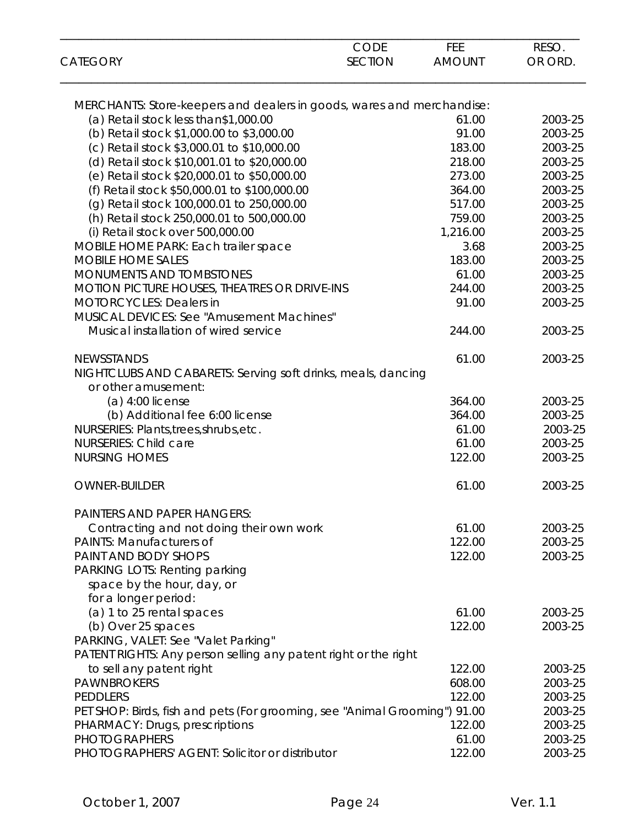|                                                                            | <b>CODE</b>    | FEE           | RESO.   |
|----------------------------------------------------------------------------|----------------|---------------|---------|
| <b>CATEGORY</b>                                                            | <b>SECTION</b> | <b>AMOUNT</b> | OR ORD. |
| MERCHANTS: Store-keepers and dealers in goods, wares and merchandise:      |                |               |         |
| (a) Retail stock less than\$1,000.00                                       |                | 61.00         | 2003-25 |
| (b) Retail stock \$1,000.00 to \$3,000.00                                  |                | 91.00         | 2003-25 |
| (c) Retail stock \$3,000.01 to \$10,000.00                                 |                | 183.00        | 2003-25 |
| (d) Retail stock \$10,001.01 to \$20,000.00                                |                | 218.00        | 2003-25 |
| (e) Retail stock \$20,000.01 to \$50,000.00                                |                | 273.00        | 2003-25 |
| (f) Retail stock \$50,000.01 to \$100,000.00                               |                | 364.00        | 2003-25 |
| (g) Retail stock 100,000.01 to 250,000.00                                  |                | 517.00        | 2003-25 |
| (h) Retail stock 250,000.01 to 500,000.00                                  |                | 759.00        | 2003-25 |
| (i) Retail stock over 500,000.00                                           |                | 1,216.00      | 2003-25 |
| MOBILE HOME PARK: Each trailer space                                       |                | 3.68          | 2003-25 |
| <b>MOBILE HOME SALES</b>                                                   |                | 183.00        | 2003-25 |
| MONUMENTS AND TOMBSTONES                                                   |                | 61.00         | 2003-25 |
| <b>MOTION PICTURE HOUSES, THEATRES OR DRIVE-INS</b>                        |                | 244.00        | 2003-25 |
| <b>MOTORCYCLES: Dealers in</b>                                             |                | 91.00         | 2003-25 |
| <b>MUSICAL DEVICES: See "Amusement Machines"</b>                           |                |               |         |
| Musical installation of wired service                                      |                | 244.00        | 2003-25 |
|                                                                            |                |               |         |
| <b>NEWSSTANDS</b>                                                          |                | 61.00         | 2003-25 |
| NIGHTCLUBS AND CABARETS: Serving soft drinks, meals, dancing               |                |               |         |
| or other amusement:                                                        |                |               |         |
| $(a)$ 4:00 license                                                         |                | 364.00        | 2003-25 |
| (b) Additional fee 6:00 license                                            |                | 364.00        | 2003-25 |
| NURSERIES: Plants, trees, shrubs, etc.                                     |                | 61.00         | 2003-25 |
| <b>NURSERIES: Child care</b>                                               |                | 61.00         | 2003-25 |
| <b>NURSING HOMES</b>                                                       |                | 122.00        | 2003-25 |
|                                                                            |                |               |         |
| <b>OWNER-BUILDER</b>                                                       |                | 61.00         | 2003-25 |
| <b>PAINTERS AND PAPER HANGERS:</b>                                         |                |               |         |
| Contracting and not doing their own work                                   |                | 61.00         | 2003-25 |
| <b>PAINTS: Manufacturers of</b>                                            |                | 122.00        | 2003-25 |
| <b>PAINT AND BODY SHOPS</b>                                                |                | 122.00        | 2003-25 |
| PARKING LOTS: Renting parking                                              |                |               |         |
| space by the hour, day, or                                                 |                |               |         |
| for a longer period:                                                       |                |               |         |
| (a) 1 to 25 rental spaces                                                  |                | 61.00         | 2003-25 |
| (b) Over 25 spaces                                                         |                | 122.00        | 2003-25 |
| PARKING, VALET: See "Valet Parking"                                        |                |               |         |
| PATENT RIGHTS: Any person selling any patent right or the right            |                |               |         |
| to sell any patent right                                                   |                | 122.00        | 2003-25 |
| <b>PAWNBROKERS</b>                                                         |                | 608.00        | 2003-25 |
| <b>PEDDLERS</b>                                                            |                | 122.00        | 2003-25 |
| PET SHOP: Birds, fish and pets (For grooming, see "Animal Grooming") 91.00 |                |               | 2003-25 |
|                                                                            |                | 122.00        | 2003-25 |
| PHARMACY: Drugs, prescriptions<br><b>PHOTOGRAPHERS</b>                     |                | 61.00         | 2003-25 |
|                                                                            |                |               |         |
| PHOTOGRAPHERS' AGENT: Solicitor or distributor                             |                | 122.00        | 2003-25 |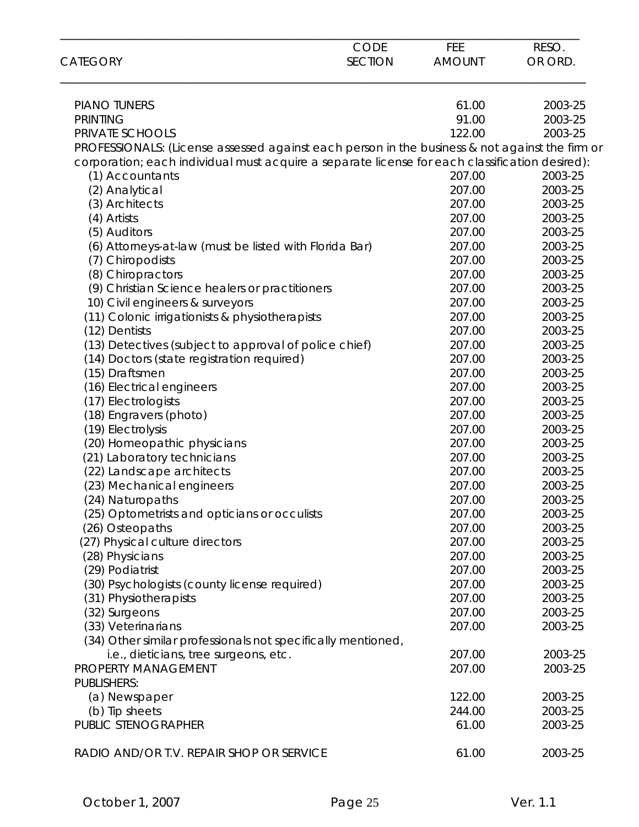| <b>CATEGORY</b>                                                                                | <b>CODE</b><br><b>SECTION</b> | <b>FEE</b><br><b>AMOUNT</b> | RESO.<br>OR ORD. |
|------------------------------------------------------------------------------------------------|-------------------------------|-----------------------------|------------------|
|                                                                                                |                               |                             |                  |
| <b>PIANO TUNERS</b>                                                                            |                               | 61.00                       | 2003-25          |
| <b>PRINTING</b>                                                                                |                               | 91.00                       | 2003-25          |
| PRIVATE SCHOOLS                                                                                |                               | 122.00                      | 2003-25          |
| PROFESSIONALS: (License assessed against each person in the business & not against the firm or |                               |                             |                  |
| corporation; each individual must acquire a separate license for each classification desired): |                               |                             |                  |
| (1) Accountants                                                                                |                               | 207.00                      | 2003-25          |
| (2) Analytical                                                                                 |                               | 207.00                      | 2003-25          |
| (3) Architects                                                                                 |                               | 207.00                      | 2003-25          |
| (4) Artists                                                                                    |                               | 207.00                      | 2003-25          |
| (5) Auditors                                                                                   |                               | 207.00                      | 2003-25          |
| (6) Attorneys-at-law (must be listed with Florida Bar)                                         |                               | 207.00                      | 2003-25          |
| (7) Chiropodists                                                                               |                               | 207.00                      | 2003-25          |
| (8) Chiropractors                                                                              |                               | 207.00                      | 2003-25          |
| (9) Christian Science healers or practitioners                                                 |                               | 207.00                      | 2003-25          |
| 10) Civil engineers & surveyors                                                                |                               | 207.00                      | 2003-25          |
| (11) Colonic irrigationists & physiotherapists                                                 |                               | 207.00                      | 2003-25          |
| (12) Dentists                                                                                  |                               | 207.00                      | 2003-25          |
| (13) Detectives (subject to approval of police chief)                                          |                               | 207.00                      | 2003-25          |
| (14) Doctors (state registration required)                                                     |                               | 207.00                      | 2003-25          |
| (15) Draftsmen                                                                                 |                               | 207.00                      | 2003-25          |
| (16) Electrical engineers                                                                      |                               | 207.00                      | 2003-25          |
| (17) Electrologists                                                                            |                               | 207.00                      | 2003-25          |
| (18) Engravers (photo)                                                                         |                               | 207.00                      | 2003-25          |
| (19) Electrolysis                                                                              |                               | 207.00                      | 2003-25          |
| (20) Homeopathic physicians                                                                    |                               | 207.00                      | 2003-25          |
| (21) Laboratory technicians                                                                    |                               | 207.00                      | 2003-25          |
| (22) Landscape architects                                                                      |                               | 207.00                      | 2003-25          |
| (23) Mechanical engineers                                                                      |                               | 207.00                      | 2003-25          |
| (24) Naturopaths                                                                               |                               | 207.00                      | 2003-25          |
| (25) Optometrists and opticians or occulists                                                   |                               | 207.00                      | 2003-25          |
| (26) Osteopaths                                                                                |                               | 207.00                      | 2003-25          |
| (27) Physical culture directors                                                                |                               | 207.00                      | 2003-25          |
| (28) Physicians                                                                                |                               | 207.00                      | 2003-25          |
| (29) Podiatrist                                                                                |                               | 207.00                      | 2003-25          |
| (30) Psychologists (county license required)                                                   |                               | 207.00                      | 2003-25          |
| (31) Physiotherapists                                                                          |                               | 207.00                      | 2003-25          |
| (32) Surgeons                                                                                  |                               | 207.00                      | 2003-25          |
| (33) Veterinarians                                                                             |                               | 207.00                      | 2003-25          |
|                                                                                                |                               |                             |                  |
| (34) Other similar professionals not specifically mentioned,                                   |                               |                             |                  |
| i.e., dieticians, tree surgeons, etc.                                                          |                               | 207.00                      | 2003-25          |
| PROPERTY MANAGEMENT                                                                            |                               | 207.00                      | 2003-25          |
| <b>PUBLISHERS:</b>                                                                             |                               |                             |                  |
| (a) Newspaper                                                                                  |                               | 122.00                      | 2003-25          |
| (b) Tip sheets                                                                                 |                               | 244.00                      | 2003-25          |
| PUBLIC STENOGRAPHER                                                                            |                               | 61.00                       | 2003-25          |
| RADIO AND/OR T.V. REPAIR SHOP OR SERVICE                                                       |                               | 61.00                       | 2003-25          |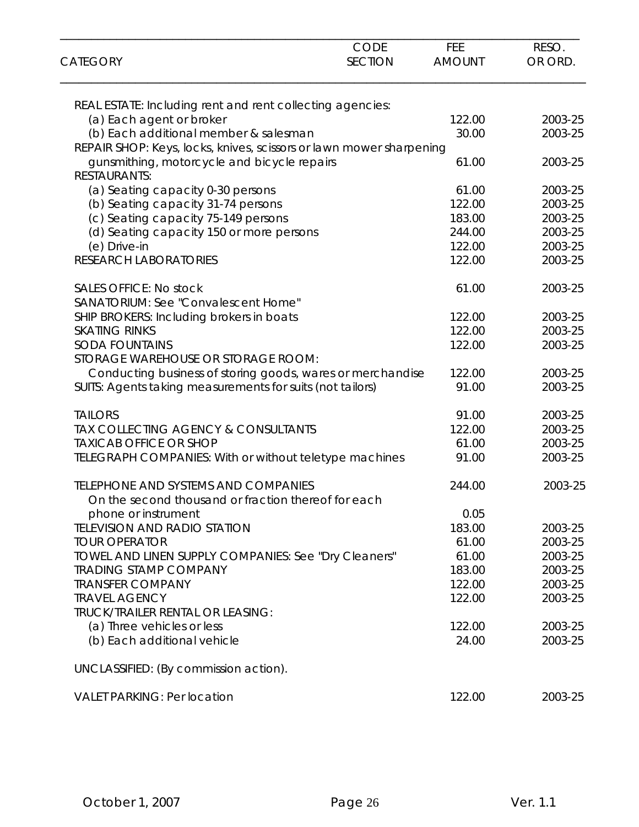| <b>CATEGORY</b>                                                     | <b>CODE</b><br><b>SECTION</b> | FEE<br><b>AMOUNT</b> | RESO.<br>OR ORD.   |
|---------------------------------------------------------------------|-------------------------------|----------------------|--------------------|
|                                                                     |                               |                      |                    |
| REAL ESTATE: Including rent and rent collecting agencies:           |                               |                      |                    |
| (a) Each agent or broker<br>(b) Each additional member & salesman   |                               | 122.00<br>30.00      | 2003-25<br>2003-25 |
| REPAIR SHOP: Keys, locks, knives, scissors or lawn mower sharpening |                               |                      |                    |
| gunsmithing, motorcycle and bicycle repairs                         |                               | 61.00                | 2003-25            |
| <b>RESTAURANTS:</b>                                                 |                               |                      |                    |
| (a) Seating capacity 0-30 persons                                   |                               | 61.00                | 2003-25            |
| (b) Seating capacity 31-74 persons                                  |                               | 122.00               | 2003-25            |
| (c) Seating capacity 75-149 persons                                 |                               | 183.00               | 2003-25            |
| (d) Seating capacity 150 or more persons                            |                               | 244.00               | 2003-25            |
| (e) Drive-in                                                        |                               | 122.00               | 2003-25            |
| <b>RESEARCH LABORATORIES</b>                                        |                               | 122.00               | 2003-25            |
| <b>SALES OFFICE: No stock</b>                                       |                               | 61.00                | 2003-25            |
| SANATORIUM: See "Convalescent Home"                                 |                               |                      |                    |
| SHIP BROKERS: Including brokers in boats                            |                               | 122.00               | 2003-25            |
| <b>SKATING RINKS</b>                                                |                               | 122.00               | 2003-25            |
| <b>SODA FOUNTAINS</b><br>STORAGE WAREHOUSE OR STORAGE ROOM:         |                               | 122.00               | 2003-25            |
| Conducting business of storing goods, wares or merchandise          |                               | 122.00               | 2003-25            |
| SUITS: Agents taking measurements for suits (not tailors)           |                               | 91.00                | 2003-25            |
| <b>TAILORS</b>                                                      |                               | 91.00                | 2003-25            |
| TAX COLLECTING AGENCY & CONSULTANTS                                 |                               | 122.00               | 2003-25            |
| <b>TAXICAB OFFICE OR SHOP</b>                                       |                               | 61.00                | 2003-25            |
| TELEGRAPH COMPANIES: With or without teletype machines              |                               | 91.00                | 2003-25            |
| <b>TELEPHONE AND SYSTEMS AND COMPANIES</b>                          |                               | 244.00               | 2003-25            |
| On the second thousand or fraction thereof for each                 |                               |                      |                    |
| phone or instrument                                                 |                               | 0.05                 |                    |
| <b>TELEVISION AND RADIO STATION</b>                                 |                               | 183.00               | 2003-25            |
| <b>TOUR OPERATOR</b>                                                |                               | 61.00                | 2003-25            |
| TOWEL AND LINEN SUPPLY COMPANIES: See "Dry Cleaners"                |                               | 61.00                | 2003-25            |
| <b>TRADING STAMP COMPANY</b>                                        |                               | 183.00               | 2003-25            |
| <b>TRANSFER COMPANY</b>                                             |                               | 122.00               | 2003-25            |
| <b>TRAVEL AGENCY</b><br><b>TRUCK/TRAILER RENTAL OR LEASING:</b>     |                               | 122.00               | 2003-25            |
| (a) Three vehicles or less                                          |                               | 122.00               | 2003-25            |
| (b) Each additional vehicle                                         |                               | 24.00                | 2003-25            |
| UNCLASSIFIED: (By commission action).                               |                               |                      |                    |
| <b>VALET PARKING: Per location</b>                                  |                               | 122.00               | 2003-25            |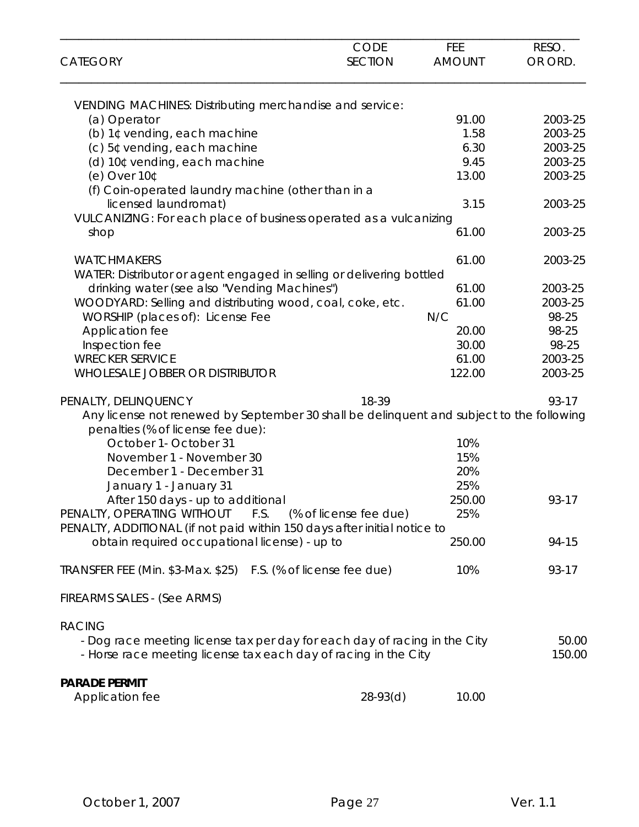| <b>CATEGORY</b>                                                                                                                              | <b>CODE</b><br><b>SECTION</b> | FEE<br><b>AMOUNT</b> | RESO.<br>OR ORD. |
|----------------------------------------------------------------------------------------------------------------------------------------------|-------------------------------|----------------------|------------------|
| VENDING MACHINES: Distributing merchandise and service:                                                                                      |                               |                      |                  |
| (a) Operator                                                                                                                                 |                               | 91.00                | 2003-25          |
| (b) 1¢ vending, each machine                                                                                                                 |                               | 1.58                 | 2003-25          |
| (c) 5¢ vending, each machine                                                                                                                 |                               | 6.30                 | 2003-25          |
| (d) 10¢ vending, each machine                                                                                                                |                               | 9.45                 | 2003-25          |
| $(e)$ Over 10 $\mathfrak c$                                                                                                                  |                               | 13.00                | 2003-25          |
| (f) Coin-operated laundry machine (other than in a                                                                                           |                               |                      |                  |
| licensed laundromat)                                                                                                                         |                               | 3.15                 | 2003-25          |
| VULCANIZING: For each place of business operated as a vulcanizing                                                                            |                               |                      |                  |
| shop                                                                                                                                         |                               | 61.00                | 2003-25          |
| <b>WATCHMAKERS</b>                                                                                                                           |                               | 61.00                | 2003-25          |
| WATER: Distributor or agent engaged in selling or delivering bottled                                                                         |                               |                      |                  |
| drinking water (see also "Vending Machines")                                                                                                 |                               | 61.00                | 2003-25          |
| WOODYARD: Selling and distributing wood, coal, coke, etc.                                                                                    |                               | 61.00                | 2003-25          |
| WORSHIP (places of): License Fee                                                                                                             |                               | N/C                  | 98-25            |
| Application fee                                                                                                                              |                               | 20.00                | 98-25            |
| Inspection fee                                                                                                                               |                               | 30.00                | 98-25            |
| <b>WRECKER SERVICE</b>                                                                                                                       |                               | 61.00                | 2003-25          |
| <b>WHOLESALE JOBBER OR DISTRIBUTOR</b>                                                                                                       |                               | 122.00               | 2003-25          |
| PENALTY, DELINQUENCY                                                                                                                         | 18-39                         |                      | 93-17            |
| Any license not renewed by September 30 shall be delinquent and subject to the following<br>penalties (% of license fee due):                |                               |                      |                  |
| October 1- October 31                                                                                                                        |                               | 10%                  |                  |
| November 1 - November 30                                                                                                                     |                               | 15%                  |                  |
| December 1 - December 31                                                                                                                     |                               | 20%                  |                  |
| January 1 - January 31                                                                                                                       |                               | 25%                  |                  |
| After 150 days - up to additional                                                                                                            |                               | 250.00               | 93-17            |
| PENALTY, OPERATING WITHOUT<br>F.S.                                                                                                           | (% of license fee due)        | 25%                  |                  |
| PENALTY, ADDITIONAL (if not paid within 150 days after initial notice to<br>obtain required occupational license) - up to                    |                               | 250.00               | 94-15            |
| TRANSFER FEE (Min. \$3-Max. \$25) F.S. (% of license fee due)                                                                                |                               | 10%                  | 93-17            |
| FIREARMS SALES - (See ARMS)                                                                                                                  |                               |                      |                  |
| <b>RACING</b>                                                                                                                                |                               |                      |                  |
| - Dog race meeting license tax per day for each day of racing in the City<br>- Horse race meeting license tax each day of racing in the City |                               |                      | 50.00<br>150.00  |
| <b>PARADE PERMIT</b>                                                                                                                         |                               |                      |                  |
| Application fee                                                                                                                              | $28-93(d)$                    | 10.00                |                  |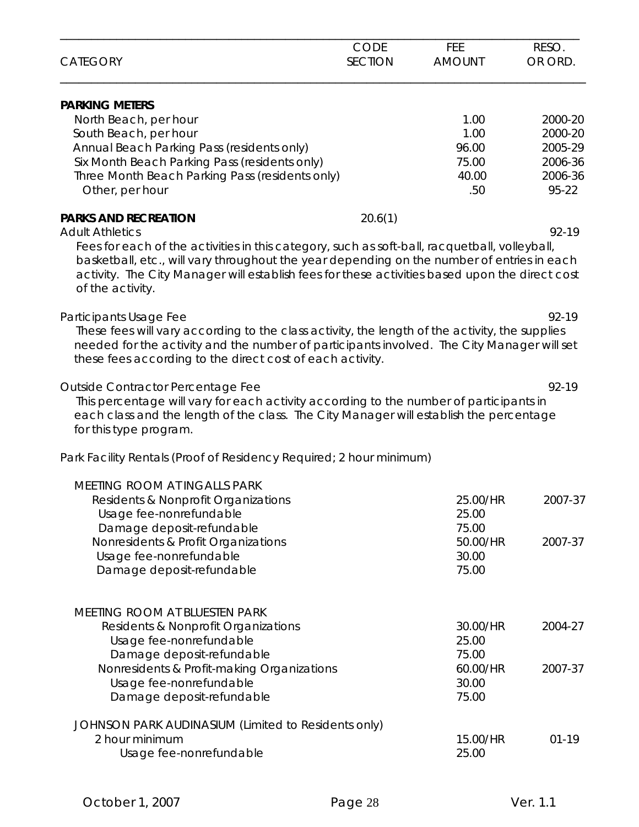|                                                                                                                                                                                                                                                                                                                   | CODE           | FEE           | RESO.     |
|-------------------------------------------------------------------------------------------------------------------------------------------------------------------------------------------------------------------------------------------------------------------------------------------------------------------|----------------|---------------|-----------|
| <b>CATEGORY</b>                                                                                                                                                                                                                                                                                                   | <b>SECTION</b> | <b>AMOUNT</b> | OR ORD.   |
| <b>PARKING METERS</b>                                                                                                                                                                                                                                                                                             |                |               |           |
| North Beach, per hour                                                                                                                                                                                                                                                                                             |                | 1.00          | 2000-20   |
| South Beach, per hour                                                                                                                                                                                                                                                                                             |                | 1.00          | 2000-20   |
| Annual Beach Parking Pass (residents only)                                                                                                                                                                                                                                                                        |                | 96.00         | 2005-29   |
| Six Month Beach Parking Pass (residents only)                                                                                                                                                                                                                                                                     |                | 75.00         | 2006-36   |
| Three Month Beach Parking Pass (residents only)                                                                                                                                                                                                                                                                   |                | 40.00         | 2006-36   |
| Other, per hour                                                                                                                                                                                                                                                                                                   |                | .50           | 95-22     |
| <b>PARKS AND RECREATION</b>                                                                                                                                                                                                                                                                                       | 20.6(1)        |               |           |
| <b>Adult Athletics</b>                                                                                                                                                                                                                                                                                            |                |               | 92-19     |
| Fees for each of the activities in this category, such as soft-ball, racquetball, volleyball,<br>basketball, etc., will vary throughout the year depending on the number of entries in each<br>activity. The City Manager will establish fees for these activities based upon the direct cost<br>of the activity. |                |               |           |
| Participants Usage Fee                                                                                                                                                                                                                                                                                            |                |               | 92-19     |
| These fees will vary according to the class activity, the length of the activity, the supplies<br>needed for the activity and the number of participants involved. The City Manager will set<br>these fees according to the direct cost of each activity.                                                         |                |               |           |
| Outside Contractor Percentage Fee<br>This percentage will vary for each activity according to the number of participants in<br>each class and the length of the class. The City Manager will establish the percentage<br>for this type program.                                                                   |                |               | 92-19     |
| Park Facility Rentals (Proof of Residency Required; 2 hour minimum)                                                                                                                                                                                                                                               |                |               |           |
| MEETING ROOM AT INGALLS PARK                                                                                                                                                                                                                                                                                      |                |               |           |
| Residents & Nonprofit Organizations                                                                                                                                                                                                                                                                               |                | 25.00/HR      | 2007-37   |
| Usage fee-nonrefundable                                                                                                                                                                                                                                                                                           |                | 25.00         |           |
| Damage deposit-refundable                                                                                                                                                                                                                                                                                         |                | 75.00         |           |
| Nonresidents & Profit Organizations                                                                                                                                                                                                                                                                               |                | 50.00/HR      | 2007-37   |
| Usage fee-nonrefundable                                                                                                                                                                                                                                                                                           |                | 30.00         |           |
| Damage deposit-refundable                                                                                                                                                                                                                                                                                         |                | 75.00         |           |
| <b>MEETING ROOM AT BLUESTEN PARK</b>                                                                                                                                                                                                                                                                              |                |               |           |
| Residents & Nonprofit Organizations                                                                                                                                                                                                                                                                               |                | 30.00/HR      | 2004-27   |
| Usage fee-nonrefundable                                                                                                                                                                                                                                                                                           |                | 25.00         |           |
| Damage deposit-refundable                                                                                                                                                                                                                                                                                         |                | 75.00         |           |
| Nonresidents & Profit-making Organizations                                                                                                                                                                                                                                                                        |                | 60.00/HR      | 2007-37   |
| Usage fee-nonrefundable                                                                                                                                                                                                                                                                                           |                | 30.00         |           |
| Damage deposit-refundable                                                                                                                                                                                                                                                                                         |                | 75.00         |           |
| JOHNSON PARK AUDINASIUM (Limited to Residents only)                                                                                                                                                                                                                                                               |                |               |           |
| 2 hour minimum                                                                                                                                                                                                                                                                                                    |                | 15.00/HR      | $01 - 19$ |
| Usage fee-nonrefundable                                                                                                                                                                                                                                                                                           |                | 25.00         |           |
|                                                                                                                                                                                                                                                                                                                   |                |               |           |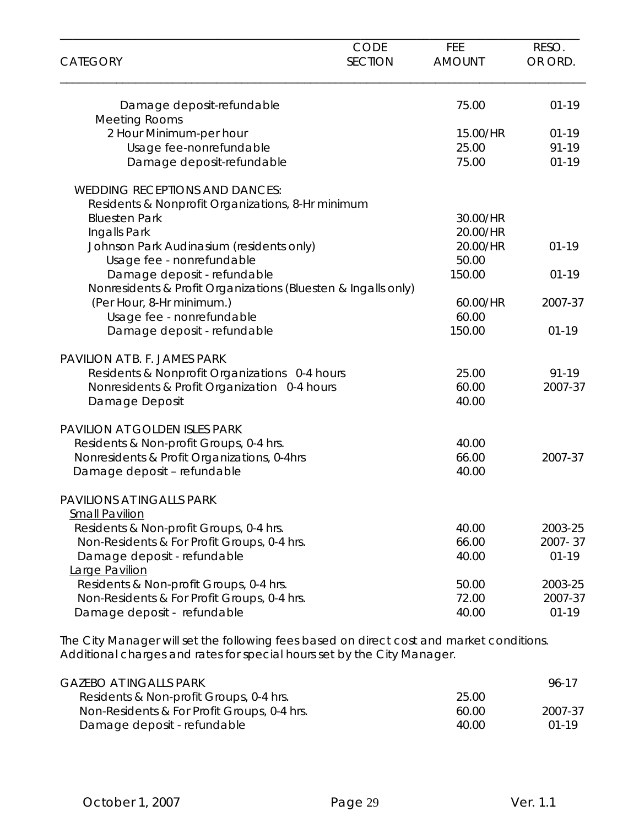| <b>CATEGORY</b>                                               | <b>CODE</b><br><b>SECTION</b> | FEE<br><b>AMOUNT</b> | RESO.<br>OR ORD. |
|---------------------------------------------------------------|-------------------------------|----------------------|------------------|
| Damage deposit-refundable                                     |                               | 75.00                | $01 - 19$        |
| <b>Meeting Rooms</b>                                          |                               |                      |                  |
| 2 Hour Minimum-per hour                                       |                               | 15.00/HR             | $01 - 19$        |
| Usage fee-nonrefundable                                       |                               | 25.00                | 91-19            |
| Damage deposit-refundable                                     |                               | 75.00                | $01 - 19$        |
| <b>WEDDING RECEPTIONS AND DANCES:</b>                         |                               |                      |                  |
| Residents & Nonprofit Organizations, 8-Hr minimum             |                               |                      |                  |
| <b>Bluesten Park</b>                                          |                               | 30.00/HR             |                  |
| Ingalls Park                                                  |                               | 20.00/HR             |                  |
| Johnson Park Audinasium (residents only)                      |                               | 20.00/HR             | $01 - 19$        |
| Usage fee - nonrefundable                                     |                               | 50.00                |                  |
| Damage deposit - refundable                                   |                               | 150.00               | $01 - 19$        |
| Nonresidents & Profit Organizations (Bluesten & Ingalls only) |                               |                      |                  |
| (Per Hour, 8-Hr minimum.)                                     |                               | 60.00/HR             | 2007-37          |
| Usage fee - nonrefundable                                     |                               | 60.00                |                  |
| Damage deposit - refundable                                   |                               | 150.00               | $01 - 19$        |
| PAVILION AT B. F. JAMES PARK                                  |                               |                      |                  |
| Residents & Nonprofit Organizations 0-4 hours                 |                               | 25.00                | $91 - 19$        |
| Nonresidents & Profit Organization 0-4 hours                  |                               | 60.00                | 2007-37          |
| Damage Deposit                                                |                               | 40.00                |                  |
| PAVILION AT GOLDEN ISLES PARK                                 |                               |                      |                  |
| Residents & Non-profit Groups, 0-4 hrs.                       |                               | 40.00                |                  |
| Nonresidents & Profit Organizations, 0-4hrs                   |                               | 66.00                | 2007-37          |
| Damage deposit - refundable                                   |                               | 40.00                |                  |
| PAVILIONS AT INGALLS PARK                                     |                               |                      |                  |
| <b>Small Pavilion</b>                                         |                               |                      |                  |
| Residents & Non-profit Groups, 0-4 hrs.                       |                               | 40.00                | 2003-25          |
| Non-Residents & For Profit Groups, 0-4 hrs.                   |                               | 66.00                | 2007-37          |
| Damage deposit - refundable                                   |                               | 40.00                | $01 - 19$        |
| Large Pavilion                                                |                               |                      |                  |
| Residents & Non-profit Groups, 0-4 hrs.                       |                               | 50.00                | 2003-25          |
| Non-Residents & For Profit Groups, 0-4 hrs.                   |                               | 72.00                | 2007-37          |
| Damage deposit - refundable                                   |                               | 40.00                | $01 - 19$        |

The City Manager will set the following fees based on direct cost and market conditions. Additional charges and rates for special hours set by the City Manager.

| GAZEBO AT INGALLS PARK                      |       | 96-17   |
|---------------------------------------------|-------|---------|
| Residents & Non-profit Groups, 0-4 hrs.     | 25.00 |         |
| Non-Residents & For Profit Groups, 0-4 hrs. | 60.00 | 2007-37 |
| Damage deposit - refundable                 | 40.OO | $01-19$ |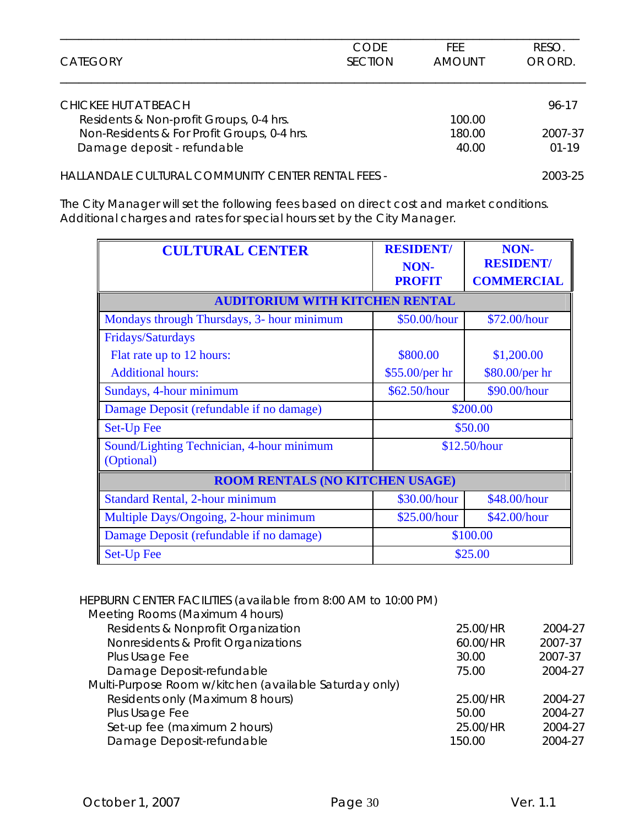| <b>CATEGORY</b>                                    | CODE<br><b>SECTION</b> | FFF.<br><b>AMOUNT</b> | RESO.<br>OR ORD. |
|----------------------------------------------------|------------------------|-----------------------|------------------|
| CHICKEE HUT AT BEACH                               |                        |                       | 96-17            |
| Residents & Non-profit Groups, 0-4 hrs.            |                        | 100.00                |                  |
| Non-Residents & For Profit Groups, 0-4 hrs.        |                        | 180.00                | 2007-37          |
| Damage deposit - refundable                        |                        | 40.00                 | $01-19$          |
| HALLANDALE CULTURAL COMMUNITY CENTER RENTAL FEES - |                        |                       | 2003-25          |

The City Manager will set the following fees based on direct cost and market conditions. Additional charges and rates for special hours set by the City Manager.

| <b>CULTURAL CENTER</b>                                  | <b>RESIDENT/</b>      | NON-<br><b>RESIDENT/</b> |  |  |
|---------------------------------------------------------|-----------------------|--------------------------|--|--|
|                                                         | NON-<br><b>PROFIT</b> | <b>COMMERCIAL</b>        |  |  |
| <b>AUDITORIUM WITH KITCHEN RENTAL</b>                   |                       |                          |  |  |
| Mondays through Thursdays, 3- hour minimum              | \$50.00/hour          | \$72.00/hour             |  |  |
| Fridays/Saturdays                                       |                       |                          |  |  |
| Flat rate up to 12 hours:                               | \$800.00              | \$1,200.00               |  |  |
| <b>Additional hours:</b>                                | $$55.00/per\ hr$      | \$80.00/per hr           |  |  |
| Sundays, 4-hour minimum                                 | \$62.50/hour          | \$90.00/hour             |  |  |
| Damage Deposit (refundable if no damage)                | \$200.00              |                          |  |  |
| <b>Set-Up Fee</b>                                       |                       | \$50.00                  |  |  |
| Sound/Lighting Technician, 4-hour minimum<br>(Optional) | \$12.50/hour          |                          |  |  |
| <b>ROOM RENTALS (NO KITCHEN USAGE)</b>                  |                       |                          |  |  |
| <b>Standard Rental, 2-hour minimum</b>                  | \$30.00/hour          | \$48.00/hour             |  |  |
| Multiple Days/Ongoing, 2-hour minimum                   | \$25.00/hour          | \$42.00/hour             |  |  |
| Damage Deposit (refundable if no damage)                |                       | \$100.00                 |  |  |
| Set-Up Fee                                              | \$25.00               |                          |  |  |

# HEPBURN CENTER FACILITIES (available from 8:00 AM to 10:00 PM)

| Meeting Rooms (Maximum 4 hours)                        |          |         |
|--------------------------------------------------------|----------|---------|
| Residents & Nonprofit Organization                     | 25.00/HR | 2004-27 |
| Nonresidents & Profit Organizations                    | 60.00/HR | 2007-37 |
| Plus Usage Fee                                         | 30.00    | 2007-37 |
| Damage Deposit-refundable                              | 75.00    | 2004-27 |
| Multi-Purpose Room w/kitchen (available Saturday only) |          |         |
| Residents only (Maximum 8 hours)                       | 25.00/HR | 2004-27 |
| Plus Usage Fee                                         | 50.00    | 2004-27 |
| Set-up fee (maximum 2 hours)                           | 25.00/HR | 2004-27 |
| Damage Deposit-refundable                              | 150.00   | 2004-27 |
|                                                        |          |         |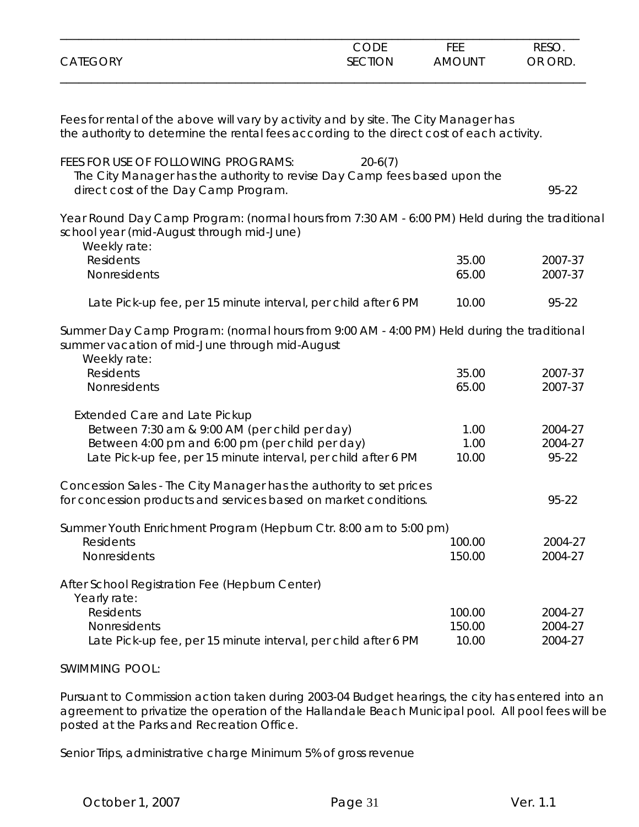|                 | CODE    | FEE           | <b>RESO</b> |
|-----------------|---------|---------------|-------------|
| <b>CATEGORY</b> | SECTION | <b>AMOUNT</b> | OR ORD.     |
|                 |         |               |             |

Fees for rental of the above will vary by activity and by site. The City Manager has the authority to determine the rental fees according to the direct cost of each activity.

| FEES FOR USE OF FOLLOWING PROGRAMS:<br>$20-6(7)$                                                                                                                                                           |                       |                             |
|------------------------------------------------------------------------------------------------------------------------------------------------------------------------------------------------------------|-----------------------|-----------------------------|
| The City Manager has the authority to revise Day Camp fees based upon the                                                                                                                                  |                       |                             |
| direct cost of the Day Camp Program.                                                                                                                                                                       |                       | 95-22                       |
| Year Round Day Camp Program: (normal hours from 7:30 AM - 6:00 PM) Held during the traditional<br>school year (mid-August through mid-June)<br>Weekly rate:                                                |                       |                             |
| <b>Residents</b>                                                                                                                                                                                           | 35.00                 | 2007-37                     |
| Nonresidents                                                                                                                                                                                               | 65.00                 | 2007-37                     |
| Late Pick-up fee, per 15 minute interval, per child after 6 PM                                                                                                                                             | 10.00                 | 95-22                       |
| Summer Day Camp Program: (normal hours from 9:00 AM - 4:00 PM) Held during the traditional<br>summer vacation of mid-June through mid-August<br>Weekly rate:                                               |                       |                             |
| Residents                                                                                                                                                                                                  | 35.00                 | 2007-37                     |
| Nonresidents                                                                                                                                                                                               | 65.00                 | 2007-37                     |
| <b>Extended Care and Late Pickup</b><br>Between 7:30 am & 9:00 AM (per child per day)<br>Between 4:00 pm and 6:00 pm (per child per day)<br>Late Pick-up fee, per 15 minute interval, per child after 6 PM | 1.00<br>1.00<br>10.00 | 2004-27<br>2004-27<br>95-22 |
| Concession Sales - The City Manager has the authority to set prices<br>for concession products and services based on market conditions.                                                                    |                       | 95-22                       |
| Summer Youth Enrichment Program (Hepburn Ctr. 8:00 am to 5:00 pm)                                                                                                                                          |                       |                             |
| <b>Residents</b>                                                                                                                                                                                           | 100.00                | 2004-27                     |
| Nonresidents                                                                                                                                                                                               | 150.00                | 2004-27                     |
| After School Registration Fee (Hepburn Center)<br>Yearly rate:                                                                                                                                             |                       |                             |
| <b>Residents</b>                                                                                                                                                                                           | 100.00                | 2004-27                     |
| Nonresidents                                                                                                                                                                                               | 150.00                | 2004-27                     |
| Late Pick-up fee, per 15 minute interval, per child after 6 PM                                                                                                                                             | 10.00                 | 2004-27                     |
| <b>SWIMMING POOL:</b>                                                                                                                                                                                      |                       |                             |

Pursuant to Commission action taken during 2003-04 Budget hearings, the city has entered into an agreement to privatize the operation of the Hallandale Beach Municipal pool. All pool fees will be posted at the Parks and Recreation Office.

Senior Trips, administrative charge Minimum 5% of gross revenue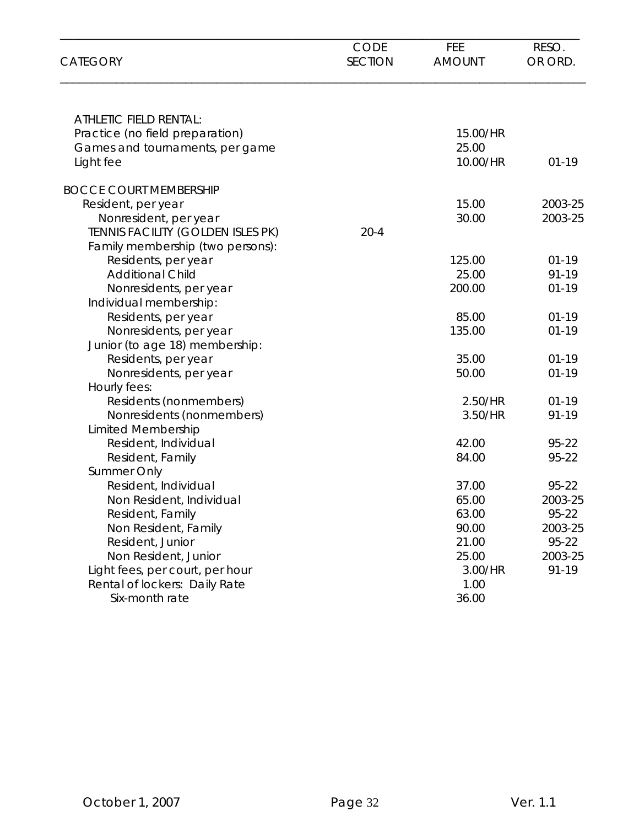| <b>CATEGORY</b>                   | <b>CODE</b><br><b>SECTION</b> | FEE<br><b>AMOUNT</b> | RESO.<br>OR ORD. |
|-----------------------------------|-------------------------------|----------------------|------------------|
| ATHLETIC FIELD RENTAL:            |                               |                      |                  |
| Practice (no field preparation)   |                               | 15.00/HR             |                  |
| Games and tournaments, per game   |                               | 25.00                |                  |
| Light fee                         |                               | 10.00/HR             | $01 - 19$        |
| <b>BOCCE COURT MEMBERSHIP</b>     |                               |                      |                  |
| Resident, per year                |                               | 15.00                | 2003-25          |
| Nonresident, per year             |                               | 30.00                | 2003-25          |
| TENNIS FACILITY (GOLDEN ISLES PK) | $20 - 4$                      |                      |                  |
| Family membership (two persons):  |                               |                      |                  |
| Residents, per year               |                               | 125.00               | $01 - 19$        |
| <b>Additional Child</b>           |                               | 25.00                | 91-19            |
| Nonresidents, per year            |                               | 200.00               | $01 - 19$        |
| Individual membership:            |                               |                      |                  |
| Residents, per year               |                               | 85.00                | $01-19$          |
| Nonresidents, per year            |                               | 135.00               | $01 - 19$        |
| Junior (to age 18) membership:    |                               |                      |                  |
| Residents, per year               |                               | 35.00                | $01 - 19$        |
| Nonresidents, per year            |                               | 50.00                | $01 - 19$        |
| Hourly fees:                      |                               |                      |                  |
| Residents (nonmembers)            |                               | 2.50/HR              | $01 - 19$        |
| Nonresidents (nonmembers)         |                               | 3.50/HR              | 91-19            |
| <b>Limited Membership</b>         |                               |                      |                  |
| Resident, Individual              |                               | 42.00                | 95-22            |
| Resident, Family                  |                               | 84.00                | 95-22            |
| Summer Only                       |                               |                      |                  |
| Resident, Individual              |                               | 37.00                | 95-22            |
| Non Resident, Individual          |                               | 65.00                | 2003-25          |
| Resident, Family                  |                               | 63.00                | 95-22            |
| Non Resident, Family              |                               | 90.00                | 2003-25          |
| Resident, Junior                  |                               | 21.00                | 95-22            |
| Non Resident, Junior              |                               | 25.00                | 2003-25          |
| Light fees, per court, per hour   |                               | 3.00/HR              | 91-19            |
| Rental of lockers: Daily Rate     |                               | 1.00                 |                  |
| Six-month rate                    |                               | 36.00                |                  |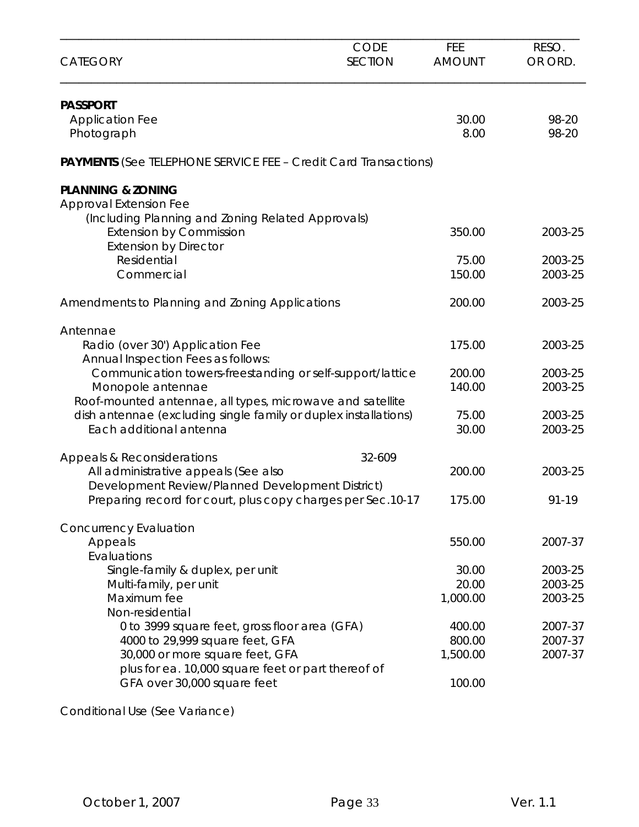| <b>CATEGORY</b>                                                                                                 | <b>CODE</b><br><b>SECTION</b> | FEE<br><b>AMOUNT</b> | RESO.<br>OR ORD. |
|-----------------------------------------------------------------------------------------------------------------|-------------------------------|----------------------|------------------|
| <b>PASSPORT</b><br><b>Application Fee</b>                                                                       |                               | 30.00                | 98-20            |
| Photograph                                                                                                      |                               | 8.00                 | 98-20            |
| <b>PAYMENTS</b> (See TELEPHONE SERVICE FEE - Credit Card Transactions)                                          |                               |                      |                  |
| <b>PLANNING &amp; ZONING</b>                                                                                    |                               |                      |                  |
| <b>Approval Extension Fee</b><br>(Including Planning and Zoning Related Approvals)                              |                               |                      |                  |
| <b>Extension by Commission</b><br><b>Extension by Director</b>                                                  |                               | 350.00               | 2003-25          |
| Residential                                                                                                     |                               | 75.00                | 2003-25          |
| Commercial                                                                                                      |                               | 150.00               | 2003-25          |
| Amendments to Planning and Zoning Applications                                                                  |                               | 200.00               | 2003-25          |
| Antennae                                                                                                        |                               |                      |                  |
| Radio (over 30') Application Fee<br>Annual Inspection Fees as follows:                                          |                               | 175.00               | 2003-25          |
| Communication towers-freestanding or self-support/lattice                                                       |                               | 200.00               | 2003-25          |
| Monopole antennae<br>Roof-mounted antennae, all types, microwave and satellite                                  |                               | 140.00               | 2003-25          |
| dish antennae (excluding single family or duplex installations)                                                 |                               | 75.00                | 2003-25          |
| Each additional antenna                                                                                         |                               | 30.00                | 2003-25          |
| Appeals & Reconsiderations                                                                                      | 32-609                        |                      |                  |
| All administrative appeals (See also                                                                            |                               | 200.00               | 2003-25          |
| Development Review/Planned Development District)<br>Preparing record for court, plus copy charges per Sec.10-17 |                               | 175.00               | 91-19            |
| <b>Concurrency Evaluation</b>                                                                                   |                               |                      |                  |
| Appeals                                                                                                         |                               | 550.00               | 2007-37          |
| Evaluations<br>Single-family & duplex, per unit                                                                 |                               | 30.00                | 2003-25          |
| Multi-family, per unit                                                                                          |                               | 20.00                | 2003-25          |
| Maximum fee                                                                                                     |                               | 1,000.00             | 2003-25          |
| Non-residential                                                                                                 |                               |                      |                  |
| 0 to 3999 square feet, gross floor area (GFA)                                                                   |                               | 400.00               | 2007-37          |
| 4000 to 29,999 square feet, GFA                                                                                 |                               | 800.00               | 2007-37          |
| 30,000 or more square feet, GFA                                                                                 |                               | 1,500.00             | 2007-37          |
| plus for ea. 10,000 square feet or part thereof of<br>GFA over 30,000 square feet                               |                               | 100.00               |                  |
|                                                                                                                 |                               |                      |                  |

Conditional Use (See Variance)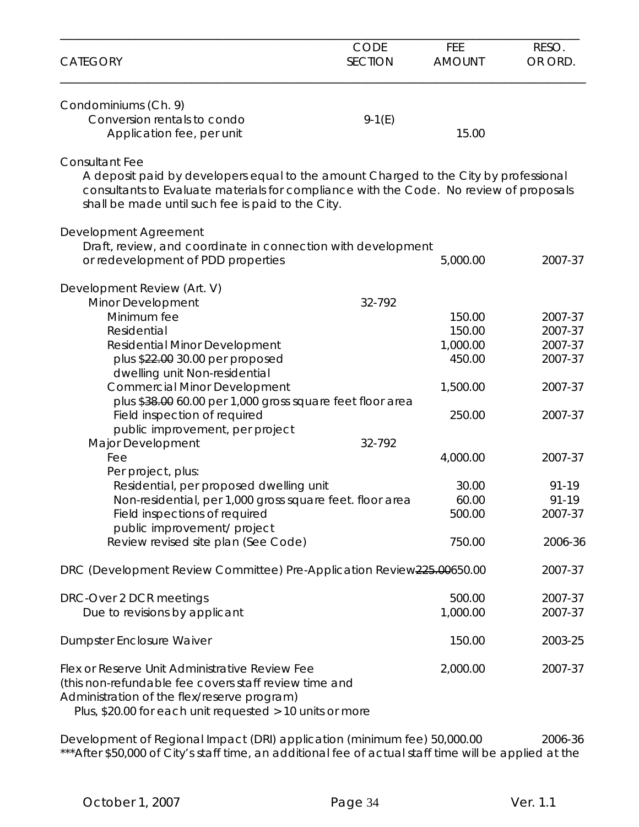| <b>CATEGORY</b>                                                                                                                                                                                                                                              | <b>CODE</b><br><b>SECTION</b> | FEE<br><b>AMOUNT</b> | RESO.<br>OR ORD. |
|--------------------------------------------------------------------------------------------------------------------------------------------------------------------------------------------------------------------------------------------------------------|-------------------------------|----------------------|------------------|
| Condominiums (Ch. 9)<br>Conversion rentals to condo<br>Application fee, per unit                                                                                                                                                                             | $9-1(E)$                      | 15.00                |                  |
| <b>Consultant Fee</b><br>A deposit paid by developers equal to the amount Charged to the City by professional<br>consultants to Evaluate materials for compliance with the Code. No review of proposals<br>shall be made until such fee is paid to the City. |                               |                      |                  |
| Development Agreement                                                                                                                                                                                                                                        |                               |                      |                  |
| Draft, review, and coordinate in connection with development<br>or redevelopment of PDD properties                                                                                                                                                           |                               | 5,000.00             | 2007-37          |
| Development Review (Art. V)<br>Minor Development                                                                                                                                                                                                             | 32-792                        |                      |                  |
| Minimum fee                                                                                                                                                                                                                                                  |                               | 150.00               | 2007-37          |
| Residential                                                                                                                                                                                                                                                  |                               | 150.00               | 2007-37          |
| <b>Residential Minor Development</b>                                                                                                                                                                                                                         |                               | 1,000.00             | 2007-37          |
| plus \$22.00 30.00 per proposed<br>dwelling unit Non-residential                                                                                                                                                                                             |                               | 450.00               | 2007-37          |
| <b>Commercial Minor Development</b>                                                                                                                                                                                                                          |                               | 1,500.00             | 2007-37          |
| plus \$38.00 60.00 per 1,000 gross square feet floor area<br>Field inspection of required                                                                                                                                                                    |                               | 250.00               | 2007-37          |
| public improvement, per project<br>Major Development                                                                                                                                                                                                         | 32-792                        |                      |                  |
| Fee                                                                                                                                                                                                                                                          |                               | 4,000.00             | 2007-37          |
| Per project, plus:                                                                                                                                                                                                                                           |                               |                      |                  |
| Residential, per proposed dwelling unit                                                                                                                                                                                                                      |                               | 30.00                | 91-19            |
| Non-residential, per 1,000 gross square feet. floor area                                                                                                                                                                                                     |                               | 60.00                | 91-19            |
| Field inspections of required                                                                                                                                                                                                                                |                               | 500.00               | 2007-37          |
| public improvement/ project<br>Review revised site plan (See Code)                                                                                                                                                                                           |                               | 750.00               | 2006-36          |
| DRC (Development Review Committee) Pre-Application Review225.00650.00                                                                                                                                                                                        |                               |                      | 2007-37          |
| DRC-Over 2 DCR meetings                                                                                                                                                                                                                                      |                               | 500.00               | 2007-37          |
| Due to revisions by applicant                                                                                                                                                                                                                                |                               | 1,000.00             | 2007-37          |
| Dumpster Enclosure Waiver                                                                                                                                                                                                                                    |                               | 150.00               | 2003-25          |
| Flex or Reserve Unit Administrative Review Fee<br>(this non-refundable fee covers staff review time and<br>Administration of the flex/reserve program)<br>Plus, \$20.00 for each unit requested > 10 units or more                                           |                               | 2,000.00             | 2007-37          |

Development of Regional Impact (DRI) application (minimum fee) 50,000.00 2006-36 \*\*\*After \$50,000 of City's staff time, an additional fee of actual staff time will be applied at the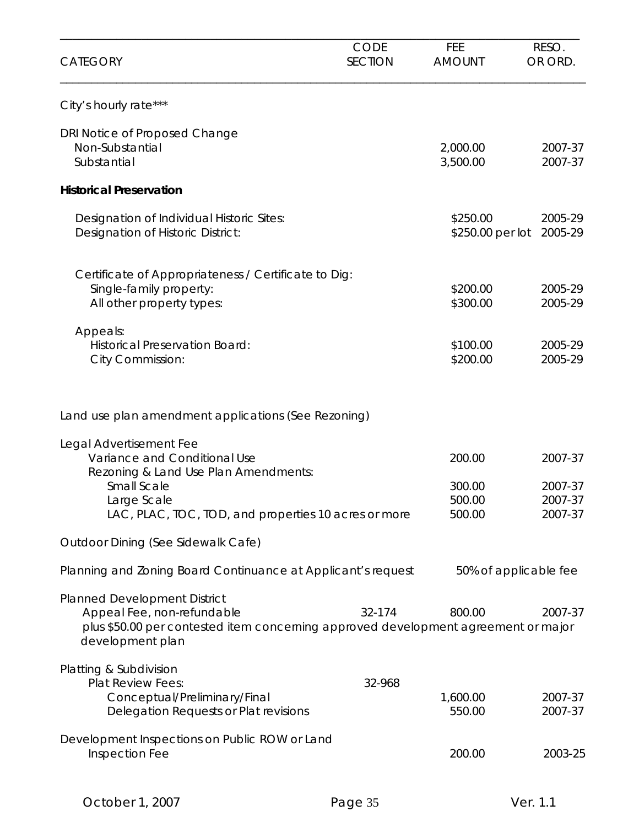| <b>CATEGORY</b>                                                                                                                                                                              | <b>CODE</b><br><b>SECTION</b> | <b>FEE</b><br><b>AMOUNT</b>          | RESO.<br>OR ORD.                         |
|----------------------------------------------------------------------------------------------------------------------------------------------------------------------------------------------|-------------------------------|--------------------------------------|------------------------------------------|
| City's hourly rate***                                                                                                                                                                        |                               |                                      |                                          |
| DRI Notice of Proposed Change<br>Non-Substantial<br>Substantial                                                                                                                              |                               | 2,000.00<br>3,500.00                 | 2007-37<br>2007-37                       |
| <b>Historical Preservation</b>                                                                                                                                                               |                               |                                      |                                          |
| Designation of Individual Historic Sites:<br>Designation of Historic District:                                                                                                               |                               | \$250.00<br>\$250.00 per lot         | 2005-29<br>2005-29                       |
| Certificate of Appropriateness / Certificate to Dig:<br>Single-family property:<br>All other property types:                                                                                 |                               | \$200.00<br>\$300.00                 | 2005-29<br>2005-29                       |
| Appeals:<br><b>Historical Preservation Board:</b><br>City Commission:                                                                                                                        |                               | \$100.00<br>\$200.00                 | 2005-29<br>2005-29                       |
| Land use plan amendment applications (See Rezoning)                                                                                                                                          |                               |                                      |                                          |
| Legal Advertisement Fee<br>Variance and Conditional Use<br>Rezoning & Land Use Plan Amendments:<br><b>Small Scale</b><br>Large Scale<br>LAC, PLAC, TOC, TOD, and properties 10 acres or more |                               | 200.00<br>300.00<br>500.00<br>500.00 | 2007-37<br>2007-37<br>2007-37<br>2007-37 |
| Outdoor Dining (See Sidewalk Cafe)                                                                                                                                                           |                               |                                      |                                          |
| Planning and Zoning Board Continuance at Applicant's request                                                                                                                                 |                               | 50% of applicable fee                |                                          |
| Planned Development District<br>Appeal Fee, non-refundable<br>plus \$50.00 per contested item concerning approved development agreement or major<br>development plan                         | 32-174                        | 800.00                               | 2007-37                                  |
| Platting & Subdivision<br><b>Plat Review Fees:</b><br>Conceptual/Preliminary/Final<br>Delegation Requests or Plat revisions                                                                  | 32-968                        | 1,600.00<br>550.00                   | 2007-37<br>2007-37                       |
| Development Inspections on Public ROW or Land<br>Inspection Fee                                                                                                                              |                               | 200.00                               | 2003-25                                  |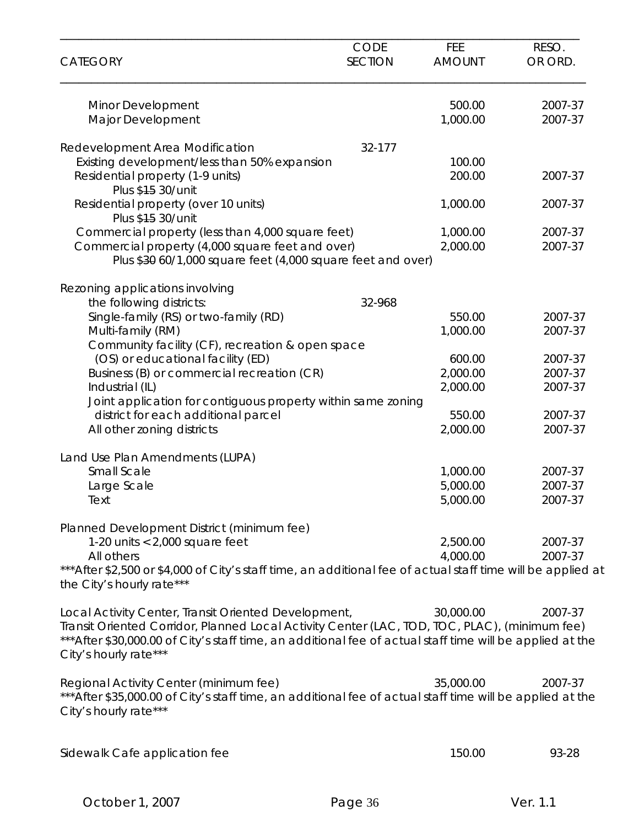| <b>CATEGORY</b>                                                                                                                                                                                                                     | CODE<br><b>SECTION</b> | <b>FEE</b><br><b>AMOUNT</b> | RESO.<br>OR ORD.   |
|-------------------------------------------------------------------------------------------------------------------------------------------------------------------------------------------------------------------------------------|------------------------|-----------------------------|--------------------|
| Minor Development                                                                                                                                                                                                                   |                        | 500.00                      | 2007-37            |
| Major Development                                                                                                                                                                                                                   |                        | 1,000.00                    | 2007-37            |
| Redevelopment Area Modification                                                                                                                                                                                                     | 32-177                 |                             |                    |
| Existing development/less than 50% expansion                                                                                                                                                                                        |                        | 100.00                      |                    |
| Residential property (1-9 units)<br>Plus \$45 30/unit                                                                                                                                                                               |                        | 200.00                      | 2007-37            |
| Residential property (over 10 units)<br>Plus \$15 30/unit                                                                                                                                                                           |                        | 1,000.00                    | 2007-37            |
| Commercial property (less than 4,000 square feet)                                                                                                                                                                                   |                        | 1,000.00                    | 2007-37            |
| Commercial property (4,000 square feet and over)<br>Plus \$30 60/1,000 square feet (4,000 square feet and over)                                                                                                                     |                        | 2,000.00                    | 2007-37            |
|                                                                                                                                                                                                                                     |                        |                             |                    |
| Rezoning applications involving                                                                                                                                                                                                     |                        |                             |                    |
| the following districts:                                                                                                                                                                                                            | 32-968                 |                             |                    |
| Single-family (RS) or two-family (RD)                                                                                                                                                                                               |                        | 550.00<br>1,000.00          | 2007-37<br>2007-37 |
| Multi-family (RM)<br>Community facility (CF), recreation & open space                                                                                                                                                               |                        |                             |                    |
| (OS) or educational facility (ED)                                                                                                                                                                                                   |                        | 600.00                      | 2007-37            |
| Business (B) or commercial recreation (CR)                                                                                                                                                                                          |                        | 2,000.00                    | 2007-37            |
| Industrial (IL)                                                                                                                                                                                                                     |                        | 2,000.00                    | 2007-37            |
| Joint application for contiguous property within same zoning                                                                                                                                                                        |                        |                             |                    |
| district for each additional parcel                                                                                                                                                                                                 |                        | 550.00                      | 2007-37            |
| All other zoning districts                                                                                                                                                                                                          |                        | 2,000.00                    | 2007-37            |
| Land Use Plan Amendments (LUPA)                                                                                                                                                                                                     |                        |                             |                    |
| Small Scale                                                                                                                                                                                                                         |                        | 1,000.00                    | 2007-37            |
| Large Scale                                                                                                                                                                                                                         |                        | 5,000.00                    | 2007-37            |
| Text                                                                                                                                                                                                                                |                        | 5,000.00                    | 2007-37            |
| Planned Development District (minimum fee)                                                                                                                                                                                          |                        |                             |                    |
| 1-20 units $< 2,000$ square feet                                                                                                                                                                                                    |                        | 2,500.00                    | 2007-37            |
| All others                                                                                                                                                                                                                          |                        | 4,000.00                    | 2007-37            |
| *** After \$2,500 or \$4,000 of City's staff time, an additional fee of actual staff time will be applied at<br>the City's hourly rate***                                                                                           |                        |                             |                    |
| Local Activity Center, Transit Oriented Development,                                                                                                                                                                                |                        | 30,000.00                   | 2007-37            |
| Transit Oriented Corridor, Planned Local Activity Center (LAC, TOD, TOC, PLAC), (minimum fee)<br>*** After \$30,000.00 of City's staff time, an additional fee of actual staff time will be applied at the<br>City's hourly rate*** |                        |                             |                    |
| Regional Activity Center (minimum fee)                                                                                                                                                                                              |                        | 35,000.00                   | 2007-37            |
| *** After \$35,000.00 of City's staff time, an additional fee of actual staff time will be applied at the<br>City's hourly rate***                                                                                                  |                        |                             |                    |
| Sidewalk Cafe application fee                                                                                                                                                                                                       |                        | 150.00                      | 93-28              |
|                                                                                                                                                                                                                                     |                        |                             |                    |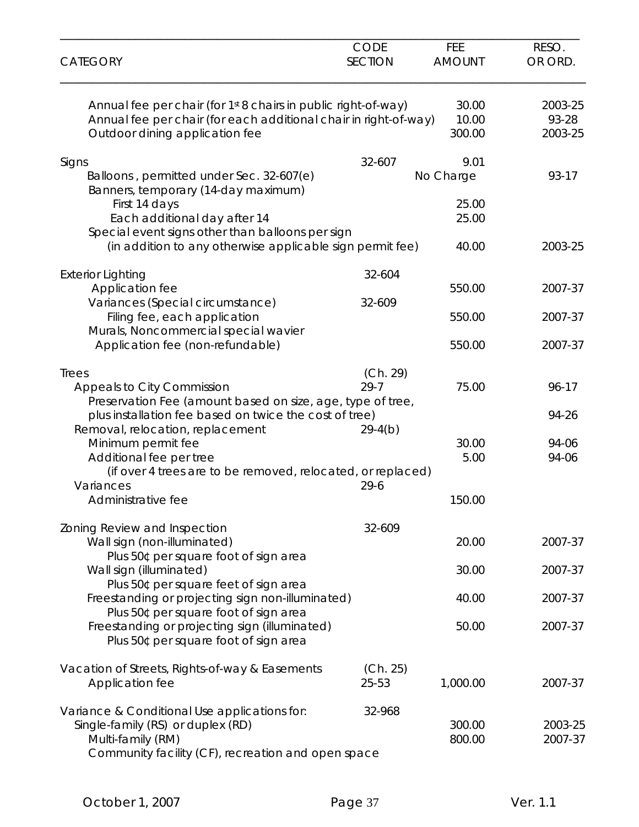| <b>CATEGORY</b>                                                                                                                                                                                            | <b>CODE</b><br><b>SECTION</b> | FEE<br><b>AMOUNT</b>     | RESO.<br>OR ORD.            |
|------------------------------------------------------------------------------------------------------------------------------------------------------------------------------------------------------------|-------------------------------|--------------------------|-----------------------------|
| Annual fee per chair (for 1st 8 chairs in public right-of-way)<br>Annual fee per chair (for each additional chair in right-of-way)<br>Outdoor dining application fee                                       |                               | 30.00<br>10.00<br>300.00 | 2003-25<br>93-28<br>2003-25 |
| Signs<br>Balloons, permitted under Sec. 32-607(e)<br>Banners, temporary (14-day maximum)                                                                                                                   | 32-607                        | 9.01<br>No Charge        | 93-17                       |
| First 14 days<br>Each additional day after 14<br>Special event signs other than balloons per sign                                                                                                          |                               | 25.00<br>25.00           |                             |
| (in addition to any otherwise applicable sign permit fee)                                                                                                                                                  |                               | 40.00                    | 2003-25                     |
| <b>Exterior Lighting</b><br>Application fee<br>Variances (Special circumstance)                                                                                                                            | 32-604<br>32-609              | 550.00                   | 2007-37                     |
| Filing fee, each application<br>Murals, Noncommercial special wavier                                                                                                                                       |                               | 550.00                   | 2007-37                     |
| Application fee (non-refundable)                                                                                                                                                                           |                               | 550.00                   | 2007-37                     |
| Trees<br><b>Appeals to City Commission</b><br>Preservation Fee (amount based on size, age, type of tree,                                                                                                   | (Ch. 29)<br>$29 - 7$          | 75.00                    | 96-17                       |
| plus installation fee based on twice the cost of tree)<br>Removal, relocation, replacement<br>Minimum permit fee<br>Additional fee per tree<br>(if over 4 trees are to be removed, relocated, or replaced) | $29-4(b)$                     | 30.00<br>5.00            | 94-26<br>94-06<br>94-06     |
| Variances<br>Administrative fee                                                                                                                                                                            | $29 - 6$                      | 150.00                   |                             |
| Zoning Review and Inspection<br>Wall sign (non-illuminated)<br>Plus 50¢ per square foot of sign area                                                                                                       | 32-609                        | 20.00                    | 2007-37                     |
| Wall sign (illuminated)<br>Plus 50¢ per square feet of sign area                                                                                                                                           |                               | 30.00                    | 2007-37                     |
| Freestanding or projecting sign non-illuminated)<br>Plus 50¢ per square foot of sign area                                                                                                                  |                               | 40.00                    | 2007-37                     |
| Freestanding or projecting sign (illuminated)<br>Plus 50¢ per square foot of sign area                                                                                                                     |                               | 50.00                    | 2007-37                     |
| Vacation of Streets, Rights-of-way & Easements<br>Application fee                                                                                                                                          | (Ch. 25)<br>25-53             | 1,000.00                 | 2007-37                     |
| Variance & Conditional Use applications for:<br>Single-family (RS) or duplex (RD)<br>Multi-family (RM)<br>Community facility (CF), recreation and open space                                               | 32-968                        | 300.00<br>800.00         | 2003-25<br>2007-37          |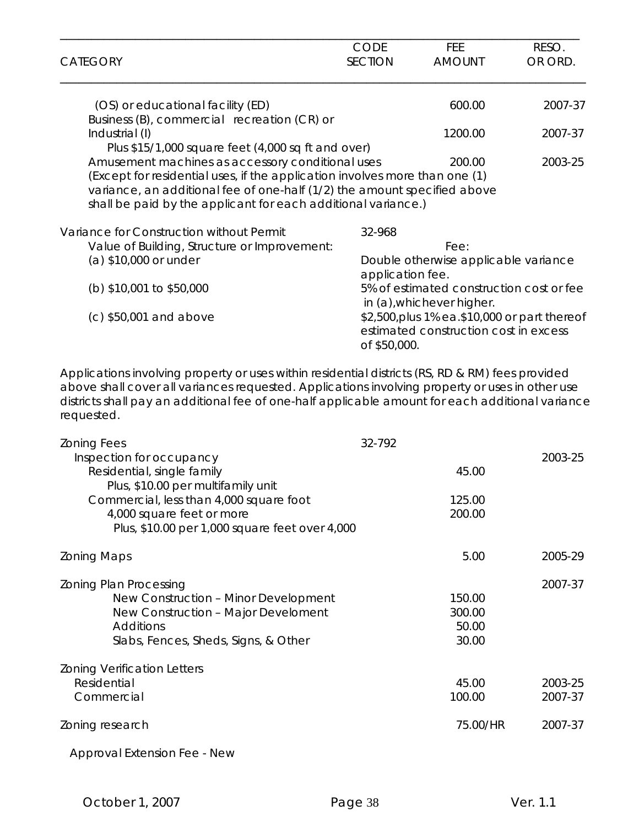| <b>CATEGORY</b>                                                                                                                    | <b>CODE</b><br><b>SECTION</b> | FEE.<br><b>AMOUNT</b>                    | RESO.<br>OR ORD. |
|------------------------------------------------------------------------------------------------------------------------------------|-------------------------------|------------------------------------------|------------------|
|                                                                                                                                    |                               |                                          |                  |
| (OS) or educational facility (ED)                                                                                                  |                               | 600.00                                   | 2007-37          |
| Business (B), commercial recreation (CR) or                                                                                        |                               |                                          |                  |
| Industrial (I)                                                                                                                     |                               | 1200.00                                  | 2007-37          |
| Plus \$15/1,000 square feet (4,000 sq ft and over)                                                                                 |                               |                                          |                  |
| Amusement machines as accessory conditional uses                                                                                   |                               | 200.00                                   | 2003-25          |
| (Except for residential uses, if the application involves more than one (1)                                                        |                               |                                          |                  |
| variance, an additional fee of one-half (1/2) the amount specified above                                                           |                               |                                          |                  |
| shall be paid by the applicant for each additional variance.)                                                                      |                               |                                          |                  |
| Variance for Construction without Permit                                                                                           | 32-968                        |                                          |                  |
| Value of Building, Structure or Improvement:                                                                                       |                               | Fee:                                     |                  |
| (a) \$10,000 or under                                                                                                              |                               | Double otherwise applicable variance     |                  |
|                                                                                                                                    | application fee.              |                                          |                  |
| (b) $$10,001$ to $$50,000$                                                                                                         |                               | 5% of estimated construction cost or fee |                  |
|                                                                                                                                    |                               | in (a), whichever higher.                |                  |
| \$2,500, plus 1% ea. \$10,000 or part thereof<br>$(c)$ \$50,001 and above<br>estimated construction cost in excess<br>of \$50,000. |                               |                                          |                  |

Applications involving property or uses within residential districts (RS, RD & RM) fees provided above shall cover all variances requested. Applications involving property or uses in other use districts shall pay an additional fee of one-half applicable amount for each additional variance requested.

| <b>Zoning Fees</b>                             | 32-792   |         |
|------------------------------------------------|----------|---------|
| Inspection for occupancy                       |          | 2003-25 |
| Residential, single family                     | 45.00    |         |
| Plus, \$10.00 per multifamily unit             |          |         |
| Commercial, less than 4,000 square foot        | 125.00   |         |
| 4,000 square feet or more                      | 200.00   |         |
| Plus, \$10.00 per 1,000 square feet over 4,000 |          |         |
| <b>Zoning Maps</b>                             | 5.00     | 2005-29 |
| <b>Zoning Plan Processing</b>                  |          | 2007-37 |
| New Construction - Minor Development           | 150.00   |         |
| New Construction - Major Develoment            | 300.00   |         |
| Additions                                      | 50.00    |         |
| Slabs, Fences, Sheds, Signs, & Other           | 30.00    |         |
| <b>Zoning Verification Letters</b>             |          |         |
| Residential                                    | 45.00    | 2003-25 |
| Commercial                                     | 100.00   | 2007-37 |
| Zoning research                                | 75.00/HR | 2007-37 |
| <b>Approval Extension Fee - New</b>            |          |         |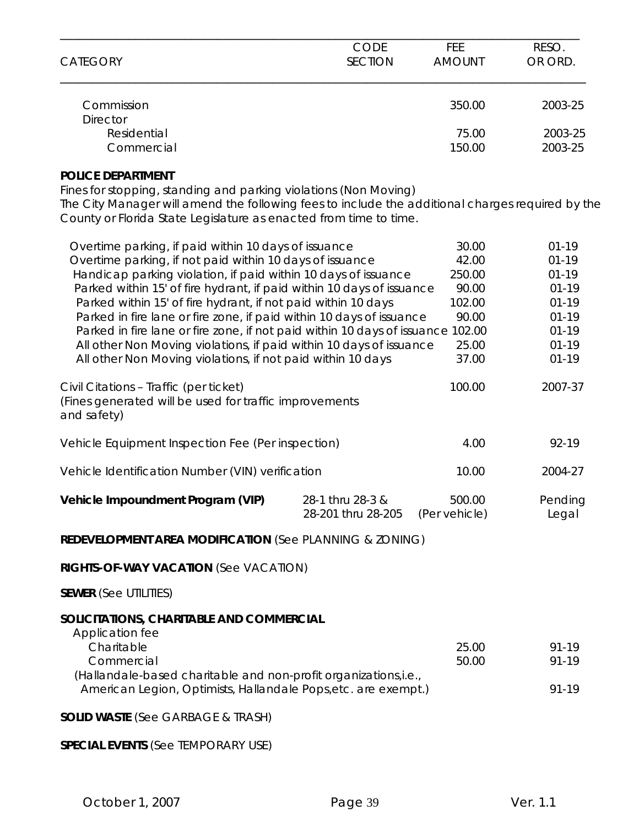| <b>CATEGORY</b>               | <b>CODE</b>    | <b>FEE</b>    | RESO.   |
|-------------------------------|----------------|---------------|---------|
|                               | <b>SECTION</b> | <b>AMOUNT</b> | OR ORD. |
| Commission<br><b>Director</b> |                | 350.00        | 2003-25 |
| Residential                   |                | 75.00         | 2003-25 |
| Commercial                    |                | 150.00        | 2003-25 |

### **POLICE DEPARTMENT**

Fines for stopping, standing and parking violations (Non Moving) The City Manager will amend the following fees to include the additional charges required by the County or Florida State Legislature as enacted from time to time.

| Overtime parking, if paid within 10 days of issuance                                                                              |                    | 30.00         | $01 - 19$ |
|-----------------------------------------------------------------------------------------------------------------------------------|--------------------|---------------|-----------|
| Overtime parking, if not paid within 10 days of issuance                                                                          |                    | 42.00         | $01 - 19$ |
| Handicap parking violation, if paid within 10 days of issuance                                                                    |                    | 250.00        | $01 - 19$ |
| Parked within 15' of fire hydrant, if paid within 10 days of issuance                                                             |                    | 90.00         | $01 - 19$ |
| Parked within 15' of fire hydrant, if not paid within 10 days                                                                     |                    | 102.00        | $01 - 19$ |
| Parked in fire lane or fire zone, if paid within 10 days of issuance                                                              |                    | 90.00         | $01 - 19$ |
| Parked in fire lane or fire zone, if not paid within 10 days of issuance 102.00                                                   |                    |               | $01 - 19$ |
| All other Non Moving violations, if paid within 10 days of issuance                                                               |                    | 25.00         | $01 - 19$ |
| All other Non Moving violations, if not paid within 10 days                                                                       |                    | 37.00         | $01 - 19$ |
| Civil Citations - Traffic (per ticket)                                                                                            |                    | 100.00        | 2007-37   |
| (Fines generated will be used for traffic improvements<br>and safety)                                                             |                    |               |           |
| Vehicle Equipment Inspection Fee (Per inspection)                                                                                 |                    | 4.00          | 92-19     |
| Vehicle Identification Number (VIN) verification                                                                                  |                    | 10.00         | 2004-27   |
| Vehicle Impoundment Program (VIP)                                                                                                 | 28-1 thru 28-3 &   | 500.00        | Pending   |
|                                                                                                                                   | 28-201 thru 28-205 | (Per vehicle) | Legal     |
| <b>REDEVELOPMENT AREA MODIFICATION (See PLANNING &amp; ZONING)</b>                                                                |                    |               |           |
| RIGHTS-OF-WAY VACATION (See VACATION)                                                                                             |                    |               |           |
| <b>SEWER</b> (See UTILITIES)                                                                                                      |                    |               |           |
| SOLICITATIONS, CHARITABLE AND COMMERCIAL                                                                                          |                    |               |           |
| Application fee                                                                                                                   |                    |               |           |
| Charitable                                                                                                                        |                    | 25.00         | $91 - 19$ |
| Commercial                                                                                                                        |                    | 50.00         | 91-19     |
| (Hallandale-based charitable and non-profit organizations,i.e.,<br>American Legion, Optimists, Hallandale Pops, etc. are exempt.) |                    |               | 91-19     |
| <b>SOLID WASTE</b> (See GARBAGE & TRASH)                                                                                          |                    |               |           |
|                                                                                                                                   |                    |               |           |
| <b>SPECIAL EVENTS (See TEMPORARY USE)</b>                                                                                         |                    |               |           |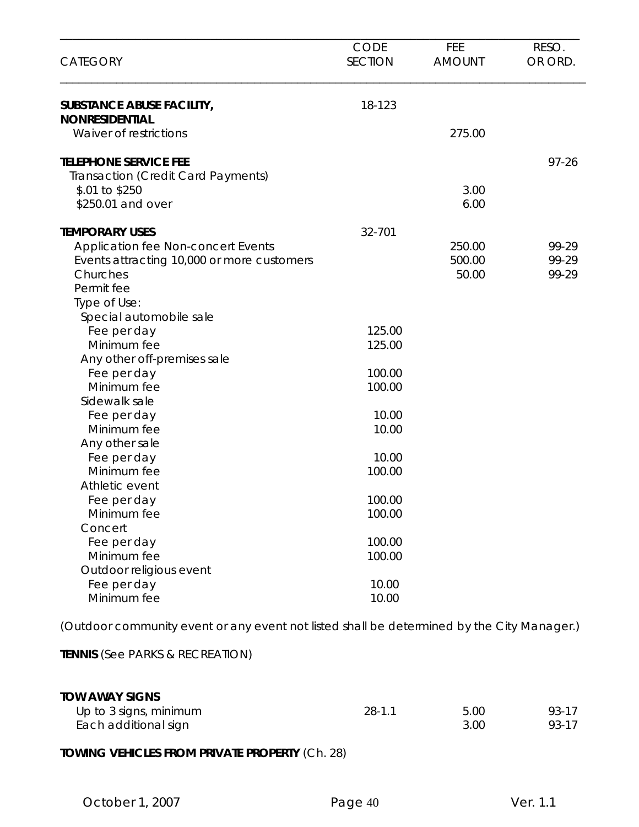| <b>CATEGORY</b>                                                                                                                                            | CODE<br><b>SECTION</b> | FEE<br><b>AMOUNT</b>      | RESO.<br>OR ORD.        |
|------------------------------------------------------------------------------------------------------------------------------------------------------------|------------------------|---------------------------|-------------------------|
| <b>SUBSTANCE ABUSE FACILITY,</b><br><b>NONRESIDENTIAL</b>                                                                                                  | 18-123                 |                           |                         |
| Waiver of restrictions                                                                                                                                     |                        | 275.00                    |                         |
| <b>TELEPHONE SERVICE FEE</b><br>Transaction (Credit Card Payments)                                                                                         |                        |                           | $97 - 26$               |
| \$.01 to \$250<br>\$250.01 and over                                                                                                                        |                        | 3.00<br>6.00              |                         |
|                                                                                                                                                            |                        |                           |                         |
| <b>TEMPORARY USES</b><br><b>Application fee Non-concert Events</b><br>Events attracting 10,000 or more customers<br>Churches<br>Permit fee<br>Type of Use: | 32-701                 | 250.00<br>500.00<br>50.00 | 99-29<br>99-29<br>99-29 |
| Special automobile sale                                                                                                                                    |                        |                           |                         |
| Fee per day<br>Minimum fee<br>Any other off-premises sale                                                                                                  | 125.00<br>125.00       |                           |                         |
| Fee per day<br>Minimum fee                                                                                                                                 | 100.00<br>100.00       |                           |                         |
| Sidewalk sale<br>Fee per day<br>Minimum fee                                                                                                                | 10.00<br>10.00         |                           |                         |
| Any other sale<br>Fee per day<br>Minimum fee                                                                                                               | 10.00<br>100.00        |                           |                         |
| Athletic event<br>Fee per day<br>Minimum fee                                                                                                               | 100.00<br>100.00       |                           |                         |
| Concert<br>Fee per day<br>Minimum fee                                                                                                                      | 100.00<br>100.00       |                           |                         |
| Outdoor religious event<br>Fee per day<br>Minimum fee                                                                                                      | 10.00<br>10.00         |                           |                         |

(Outdoor community event or any event not listed shall be determined by the City Manager.)

**TENNIS** (See PARKS & RECREATION)

| <b>TOW AWAY SIGNS</b>  |            |      |       |
|------------------------|------------|------|-------|
| Up to 3 signs, minimum | $28 - 1.1$ | 5.00 | 93-17 |
| Each additional sign   |            | 3.00 | 93-17 |

### **TOWING VEHICLES FROM PRIVATE PROPERTY** (Ch. 28)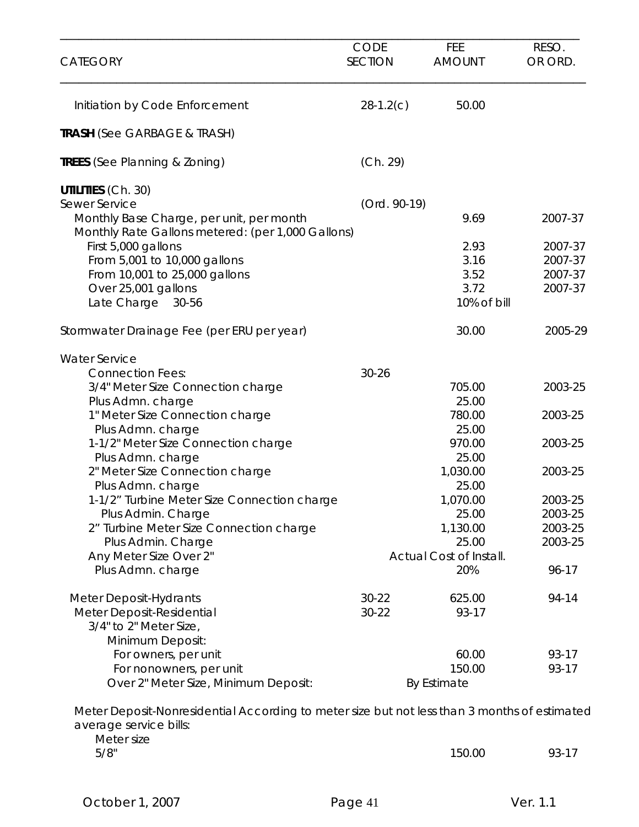| <b>CATEGORY</b>                                                                                                                      | <b>CODE</b><br><b>SECTION</b> | FEE<br><b>AMOUNT</b>    | RESO.<br>OR ORD. |
|--------------------------------------------------------------------------------------------------------------------------------------|-------------------------------|-------------------------|------------------|
| Initiation by Code Enforcement                                                                                                       | $28-1.2(c)$                   | 50.00                   |                  |
| <b>TRASH (See GARBAGE &amp; TRASH)</b>                                                                                               |                               |                         |                  |
| <b>TREES</b> (See Planning & Zoning)                                                                                                 | (Ch. 29)                      |                         |                  |
| <b>UTILITIES (Ch. 30)</b>                                                                                                            |                               |                         |                  |
| <b>Sewer Service</b><br>Monthly Base Charge, per unit, per month<br>Monthly Rate Gallons metered: (per 1,000 Gallons)                | (Ord. 90-19)                  | 9.69                    | 2007-37          |
| First 5,000 gallons                                                                                                                  |                               | 2.93                    | 2007-37          |
| From 5,001 to 10,000 gallons                                                                                                         |                               | 3.16                    | 2007-37          |
| From 10,001 to 25,000 gallons                                                                                                        |                               | 3.52                    | 2007-37          |
| Over 25,001 gallons                                                                                                                  |                               | 3.72                    | 2007-37          |
| Late Charge<br>30-56                                                                                                                 |                               | 10% of bill             |                  |
| Stormwater Drainage Fee (per ERU per year)                                                                                           |                               | 30.00                   | 2005-29          |
| <b>Water Service</b>                                                                                                                 |                               |                         |                  |
| <b>Connection Fees:</b>                                                                                                              | $30 - 26$                     |                         |                  |
| 3/4" Meter Size Connection charge                                                                                                    |                               | 705.00                  | 2003-25          |
| Plus Admn. charge                                                                                                                    |                               | 25.00                   |                  |
| 1" Meter Size Connection charge                                                                                                      |                               | 780.00                  | 2003-25          |
| Plus Admn. charge                                                                                                                    |                               | 25.00                   |                  |
| 1-1/2" Meter Size Connection charge                                                                                                  |                               | 970.00                  | 2003-25          |
| Plus Admn. charge                                                                                                                    |                               | 25.00                   |                  |
| 2" Meter Size Connection charge                                                                                                      |                               | 1,030.00                | 2003-25          |
| Plus Admn. charge                                                                                                                    |                               | 25.00                   | 2003-25          |
| 1-1/2" Turbine Meter Size Connection charge                                                                                          |                               | 1,070.00<br>25.00       | 2003-25          |
| Plus Admin. Charge<br>2" Turbine Meter Size Connection charge                                                                        |                               | 1,130.00                | 2003-25          |
| Plus Admin. Charge                                                                                                                   |                               | 25.00                   | 2003-25          |
| Any Meter Size Over 2"                                                                                                               |                               | Actual Cost of Install. |                  |
| Plus Admn. charge                                                                                                                    |                               | 20%                     | 96-17            |
| Meter Deposit-Hydrants                                                                                                               | $30 - 22$                     | 625.00                  | 94-14            |
| Meter Deposit-Residential                                                                                                            | $30 - 22$                     | 93-17                   |                  |
| 3/4" to 2" Meter Size,                                                                                                               |                               |                         |                  |
| Minimum Deposit:                                                                                                                     |                               |                         |                  |
| For owners, per unit                                                                                                                 |                               | 60.00                   | 93-17            |
| For nonowners, per unit                                                                                                              |                               | 150.00                  | 93-17            |
| Over 2" Meter Size, Minimum Deposit:                                                                                                 |                               | By Estimate             |                  |
| Meter Deposit-Nonresidential According to meter size but not less than 3 months of estimated<br>average service bills:<br>Meter size |                               |                         |                  |
| 5/8"                                                                                                                                 |                               | 150.00                  | 93-17            |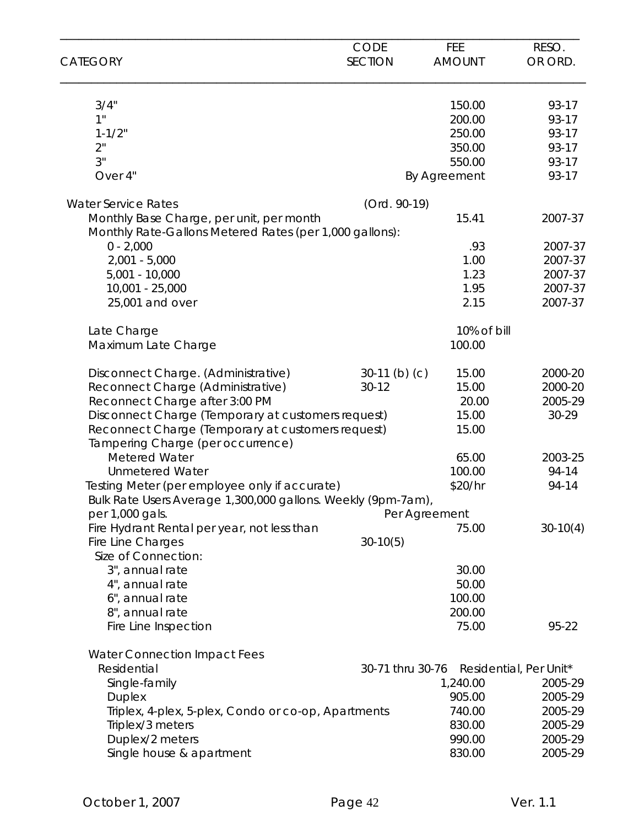|                                                                  | CODE             | FEE                    | RESO.                  |
|------------------------------------------------------------------|------------------|------------------------|------------------------|
| <b>CATEGORY</b>                                                  | <b>SECTION</b>   | <b>AMOUNT</b>          | OR ORD.                |
| 3/4"                                                             |                  | 150.00                 | 93-17                  |
| 1"                                                               |                  | 200.00                 | 93-17                  |
| $1 - 1/2"$                                                       |                  | 250.00                 | 93-17                  |
| 2"                                                               |                  | 350.00                 | 93-17                  |
| 3"                                                               |                  | 550.00                 | 93-17                  |
| Over 4"                                                          |                  | By Agreement           | 93-17                  |
| <b>Water Service Rates</b>                                       | (Ord. 90-19)     |                        |                        |
| Monthly Base Charge, per unit, per month                         |                  | 15.41                  | 2007-37                |
| Monthly Rate-Gallons Metered Rates (per 1,000 gallons):          |                  |                        |                        |
| $0 - 2,000$                                                      |                  | .93                    | 2007-37                |
| $2,001 - 5,000$                                                  |                  | 1.00                   | 2007-37                |
| $5,001 - 10,000$                                                 |                  | 1.23                   | 2007-37                |
| 10,001 - 25,000                                                  |                  | 1.95                   | 2007-37                |
| 25,001 and over                                                  |                  | 2.15                   | 2007-37                |
| Late Charge                                                      |                  | 10% of bill            |                        |
| Maximum Late Charge                                              |                  | 100.00                 |                        |
| Disconnect Charge. (Administrative)                              | $30-11$ (b) (c)  | 15.00                  | 2000-20                |
| Reconnect Charge (Administrative)                                | $30 - 12$        | 15.00                  | 2000-20                |
| Reconnect Charge after 3:00 PM                                   |                  | 20.00                  | 2005-29                |
| Disconnect Charge (Temporary at customers request)               |                  | 15.00                  | 30-29                  |
| Reconnect Charge (Temporary at customers request)                |                  | 15.00                  |                        |
| Tampering Charge (per occurrence)                                |                  |                        |                        |
| <b>Metered Water</b>                                             |                  | 65.00                  | 2003-25                |
| <b>Unmetered Water</b>                                           |                  | 100.00                 | 94-14                  |
| Testing Meter (per employee only if accurate)                    |                  | \$20/hr                | 94-14                  |
| Bulk Rate Users Average 1,300,000 gallons. Weekly (9pm-7am),     |                  |                        |                        |
| per 1,000 gals.                                                  |                  | Per Agreement<br>75.00 |                        |
| Fire Hydrant Rental per year, not less than<br>Fire Line Charges | $30-10(5)$       |                        | $30-10(4)$             |
| Size of Connection:                                              |                  |                        |                        |
| 3", annual rate                                                  |                  | 30.00                  |                        |
| 4", annual rate                                                  |                  | 50.00                  |                        |
| 6", annual rate                                                  |                  | 100.00                 |                        |
| 8", annual rate                                                  |                  | 200.00                 |                        |
| Fire Line Inspection                                             |                  | 75.00                  | 95-22                  |
| <b>Water Connection Impact Fees</b>                              |                  |                        |                        |
| Residential                                                      | 30-71 thru 30-76 |                        | Residential, Per Unit* |
| Single-family                                                    |                  | 1,240.00               | 2005-29                |
| <b>Duplex</b>                                                    |                  | 905.00                 | 2005-29                |
| Triplex, 4-plex, 5-plex, Condo or co-op, Apartments              |                  | 740.00                 | 2005-29                |
| Triplex/3 meters                                                 |                  | 830.00                 | 2005-29                |
| Duplex/2 meters                                                  |                  | 990.00                 | 2005-29                |
| Single house & apartment                                         |                  | 830.00                 | 2005-29                |